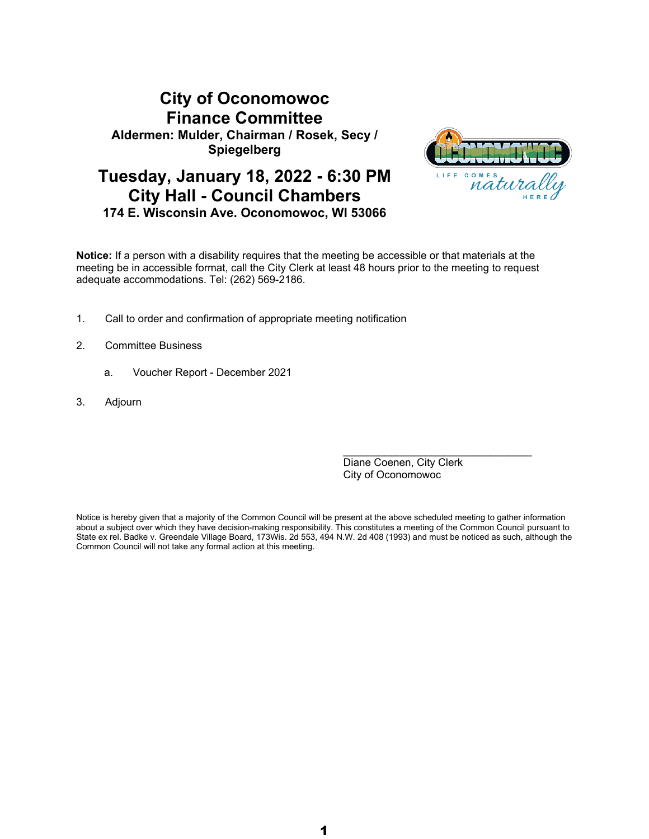# **City of Oconomowoc Finance Committee Aldermen: Mulder, Chairman / Rosek, Secy / Spiegelberg**



# **Tuesday, January 18, 2022 - 6:30 PM City Hall - Council Chambers 174 E. Wisconsin Ave. Oconomowoc, WI 53066**

**Notice:** If a person with a disability requires that the meeting be accessible or that materials at the meeting be in accessible format, call the City Clerk at least 48 hours prior to the meeting to request adequate accommodations. Tel: (262) 569-2186.

- 1. Call to order and confirmation of appropriate meeting notification
- 2. Committee Business
	- a. Voucher Report December 2021
- 3. Adjourn

Diane Coenen, City Clerk City of Oconomowoc

 $\mathcal{L}_\text{max}$  , and the set of the set of the set of the set of the set of the set of the set of the set of the set of the set of the set of the set of the set of the set of the set of the set of the set of the set of the

Notice is hereby given that a majority of the Common Council will be present at the above scheduled meeting to gather information about a subject over which they have decision-making responsibility. This constitutes a meeting of the Common Council pursuant to State ex rel. Badke v. Greendale Village Board, 173Wis. 2d 553, 494 N.W. 2d 408 (1993) and must be noticed as such, although the Common Council will not take any formal action at this meeting.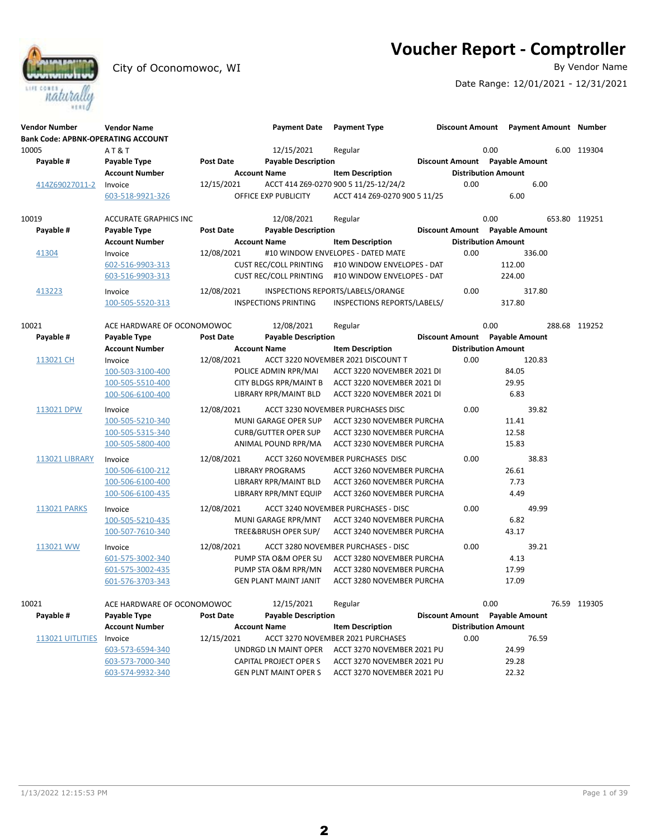**Voucher Report - Comptroller**<br>By Vendor Name



City of Oconomowoc, WI

Date Range: 12/01/2021 - 12/31/2021

| 10005<br>12/15/2021<br>0.00<br>AT&T<br>Regular                                                                | 6.00 119304   |
|---------------------------------------------------------------------------------------------------------------|---------------|
| Discount Amount Payable Amount<br>Payable #<br>Payable Type<br><b>Post Date</b><br><b>Payable Description</b> |               |
| <b>Account Number</b><br><b>Distribution Amount</b><br><b>Account Name</b><br><b>Item Description</b>         |               |
| 12/15/2021<br>ACCT 414 Z69-0270 900 5 11/25-12/24/2<br>0.00<br>6.00<br>414Z69027011-2<br>Invoice              |               |
| 603-518-9921-326<br>OFFICE EXP PUBLICITY<br>ACCT 414 Z69-0270 900 5 11/25<br>6.00                             |               |
|                                                                                                               |               |
| 0.00<br>10019<br>12/08/2021<br>Regular<br><b>ACCURATE GRAPHICS INC</b>                                        | 653.80 119251 |
| Payable #<br><b>Payable Description</b><br>Discount Amount Payable Amount<br>Payable Type<br><b>Post Date</b> |               |
| <b>Distribution Amount</b><br><b>Account Number</b><br><b>Account Name</b><br><b>Item Description</b>         |               |
| 12/08/2021<br>#10 WINDOW ENVELOPES - DATED MATE<br>0.00<br>336.00<br>41304<br>Invoice                         |               |
| 112.00<br>602-516-9903-313<br><b>CUST REC/COLL PRINTING</b><br>#10 WINDOW ENVELOPES - DAT                     |               |
| 603-516-9903-313<br><b>CUST REC/COLL PRINTING</b><br>#10 WINDOW ENVELOPES - DAT<br>224.00                     |               |
|                                                                                                               |               |
| 12/08/2021<br>0.00<br>317.80<br>413223<br>INSPECTIONS REPORTS/LABELS/ORANGE<br>Invoice                        |               |
| 317.80<br>100-505-5520-313<br><b>INSPECTIONS PRINTING</b><br>INSPECTIONS REPORTS/LABELS/                      |               |
|                                                                                                               |               |
| 0.00<br>10021<br>ACE HARDWARE OF OCONOMOWOC<br>12/08/2021<br>Regular                                          | 288.68 119252 |
| <b>Payable Description</b><br>Discount Amount Payable Amount<br>Payable #<br>Payable Type<br><b>Post Date</b> |               |
| <b>Item Description</b><br><b>Distribution Amount</b><br><b>Account Number</b><br><b>Account Name</b>         |               |
| 12/08/2021<br>ACCT 3220 NOVEMBER 2021 DISCOUNT T<br>0.00<br>120.83<br>113021 CH<br>Invoice                    |               |
| 84.05<br>100-503-3100-400<br>POLICE ADMIN RPR/MAI<br>ACCT 3220 NOVEMBER 2021 DI                               |               |
| <b>CITY BLDGS RPR/MAINT B</b><br>100-505-5510-400<br>ACCT 3220 NOVEMBER 2021 DI<br>29.95                      |               |
| LIBRARY RPR/MAINT BLD<br>ACCT 3220 NOVEMBER 2021 DI<br>6.83<br>100-506-6100-400                               |               |
| 0.00<br>12/08/2021<br>ACCT 3230 NOVEMBER PURCHASES DISC<br>39.82<br>113021 DPW<br>Invoice                     |               |
| 100-505-5210-340<br><b>MUNI GARAGE OPER SUP</b><br>ACCT 3230 NOVEMBER PURCHA<br>11.41                         |               |
| <b>CURB/GUTTER OPER SUP</b><br>12.58<br>100-505-5315-340<br>ACCT 3230 NOVEMBER PURCHA                         |               |
| 15.83<br>100-505-5800-400<br>ANIMAL POUND RPR/MA<br>ACCT 3230 NOVEMBER PURCHA                                 |               |
|                                                                                                               |               |
| 0.00<br>38.83<br><b>113021 LIBRARY</b><br>12/08/2021<br>ACCT 3260 NOVEMBER PURCHASES DISC<br>Invoice          |               |
| 100-506-6100-212<br>26.61<br><b>LIBRARY PROGRAMS</b><br>ACCT 3260 NOVEMBER PURCHA                             |               |
| LIBRARY RPR/MAINT BLD<br>7.73<br>100-506-6100-400<br>ACCT 3260 NOVEMBER PURCHA                                |               |
| 100-506-6100-435<br><b>LIBRARY RPR/MNT EQUIP</b><br>4.49<br>ACCT 3260 NOVEMBER PURCHA                         |               |
| 12/08/2021<br>0.00<br>49.99<br>113021 PARKS<br>Invoice<br>ACCT 3240 NOVEMBER PURCHASES - DISC                 |               |
| 100-505-5210-435<br>MUNI GARAGE RPR/MNT<br>6.82<br>ACCT 3240 NOVEMBER PURCHA                                  |               |
| 100-507-7610-340<br>TREE&BRUSH OPER SUP/<br>43.17<br>ACCT 3240 NOVEMBER PURCHA                                |               |
| 113021 WW<br>12/08/2021<br>0.00<br>39.21<br>Invoice<br>ACCT 3280 NOVEMBER PURCHASES - DISC                    |               |
| 601-575-3002-340<br>PUMP STA O&M OPER SU<br>4.13<br>ACCT 3280 NOVEMBER PURCHA                                 |               |
| PUMP STA O&M RPR/MN<br>ACCT 3280 NOVEMBER PURCHA<br>17.99<br>601-575-3002-435                                 |               |
| 601-576-3703-343<br>17.09<br><b>GEN PLANT MAINT JANIT</b><br>ACCT 3280 NOVEMBER PURCHA                        |               |
|                                                                                                               |               |
| 10021<br>12/15/2021<br>0.00<br>ACE HARDWARE OF OCONOMOWOC<br>Regular                                          | 76.59 119305  |
| Payable #<br><b>Payable Description</b><br>Discount Amount Payable Amount<br>Payable Type<br><b>Post Date</b> |               |
| <b>Distribution Amount</b><br><b>Account Number</b><br><b>Account Name</b><br><b>Item Description</b>         |               |
| ACCT 3270 NOVEMBER 2021 PURCHASES<br>0.00<br>113021 UITLITIES<br>12/15/2021<br>76.59<br>Invoice               |               |
| 603-573-6594-340<br>UNDRGD LN MAINT OPER<br>ACCT 3270 NOVEMBER 2021 PU<br>24.99                               |               |
| 603-573-7000-340<br>CAPITAL PROJECT OPER S<br>ACCT 3270 NOVEMBER 2021 PU<br>29.28                             |               |
| 603-574-9932-340<br>22.32<br><b>GEN PLNT MAINT OPER S</b><br>ACCT 3270 NOVEMBER 2021 PU                       |               |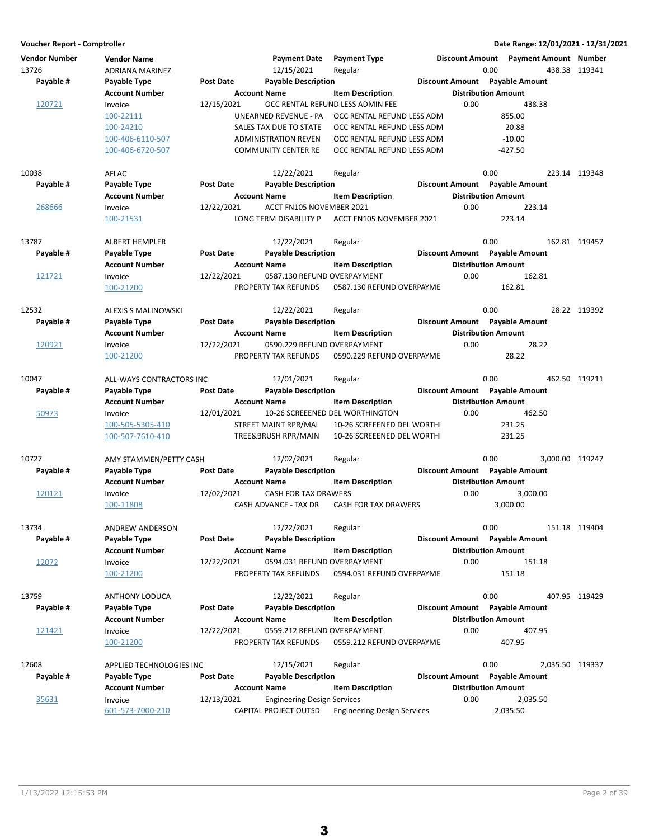| <b>Vendor Number</b> | <b>Vendor Name</b>         |                  | <b>Payment Date</b>                                 | <b>Payment Type</b>                |      | Discount Amount  Payment Amount  Number |                 |               |
|----------------------|----------------------------|------------------|-----------------------------------------------------|------------------------------------|------|-----------------------------------------|-----------------|---------------|
| 13726                | ADRIANA MARINEZ            |                  | 12/15/2021                                          | Regular                            |      | 0.00                                    |                 | 438.38 119341 |
| Payable #            | Payable Type               | <b>Post Date</b> | <b>Payable Description</b>                          |                                    |      | Discount Amount Payable Amount          |                 |               |
|                      | Account Number             |                  | <b>Account Name</b>                                 | <b>Item Description</b>            |      | <b>Distribution Amount</b>              |                 |               |
| 120721               | Invoice                    | 12/15/2021       |                                                     | OCC RENTAL REFUND LESS ADMIN FEE   | 0.00 | 438.38                                  |                 |               |
|                      | 100-22111                  |                  | UNEARNED REVENUE - PA                               | OCC RENTAL REFUND LESS ADM         |      | 855.00                                  |                 |               |
|                      | 100-24210                  |                  | SALES TAX DUE TO STATE                              | OCC RENTAL REFUND LESS ADM         |      | 20.88                                   |                 |               |
|                      | 100-406-6110-507           |                  | <b>ADMINISTRATION REVEN</b>                         | OCC RENTAL REFUND LESS ADM         |      | $-10.00$                                |                 |               |
|                      | 100-406-6720-507           |                  | <b>COMMUNITY CENTER RE</b>                          | OCC RENTAL REFUND LESS ADM         |      | $-427.50$                               |                 |               |
| 10038                | AFLAC                      |                  | 12/22/2021                                          | Regular                            |      | 0.00                                    |                 | 223.14 119348 |
| Payable #            | Payable Type               | <b>Post Date</b> | <b>Payable Description</b>                          |                                    |      | Discount Amount Payable Amount          |                 |               |
|                      | Account Number             |                  | <b>Account Name</b>                                 | <b>Item Description</b>            |      | <b>Distribution Amount</b>              |                 |               |
| 268666               | Invoice                    | 12/22/2021       | ACCT FN105 NOVEMBER 2021                            |                                    | 0.00 | 223.14                                  |                 |               |
|                      | 100-21531                  |                  | LONG TERM DISABILITY P                              | ACCT FN105 NOVEMBER 2021           |      | 223.14                                  |                 |               |
|                      |                            |                  |                                                     |                                    |      |                                         |                 |               |
| 13787                | ALBERT HEMPLER             |                  | 12/22/2021                                          | Regular                            |      | 0.00                                    |                 | 162.81 119457 |
| Payable #            | Payable Type               | <b>Post Date</b> | <b>Payable Description</b>                          |                                    |      | Discount Amount Payable Amount          |                 |               |
|                      | Account Number             |                  | <b>Account Name</b>                                 | <b>Item Description</b>            |      | <b>Distribution Amount</b>              |                 |               |
| 121721               | Invoice                    | 12/22/2021       | 0587.130 REFUND OVERPAYMENT                         |                                    | 0.00 | 162.81                                  |                 |               |
|                      | 100-21200                  |                  | PROPERTY TAX REFUNDS                                | 0587.130 REFUND OVERPAYME          |      | 162.81                                  |                 |               |
| 12532                | <b>ALEXIS S MALINOWSKI</b> |                  | 12/22/2021                                          | Regular                            |      | 0.00                                    |                 | 28.22 119392  |
| Payable #            | Payable Type               | Post Date        | <b>Payable Description</b>                          |                                    |      | Discount Amount Payable Amount          |                 |               |
|                      | <b>Account Number</b>      |                  | <b>Account Name</b>                                 | <b>Item Description</b>            |      | <b>Distribution Amount</b>              |                 |               |
| 120921               | Invoice                    | 12/22/2021       | 0590.229 REFUND OVERPAYMENT                         |                                    | 0.00 |                                         | 28.22           |               |
|                      | 100-21200                  |                  | PROPERTY TAX REFUNDS                                | 0590.229 REFUND OVERPAYME          |      | 28.22                                   |                 |               |
| 10047                |                            |                  | 12/01/2021                                          |                                    |      | 0.00                                    |                 | 462.50 119211 |
|                      | ALL-WAYS CONTRACTORS INC   |                  |                                                     | Regular                            |      | Discount Amount Payable Amount          |                 |               |
| Payable #            | Payable Type               | <b>Post Date</b> | <b>Payable Description</b>                          |                                    |      |                                         |                 |               |
|                      | <b>Account Number</b>      |                  | <b>Account Name</b>                                 | <b>Item Description</b>            |      | <b>Distribution Amount</b>              |                 |               |
| 50973                | Invoice                    | 12/01/2021       |                                                     | 10-26 SCREEENED DEL WORTHINGTON    | 0.00 | 462.50                                  |                 |               |
|                      | 100-505-5305-410           |                  | STREET MAINT RPR/MAI                                | 10-26 SCREEENED DEL WORTHI         |      | 231.25                                  |                 |               |
|                      | 100-507-7610-410           |                  | TREE&BRUSH RPR/MAIN                                 | 10-26 SCREEENED DEL WORTHI         |      | 231.25                                  |                 |               |
| 10727                | AMY STAMMEN/PETTY CASH     |                  | 12/02/2021                                          | Regular                            |      | 0.00                                    | 3.000.00 119247 |               |
| Payable #            | Payable Type               | Post Date        | <b>Payable Description</b>                          |                                    |      | Discount Amount Payable Amount          |                 |               |
|                      | Account Number             |                  | <b>Account Name</b>                                 | <b>Item Description</b>            |      | <b>Distribution Amount</b>              |                 |               |
| 120121               | Invoice                    | 12/02/2021       | CASH FOR TAX DRAWERS                                |                                    | 0.00 | 3,000.00                                |                 |               |
|                      | 100-11808                  |                  | CASH ADVANCE - TAX DR                               | <b>CASH FOR TAX DRAWERS</b>        |      | 3,000.00                                |                 |               |
| 13734                | ANDREW ANDERSON            |                  | 12/22/2021                                          | Regular                            |      | 0.00                                    |                 | 151.18 119404 |
| Payable #            | Payable Type               | Post Date        | <b>Payable Description</b>                          |                                    |      | Discount Amount Payable Amount          |                 |               |
|                      | Account Number             |                  | <b>Account Name</b>                                 | <b>Item Description</b>            |      | <b>Distribution Amount</b>              |                 |               |
| 12072                | Invoice                    | 12/22/2021       | 0594.031 REFUND OVERPAYMENT                         |                                    | 0.00 | 151.18                                  |                 |               |
|                      | 100-21200                  |                  | PROPERTY TAX REFUNDS                                | 0594.031 REFUND OVERPAYME          |      | 151.18                                  |                 |               |
| 13759                |                            |                  | 12/22/2021                                          |                                    |      | 0.00                                    |                 | 407.95 119429 |
|                      | ANTHONY LODUCA             |                  |                                                     | Regular                            |      |                                         |                 |               |
| Payable #            | Payable Type               | <b>Post Date</b> | <b>Payable Description</b>                          |                                    |      | Discount Amount Payable Amount          |                 |               |
|                      | Account Number             |                  | <b>Account Name</b>                                 | <b>Item Description</b>            |      | <b>Distribution Amount</b>              |                 |               |
| 121421               | Invoice<br>100-21200       | 12/22/2021       | 0559.212 REFUND OVERPAYMENT<br>PROPERTY TAX REFUNDS | 0559.212 REFUND OVERPAYME          | 0.00 | 407.95<br>407.95                        |                 |               |
|                      |                            |                  |                                                     |                                    |      |                                         |                 |               |
| 12608                | APPLIED TECHNOLOGIES INC   |                  | 12/15/2021                                          | Regular                            |      | 0.00                                    | 2,035.50 119337 |               |
| Payable #            | Payable Type               | <b>Post Date</b> | <b>Payable Description</b>                          |                                    |      | Discount Amount Payable Amount          |                 |               |
|                      | <b>Account Number</b>      |                  | <b>Account Name</b>                                 | <b>Item Description</b>            |      | <b>Distribution Amount</b>              |                 |               |
| 35631                | Invoice                    | 12/13/2021       | <b>Engineering Design Services</b>                  |                                    | 0.00 | 2,035.50                                |                 |               |
|                      | 601-573-7000-210           |                  | CAPITAL PROJECT OUTSD                               | <b>Engineering Design Services</b> |      | 2,035.50                                |                 |               |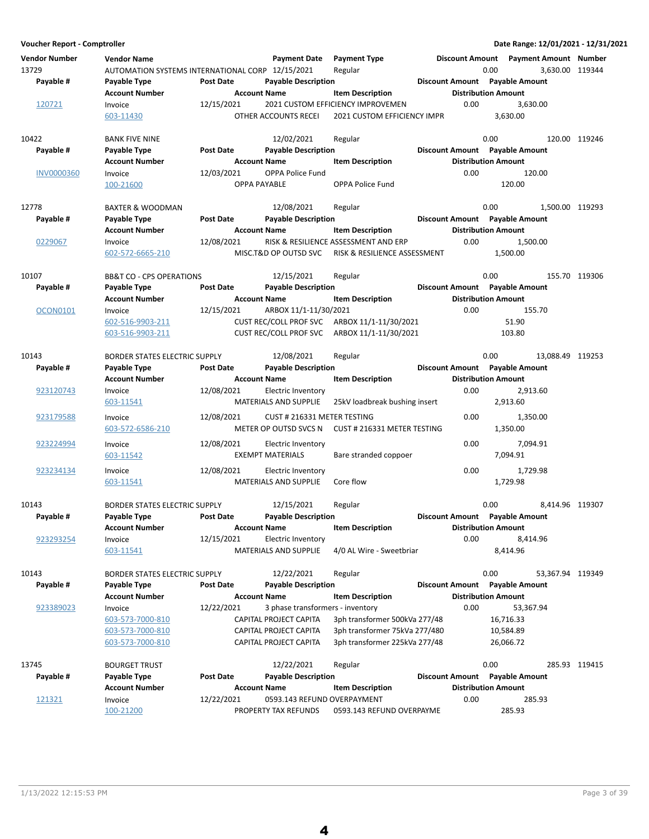**Voucher Report - Comptroller Date Range: 12/01/2021 - 12/31/2021 Vendor Number Vendor Name Payment Date Discount Amount Payment Type Payment Amount Number** 13729 AUTOMATION SYSTEMS INTERNATIONAL CORP 12/15/2021 Regular 13729 0.00 3,630.00 119344 **Account Number 1.1 Account Name 1.2 Account Distribution Amount** Amount Payable # Payable Type **Post Date Payable Description Payable Amount** Payable Amount 120721 Invoice 12/15/2021 2021 CUSTOM EFFICIENCY IMPROVEMEN 0.00 3,630.00<br>603-11430 603-11430 OTHER ACCOUNTS RECEI 2021 CUSTOM EFFICIENCY IMPR 2021 CUSTOM EFFICIENCY IMPR 10422 BANK FIVE NINE 1988 12/02/2021 Regular 10422 0.00 120.00 119246 **Account Number 1.0 Account Name 1.0 Account Distribution Amount** Amount Payable # Payable Type **Post Date Payable Description Payable Amount** Payable Amount INV0000360 Invoice 12/03/2021 OPPA Police Fund 120.00 0.00 100-21600 OPPA PAYABLE 120.00 OPPA Police Fund 12778 BAXTER & WOODMAN 12/08/2021 Regular 1 0.00 1,500.00 119293 **Account Number Account Name Item Description Distribution Amount Payable # Post Date Payable Description Payable Amount Payable Type Discount Amount** 0229067 Invoice 12/08/2021 RISK & RESILIENCE ASSESSMENT AND ERP 0.00 1,500.00 602-572-6665-210 MISC.T&D OP OUTSD SVC 1,500.00 RISK & RESILIENCE ASSESSMENT 10107 BB&T CO - CPS OPERATIONS 12/15/2021 Regular 10107 0.00 155.70 119306 **Account Number 19 Account Name 12 Account Distribution Amount** Payable # Payable Type Post Date Payable Description **Payable Description** Discount Amount Payable Amount OCON0101 Invoice 12/15/2021 ARBOX 11/1-11/30/2021 0.00 155.70 002-516-9903-211 CUST REC/COLL PROF SVC ARBOX 11/1-11/30/2021 51.90<br>
603-516-9903-211 CUST REC/COLL PROF SVC ARBOX 11/1-11/30/2021 103.80 603-516-9903-211 CUST REC/COLL PROF SVC ARBOX 11/1-11/30/2021 10143 BORDER STATES ELECTRIC SUPPLY 12/08/2021 Regular 10143 0.00 13,088.49 119253 **Account Number Account Name Item Description Distribution Amount** Payable # Payable Type **Post Date Payable Description Payable Amount** Payable Amount  $\frac{923120743}{203120743}$  Invoice 12/08/2021 Electric Inventory 2,913.60 0.00 2,913.60<br>MATERIALS AND SUPPLIE 25kV loadbreak bushing insert 2.913.60 603-11541 MATERIALS AND SUPPLIE 2,913.60 25kV loadbreak bushing insert 923179588 Invoice 12/08/2021 CUST # 216331 METER TESTING 0.00 1,350.00 603-572-6586-210 METER OP OUTSD SVCS N 1,350.00 CUST # 216331 METER TESTING 923224994 Invoice 12/08/2021 Electric Inventory 1994.91 0.00 7,094.91 603-11542 EXEMPT MATERIALS 7,094.91 Bare stranded coppoer 923234134 Invoice 12/08/2021 Electric Inventory 1,729.98 0.00 1,729.98 603-11541 MATERIALS AND SUPPLIE Core flow Core flow 1.729.98 10143 BORDER STATES ELECTRIC SUPPLY 12/15/2021 Regular 10143 0.00 8.414.96 119307 **Account Number 1.0 Account Name 1.0 Account Distribution Amount** Amount Payable # Payable Type **Post Date** Payable Description **Payable Description Payable Amount** Payable Amount  $\frac{923293254}{923293254}$  Invoice 12/15/2021 Electric Inventory 10.00 8,414.96 603-11541 MATERIALS AND SUPPLIE 8,414.96 4/0 AL Wire - Sweetbriar 10143 BORDER STATES ELECTRIC SUPPLY 12/22/2021 Regular 10143 0.00 53,367.94 119349 **Account Number 1.1 Account Name 1.2 Account Distribution Amount** Amount **Payable # Post Date Payable Description Payable Amount Payable Type Discount Amount** 923389023 Invoice 12/22/2021 3 phase transformers - inventory 6.00 53,367.94 603-573-7000-810 CAPITAL PROJECT CAPITA 3ph transformer 500kVa 277/48 16,716.33 603-573-7000-810 CAPITAL PROJECT CAPITA 3ph transformer 75kVa 277/480 10,584.89 603-573-7000-810 CAPITAL PROJECT CAPITA 3ph transformer 225kVa 277/48 26,066.72 13745 BOURGET TRUST 12/22/2021 119415 Regular 0.00 285.93 **Account Number 19 Account Name 19 Account Distribution Amount** Payable # Payable Type **Post Date Payable Description Payable Discount Amount** Payable Amount  $\frac{121321}{100}$  Invoice  $\frac{12}{22}$  12/22/2021 0593.143 REFUND OVERPAYMENT 0.00 285.93<br> $\frac{100-21200}{285.93}$  PROPERTY TAX REFUNDS 0593.143 REFUND OVERPAYME 100-21200 **PROPERTY TAX REFUNDS** 0593.143 REFUND OVERPAYME 285.93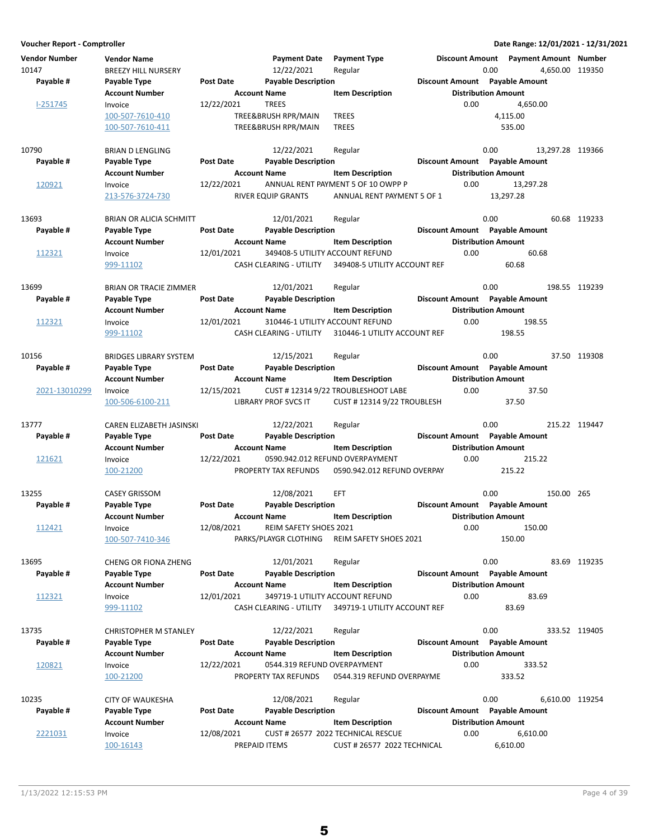| Voucher Report - Comptroller  |                                                  |                     |                                   |                                              |                                       | Date Range: 12/01/2021 - 12/31/2021                                |               |
|-------------------------------|--------------------------------------------------|---------------------|-----------------------------------|----------------------------------------------|---------------------------------------|--------------------------------------------------------------------|---------------|
| <b>Vendor Number</b><br>10147 | <b>Vendor Name</b><br><b>BREEZY HILL NURSERY</b> |                     | <b>Payment Date</b><br>12/22/2021 | <b>Payment Type</b><br>Regular               |                                       | Discount Amount  Payment Amount  Number<br>0.00<br>4.650.00 119350 |               |
| Payable #                     | Payable Type                                     | <b>Post Date</b>    | <b>Payable Description</b>        |                                              | Discount Amount Payable Amount        |                                                                    |               |
|                               | <b>Account Number</b>                            | <b>Account Name</b> |                                   | <b>Item Description</b>                      | <b>Distribution Amount</b>            |                                                                    |               |
| $I-251745$                    | Invoice                                          | 12/22/2021          | <b>TREES</b>                      |                                              | 0.00                                  | 4.650.00                                                           |               |
|                               | 100-507-7610-410                                 |                     | TREE&BRUSH RPR/MAIN               | <b>TREES</b>                                 |                                       | 4,115.00                                                           |               |
|                               | 100-507-7610-411                                 |                     | TREE&BRUSH RPR/MAIN               | <b>TREES</b>                                 |                                       | 535.00                                                             |               |
| 10790                         |                                                  |                     | 12/22/2021                        |                                              |                                       | 0.00<br>13,297.28 119366                                           |               |
| Payable #                     | <b>BRIAN D LENGLING</b><br>Payable Type          | <b>Post Date</b>    | <b>Payable Description</b>        | Regular                                      | Discount Amount Payable Amount        |                                                                    |               |
|                               | <b>Account Number</b>                            | <b>Account Name</b> |                                   | <b>Item Description</b>                      | <b>Distribution Amount</b>            |                                                                    |               |
| 120921                        | Invoice                                          | 12/22/2021          |                                   | ANNUAL RENT PAYMENT 5 OF 10 OWPP P           | 0.00                                  | 13,297.28                                                          |               |
|                               | 213-576-3724-730                                 |                     | RIVER EQUIP GRANTS                | ANNUAL RENT PAYMENT 5 OF 1                   |                                       | 13,297.28                                                          |               |
|                               |                                                  |                     |                                   |                                              |                                       |                                                                    |               |
| 13693                         | BRIAN OR ALICIA SCHMITT                          |                     | 12/01/2021                        | Regular                                      |                                       | 0.00                                                               | 60.68 119233  |
| Payable #                     | Payable Type                                     | <b>Post Date</b>    | <b>Payable Description</b>        |                                              | Discount Amount Payable Amount        |                                                                    |               |
|                               | <b>Account Number</b>                            | <b>Account Name</b> |                                   | <b>Item Description</b>                      | <b>Distribution Amount</b>            |                                                                    |               |
| 112321                        | Invoice                                          | 12/01/2021          | 349408-5 UTILITY ACCOUNT REFUND   |                                              | 0.00                                  | 60.68                                                              |               |
|                               | 999-11102                                        |                     | CASH CLEARING - UTILITY           | 349408-5 UTILITY ACCOUNT REF                 |                                       | 60.68                                                              |               |
| 13699                         | <b>BRIAN OR TRACIE ZIMMER</b>                    |                     | 12/01/2021                        | Regular                                      |                                       | 0.00                                                               | 198.55 119239 |
| Payable #                     | Payable Type                                     | <b>Post Date</b>    | <b>Payable Description</b>        |                                              | Discount Amount Payable Amount        |                                                                    |               |
|                               | <b>Account Number</b>                            | <b>Account Name</b> |                                   | <b>Item Description</b>                      | <b>Distribution Amount</b>            |                                                                    |               |
| 112321                        | Invoice                                          | 12/01/2021          | 310446-1 UTILITY ACCOUNT REFUND   |                                              | 0.00                                  | 198.55                                                             |               |
|                               | 999-11102                                        |                     | <b>CASH CLEARING - UTILITY</b>    | 310446-1 UTILITY ACCOUNT REF                 |                                       | 198.55                                                             |               |
|                               |                                                  |                     |                                   |                                              |                                       |                                                                    |               |
| 10156                         | <b>BRIDGES LIBRARY SYSTEM</b>                    |                     | 12/15/2021                        | Regular                                      |                                       | 0.00                                                               | 37.50 119308  |
| Payable #                     | Payable Type                                     | <b>Post Date</b>    | <b>Payable Description</b>        |                                              | Discount Amount Payable Amount        |                                                                    |               |
|                               | <b>Account Number</b>                            | <b>Account Name</b> |                                   | <b>Item Description</b>                      | <b>Distribution Amount</b>            |                                                                    |               |
| 2021-13010299                 | Invoice                                          | 12/15/2021          |                                   | CUST #123149/22 TROUBLESHOOT LABE            | 0.00                                  | 37.50                                                              |               |
|                               | 100-506-6100-211                                 |                     | LIBRARY PROF SVCS IT              | <b>CUST #123149/22 TROUBLESH</b>             |                                       | 37.50                                                              |               |
| 13777                         | CAREN ELIZABETH JASINSKI                         |                     | 12/22/2021                        | Regular                                      |                                       | 0.00                                                               | 215.22 119447 |
| Payable #                     | Payable Type                                     | <b>Post Date</b>    | <b>Payable Description</b>        |                                              | <b>Discount Amount</b> Payable Amount |                                                                    |               |
|                               | <b>Account Number</b>                            | <b>Account Name</b> |                                   | <b>Item Description</b>                      | <b>Distribution Amount</b>            |                                                                    |               |
| 121621                        | Invoice                                          | 12/22/2021          |                                   | 0590.942.012 REFUND OVERPAYMENT              | 0.00                                  | 215.22                                                             |               |
|                               | 100-21200                                        |                     | PROPERTY TAX REFUNDS              | 0590.942.012 REFUND OVERPAY                  |                                       | 215.22                                                             |               |
|                               |                                                  |                     |                                   |                                              |                                       |                                                                    |               |
| 13255                         | <b>CASEY GRISSOM</b>                             |                     | 12/08/2021                        | EFT                                          |                                       | 0.00<br>150.00 265                                                 |               |
| Payable #                     | Payable Type                                     | <b>Post Date</b>    | <b>Payable Description</b>        |                                              | Discount Amount Payable Amount        |                                                                    |               |
|                               | <b>Account Number</b>                            | <b>Account Name</b> |                                   | <b>Item Description</b>                      | <b>Distribution Amount</b>            |                                                                    |               |
| 112421                        | Invoice                                          | 12/08/2021          | REIM SAFETY SHOES 2021            |                                              | 0.00                                  | 150.00                                                             |               |
|                               | 100-507-7410-346                                 |                     |                                   | PARKS/PLAYGR CLOTHING REIM SAFETY SHOES 2021 |                                       | 150.00                                                             |               |
| 13695                         | <b>CHENG OR FIONA ZHENG</b>                      |                     | 12/01/2021                        | Regular                                      |                                       | 0.00                                                               | 83.69 119235  |
| Payable #                     | Payable Type                                     | Post Date           | <b>Payable Description</b>        |                                              | Discount Amount Payable Amount        |                                                                    |               |
|                               | <b>Account Number</b>                            | <b>Account Name</b> |                                   | <b>Item Description</b>                      | <b>Distribution Amount</b>            |                                                                    |               |
| 112321                        | Invoice                                          | 12/01/2021          | 349719-1 UTILITY ACCOUNT REFUND   |                                              | 0.00                                  | 83.69                                                              |               |
|                               | 999-11102                                        |                     | <b>CASH CLEARING - UTILITY</b>    | 349719-1 UTILITY ACCOUNT REF                 |                                       | 83.69                                                              |               |
|                               |                                                  |                     |                                   |                                              |                                       |                                                                    |               |
| 13735                         | <b>CHRISTOPHER M STANLEY</b>                     |                     | 12/22/2021                        | Regular                                      |                                       | 0.00                                                               | 333.52 119405 |
| Payable #                     | Payable Type                                     | Post Date           | <b>Payable Description</b>        |                                              | Discount Amount Payable Amount        |                                                                    |               |
|                               | <b>Account Number</b>                            | <b>Account Name</b> |                                   | <b>Item Description</b>                      | <b>Distribution Amount</b>            |                                                                    |               |
| 120821                        | Invoice                                          | 12/22/2021          | 0544.319 REFUND OVERPAYMENT       |                                              | 0.00                                  | 333.52                                                             |               |
|                               | 100-21200                                        |                     | PROPERTY TAX REFUNDS              | 0544.319 REFUND OVERPAYME                    |                                       | 333.52                                                             |               |
| 10235                         | <b>CITY OF WAUKESHA</b>                          |                     | 12/08/2021                        | Regular                                      |                                       | 0.00<br>6,610.00 119254                                            |               |
| Payable #                     | Payable Type                                     | Post Date           | <b>Payable Description</b>        |                                              | Discount Amount Payable Amount        |                                                                    |               |
|                               | <b>Account Number</b>                            | <b>Account Name</b> |                                   | <b>Item Description</b>                      | <b>Distribution Amount</b>            |                                                                    |               |
| 2221031                       | Invoice                                          | 12/08/2021          |                                   | CUST # 26577 2022 TECHNICAL RESCUE           | 0.00                                  | 6,610.00                                                           |               |
|                               | 100-16143                                        | PREPAID ITEMS       |                                   | CUST # 26577 2022 TECHNICAL                  |                                       | 6,610.00                                                           |               |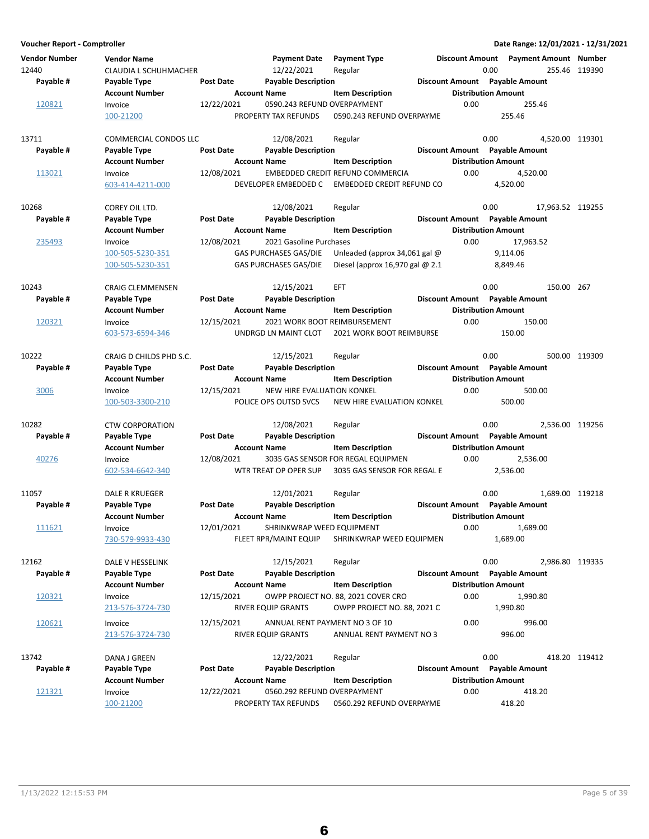| <b>Vendor Number</b><br>12440<br>Payable # | <b>Vendor Name</b><br>CLAUDIA L SCHUHMACHER<br>Payable Type<br><b>Account Number</b> | <b>Post Date</b> | <b>Payment Date</b><br>12/22/2021<br><b>Payable Description</b><br><b>Account Name</b>  | <b>Payment Type</b><br>Regular<br><b>Item Description</b>            | <b>Discount Amount</b> | <b>Payment Amount Number</b><br>0.00<br>Discount Amount Payable Amount<br><b>Distribution Amount</b> | 255.46 119390    |
|--------------------------------------------|--------------------------------------------------------------------------------------|------------------|-----------------------------------------------------------------------------------------|----------------------------------------------------------------------|------------------------|------------------------------------------------------------------------------------------------------|------------------|
| 120821                                     | Invoice<br>100-21200                                                                 | 12/22/2021       | 0590.243 REFUND OVERPAYMENT<br>PROPERTY TAX REFUNDS                                     | 0590.243 REFUND OVERPAYME                                            | 0.00                   | 255.46<br>255.46                                                                                     |                  |
| 13711<br>Payable #                         | COMMERCIAL CONDOS LLC<br>Payable Type<br><b>Account Number</b>                       | Post Date        | 12/08/2021<br><b>Payable Description</b><br><b>Account Name</b>                         | Regular<br><b>Item Description</b>                                   |                        | 0.00<br>Discount Amount Payable Amount<br><b>Distribution Amount</b>                                 | 4,520.00 119301  |
| 113021                                     | Invoice<br>603-414-4211-000                                                          | 12/08/2021       | DEVELOPER EMBEDDED C                                                                    | EMBEDDED CREDIT REFUND COMMERCIA<br><b>EMBEDDED CREDIT REFUND CO</b> | 0.00                   | 4,520.00<br>4,520.00                                                                                 |                  |
| 10268<br>Payable #                         | COREY OIL LTD.<br>Payable Type<br><b>Account Number</b>                              | <b>Post Date</b> | 12/08/2021<br><b>Payable Description</b><br><b>Account Name</b>                         | Regular<br><b>Item Description</b>                                   |                        | 0.00<br>Discount Amount Payable Amount<br><b>Distribution Amount</b>                                 | 17,963.52 119255 |
| 235493                                     | Invoice<br>100-505-5230-351<br>100-505-5230-351                                      | 12/08/2021       | 2021 Gasoline Purchases<br><b>GAS PURCHASES GAS/DIE</b><br><b>GAS PURCHASES GAS/DIE</b> | Unleaded (approx 34,061 gal $@$<br>Diesel (approx 16,970 gal $@$ 2.1 | 0.00                   | 17,963.52<br>9,114.06<br>8,849.46                                                                    |                  |
| 10243<br>Payable #                         | <b>CRAIG CLEMMENSEN</b><br>Payable Type<br><b>Account Number</b>                     | <b>Post Date</b> | 12/15/2021<br><b>Payable Description</b><br><b>Account Name</b>                         | <b>EFT</b><br><b>Item Description</b>                                |                        | 0.00<br>Discount Amount Payable Amount<br><b>Distribution Amount</b>                                 | 150.00 267       |
| 120321                                     | Invoice<br>603-573-6594-346                                                          | 12/15/2021       | 2021 WORK BOOT REIMBURSEMENT<br>UNDRGD LN MAINT CLOT                                    | 2021 WORK BOOT REIMBURSE                                             | 0.00                   | 150.00<br>150.00                                                                                     |                  |
| 10222<br>Payable #                         | CRAIG D CHILDS PHD S.C.<br>Payable Type<br><b>Account Number</b>                     | Post Date        | 12/15/2021<br><b>Payable Description</b><br><b>Account Name</b>                         | Regular<br><b>Item Description</b>                                   |                        | 0.00<br>Discount Amount Payable Amount<br><b>Distribution Amount</b>                                 | 500.00 119309    |
| 3006                                       | Invoice<br>100-503-3300-210                                                          | 12/15/2021       | NEW HIRE EVALUATION KONKEL<br>POLICE OPS OUTSD SVCS                                     | NEW HIRE EVALUATION KONKEL                                           | 0.00                   | 500.00<br>500.00                                                                                     |                  |
| 10282<br>Payable #                         | <b>CTW CORPORATION</b><br>Payable Type<br><b>Account Number</b>                      | Post Date        | 12/08/2021<br><b>Payable Description</b><br><b>Account Name</b>                         | Regular<br><b>Item Description</b>                                   |                        | 0.00<br>Discount Amount Payable Amount<br><b>Distribution Amount</b>                                 | 2,536.00 119256  |
| 40276                                      | Invoice<br>602-534-6642-340                                                          | 12/08/2021       | WTR TREAT OP OPER SUP                                                                   | 3035 GAS SENSOR FOR REGAL EQUIPMEN<br>3035 GAS SENSOR FOR REGAL E    | 0.00                   | 2,536.00<br>2,536.00                                                                                 |                  |
| 11057<br>Payable #                         | <b>DALE R KRUEGER</b><br>Payable Type<br><b>Account Number</b>                       | Post Date        | 12/01/2021<br><b>Payable Description</b><br><b>Account Name</b>                         | Regular<br><b>Item Description</b>                                   |                        | 0.00<br>Discount Amount Payable Amount<br><b>Distribution Amount</b>                                 | 1,689.00 119218  |
| 111621                                     | Invoice<br>730-579-9933-430                                                          | 12/01/2021       | SHRINKWRAP WEED EQUIPMENT<br>FLEET RPR/MAINT EQUIP                                      | SHRINKWRAP WEED EQUIPMEN                                             | 0.00                   | 1,689.00<br>1,689.00                                                                                 |                  |
| 12162<br>Payable #                         | DALE V HESSELINK<br>Payable Type<br><b>Account Number</b>                            | <b>Post Date</b> | 12/15/2021<br><b>Payable Description</b><br><b>Account Name</b>                         | Regular<br><b>Item Description</b>                                   |                        | 0.00<br>Discount Amount Payable Amount<br><b>Distribution Amount</b>                                 | 2,986.80 119335  |
| 120321                                     | Invoice<br>213-576-3724-730                                                          | 12/15/2021       | RIVER EQUIP GRANTS                                                                      | OWPP PROJECT NO. 88, 2021 COVER CRO<br>OWPP PROJECT NO. 88, 2021 C   | 0.00                   | 1,990.80<br>1,990.80                                                                                 |                  |
| 120621                                     | Invoice<br>213-576-3724-730                                                          | 12/15/2021       | ANNUAL RENT PAYMENT NO 3 OF 10<br><b>RIVER EQUIP GRANTS</b>                             | ANNUAL RENT PAYMENT NO 3                                             | 0.00                   | 996.00<br>996.00                                                                                     |                  |
| 13742<br>Payable #                         | DANA J GREEN<br>Payable Type                                                         | Post Date        | 12/22/2021<br><b>Payable Description</b>                                                | Regular                                                              |                        | 0.00<br>Discount Amount Payable Amount                                                               | 418.20 119412    |
| 121321                                     | <b>Account Number</b><br>Invoice<br>100-21200                                        | 12/22/2021       | <b>Account Name</b><br>0560.292 REFUND OVERPAYMENT<br>PROPERTY TAX REFUNDS              | <b>Item Description</b><br>0560.292 REFUND OVERPAYME                 | 0.00                   | <b>Distribution Amount</b><br>418.20<br>418.20                                                       |                  |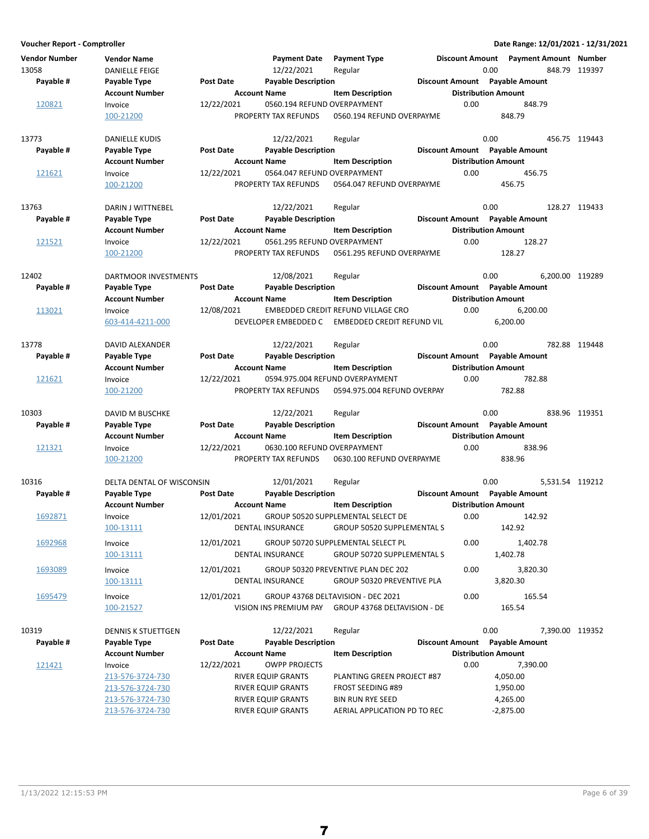| Vendor Number | <b>Vendor Name</b>        |                  | <b>Payment Date</b>         | <b>Payment Type</b>                                              | <b>Discount Amount</b>     | Payment Amount Number          |               |
|---------------|---------------------------|------------------|-----------------------------|------------------------------------------------------------------|----------------------------|--------------------------------|---------------|
| 13058         | <b>DANIELLE FEIGE</b>     |                  | 12/22/2021                  | Regular                                                          | 0.00                       |                                | 848.79 119397 |
| Payable #     | Payable Type              | <b>Post Date</b> | <b>Payable Description</b>  |                                                                  |                            | Discount Amount Payable Amount |               |
|               | <b>Account Number</b>     |                  | <b>Account Name</b>         | <b>Item Description</b>                                          | <b>Distribution Amount</b> |                                |               |
| 120821        | Invoice                   | 12/22/2021       | 0560.194 REFUND OVERPAYMENT |                                                                  | 0.00                       | 848.79                         |               |
|               | 100-21200                 |                  | PROPERTY TAX REFUNDS        | 0560.194 REFUND OVERPAYME                                        |                            | 848.79                         |               |
| 13773         | DANIELLE KUDIS            |                  | 12/22/2021                  | Regular                                                          | 0.00                       |                                | 456.75 119443 |
| Payable #     | Payable Type              | Post Date        | <b>Payable Description</b>  |                                                                  |                            | Discount Amount Payable Amount |               |
|               | <b>Account Number</b>     |                  | <b>Account Name</b>         | <b>Item Description</b>                                          | <b>Distribution Amount</b> |                                |               |
| 121621        | Invoice                   | 12/22/2021       | 0564.047 REFUND OVERPAYMENT |                                                                  | 0.00                       | 456.75                         |               |
|               | 100-21200                 |                  | PROPERTY TAX REFUNDS        | 0564.047 REFUND OVERPAYME                                        |                            | 456.75                         |               |
| 13763         | DARIN J WITTNEBEL         |                  | 12/22/2021                  | Regular                                                          | 0.00                       |                                | 128.27 119433 |
| Payable #     | Payable Type              | <b>Post Date</b> | <b>Payable Description</b>  |                                                                  |                            | Discount Amount Payable Amount |               |
|               | <b>Account Number</b>     |                  | <b>Account Name</b>         | <b>Item Description</b>                                          | <b>Distribution Amount</b> |                                |               |
| 121521        | Invoice                   | 12/22/2021       | 0561.295 REFUND OVERPAYMENT |                                                                  | 0.00                       | 128.27                         |               |
|               | 100-21200                 |                  | PROPERTY TAX REFUNDS        | 0561.295 REFUND OVERPAYME                                        |                            | 128.27                         |               |
| 12402         | DARTMOOR INVESTMENTS      |                  | 12/08/2021                  | Regular                                                          | 0.00                       | 6.200.00 119289                |               |
| Payable #     | Payable Type              | <b>Post Date</b> | <b>Payable Description</b>  |                                                                  |                            | Discount Amount Payable Amount |               |
|               | <b>Account Number</b>     |                  | <b>Account Name</b>         | <b>Item Description</b>                                          | <b>Distribution Amount</b> |                                |               |
| 113021        | Invoice                   | 12/08/2021       |                             | <b>EMBEDDED CREDIT REFUND VILLAGE CRO</b>                        | 0.00                       | 6,200.00                       |               |
|               | 603-414-4211-000          |                  | DEVELOPER EMBEDDED C        | EMBEDDED CREDIT REFUND VIL                                       |                            | 6,200.00                       |               |
| 13778         | DAVID ALEXANDER           |                  | 12/22/2021                  | Regular                                                          | 0.00                       |                                | 782.88 119448 |
| Payable #     | Payable Type              | Post Date        | <b>Payable Description</b>  |                                                                  |                            | Discount Amount Payable Amount |               |
|               | <b>Account Number</b>     |                  | <b>Account Name</b>         | <b>Item Description</b>                                          | <b>Distribution Amount</b> |                                |               |
| 121621        | Invoice                   | 12/22/2021       |                             | 0594.975.004 REFUND OVERPAYMENT                                  | 0.00                       | 782.88                         |               |
|               | 100-21200                 |                  | PROPERTY TAX REFUNDS        | 0594.975.004 REFUND OVERPAY                                      |                            | 782.88                         |               |
| 10303         | DAVID M BUSCHKE           |                  | 12/22/2021                  | Regular                                                          | 0.00                       |                                | 838.96 119351 |
| Payable #     | Payable Type              | Post Date        | <b>Payable Description</b>  |                                                                  |                            | Discount Amount Payable Amount |               |
|               | <b>Account Number</b>     |                  | <b>Account Name</b>         | <b>Item Description</b>                                          | <b>Distribution Amount</b> |                                |               |
| 121321        | Invoice                   | 12/22/2021       | 0630.100 REFUND OVERPAYMENT |                                                                  | 0.00                       | 838.96                         |               |
|               | 100-21200                 |                  | PROPERTY TAX REFUNDS        | 0630.100 REFUND OVERPAYME                                        |                            | 838.96                         |               |
| 10316         | DELTA DENTAL OF WISCONSIN |                  | 12/01/2021                  | Regular                                                          | 0.00                       | 5,531.54 119212                |               |
| Payable #     | Payable Type              | Post Date        | <b>Payable Description</b>  |                                                                  |                            | Discount Amount Payable Amount |               |
|               | <b>Account Number</b>     |                  | <b>Account Name</b>         | <b>Item Description</b>                                          | <b>Distribution Amount</b> |                                |               |
| 1692871       | Invoice<br>100-13111      | 12/01/2021       | DENTAL INSURANCE            | GROUP 50520 SUPPLEMENTAL SELECT DE<br>GROUP 50520 SUPPLEMENTAL S | 0.00                       | 142.92<br>142.92               |               |
| 1692968       | Invoice                   | 12/01/2021       |                             | GROUP 50720 SUPPLEMENTAL SELECT PL                               | 0.00                       | 1,402.78                       |               |
|               | 100-13111                 |                  | DENTAL INSURANCE            | <b>GROUP 50720 SUPPLEMENTAL S</b>                                |                            | 1,402.78                       |               |
| 1693089       | Invoice                   | 12/01/2021       |                             | GROUP 50320 PREVENTIVE PLAN DEC 202                              | 0.00                       | 3,820.30                       |               |
|               | 100-13111                 |                  | DENTAL INSURANCE            | GROUP 50320 PREVENTIVE PLA                                       |                            | 3,820.30                       |               |
| 1695479       | Invoice                   | 12/01/2021       |                             | GROUP 43768 DELTAVISION - DEC 2021                               | 0.00                       | 165.54                         |               |
|               | 100-21527                 |                  |                             | VISION INS PREMIUM PAY GROUP 43768 DELTAVISION - DE              |                            | 165.54                         |               |
| 10319         | DENNIS K STUETTGEN        |                  | 12/22/2021                  | Regular                                                          | 0.00                       | 7,390.00 119352                |               |
| Payable #     | Payable Type              | Post Date        | <b>Payable Description</b>  |                                                                  |                            | Discount Amount Payable Amount |               |
|               | <b>Account Number</b>     |                  | <b>Account Name</b>         | <b>Item Description</b>                                          | <b>Distribution Amount</b> |                                |               |
| 121421        | Invoice                   | 12/22/2021       | <b>OWPP PROJECTS</b>        |                                                                  | 0.00                       | 7,390.00                       |               |
|               | 213-576-3724-730          |                  | RIVER EQUIP GRANTS          | PLANTING GREEN PROJECT #87                                       |                            | 4,050.00                       |               |
|               | 213-576-3724-730          |                  | RIVER EQUIP GRANTS          | <b>FROST SEEDING #89</b>                                         |                            | 1,950.00                       |               |
|               | 213-576-3724-730          |                  | RIVER EQUIP GRANTS          | <b>BIN RUN RYE SEED</b>                                          |                            | 4,265.00                       |               |
|               | 213-576-3724-730          |                  | RIVER EQUIP GRANTS          | AERIAL APPLICATION PD TO REC                                     |                            | $-2,875.00$                    |               |

7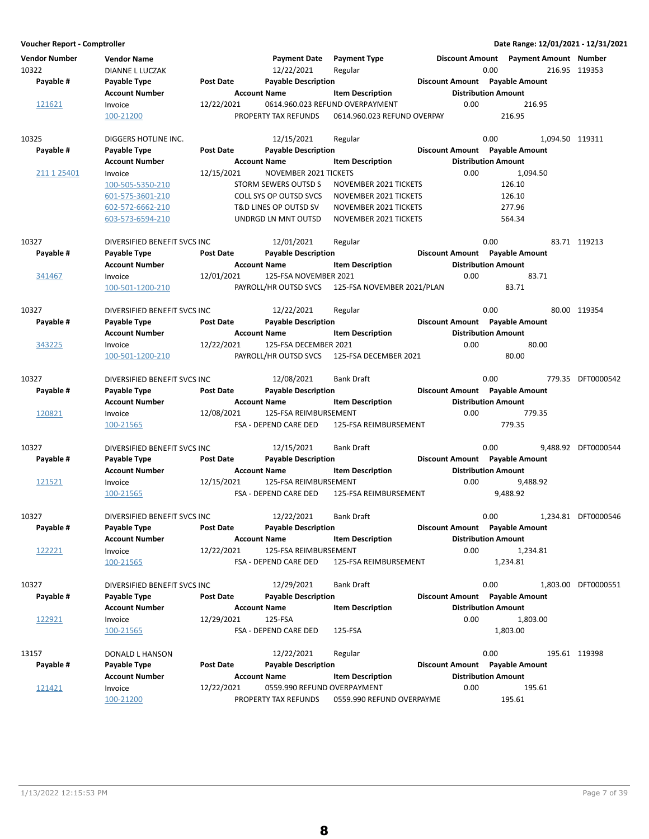**Voucher Report - Comptroller Date Range: 12/01/2021 - 12/31/2021 Vendor Number Vendor Name Payment Date Discount Amount Payment Type Payment Amount Number** 10322 DIANNE L LUCZAK 12/22/2021 119353 Regular 0.00 216.95 **Account Number Account Name Item Description Distribution Amount** Payable # Payable Type **Post Date Payable Description Payable Amount** Payable Amount 121621 Invoice 12/22/2021 0614.960.023 REFUND OVERPAYMENT 0.00 216.95<br>100-21200 100-21200 PROPERTY TAX REFUNDS 0614.960.023 REFUND OVERPAY 216.95 0614.960.023 REFUND OVERPAY 10325 DIGGERS HOTLINE INC. 12/15/2021 Regular 100325 0.00 1,094.50 119311 **Account Number 1.0 Account Name 1.0 Account Distribution Amount** 1.0 Account Name 1.0 Account Name Payable # Payable Type **Post Date Payable Description Payable Amount** Payable Amount 211 1 25401 Invoice 12/15/2021 NOVEMBER 2021 TICKETS 0.00 1,094.50 100-505-5350-210 STORM SEWERS OUTSD S 126.10 NOVEMBER 2021 TICKETS 601-575-3601-210 COLL SYS OP OUTSD SVCS NOVEMBER 2021 TICKETS 126.10 602-572-6662-210 T&D LINES OP OUTSD SV NOVEMBER 2021 TICKETS 277.96 603-573-6594-210 UNDRGD LN MNT OUTSD NOVEMBER 2021 TICKETS 564.34 10327 DIVERSIFIED BENEFIT SVCS INC 12/01/2021 Regular 10327 0.00 83.71 119213 Account Number **Account Name** Item Description **Distribution Amount** Payable # Payable Type **Post Date Payable Description Payable Best Bayable Amount** Payable Amount 341467 Invoice 12/01/2021 125-FSA NOVEMBER 2021 83.71 0.00 100-501-1200-210 PAYROLL/HR OUTSD SVCS 83.71 125-FSA NOVEMBER 2021/PLAN 10327 DIVERSIFIED BENEFIT SVCS INC 12/22/2021 Regular 10327 0.00 80.00 80.00 119354 **Account Number 6 Account Name 12 Account Distribution Amount** Payable # Payable Type **Post Date Payable Description Payable Besount Amount** Payable Amount 343225 Invoice 12/22/2021 125-FSA DECEMBER 2021 0.00 80.00 100-501-1200-210 PAYROLL/HR OUTSD SVCS 80.00 125-FSA DECEMBER 2021 10327 DIVERSIFIED BENEFIT SVCS INC 12/08/2021 Bank Draft 0.00 779.35 DFT0000542 **Account Number**  Account Name **Item Description** Distribution Amount Payable # Payable Type **Post Date Payable Description Payable Biscount Amount** Payable Amount 120821 Invoice 12/08/2021 125-FSA REIMBURSEMENT 779.35 0.00 100-21565 FSA - DEPEND CARE DED 779.35 125-FSA REIMBURSEMENT 10327 DIVERSIFIED BENEFIT SVCS INC 12/15/2021 Bank Draft 0.00 9,488.92 DFT0000544 **Account Number Account Name Item Description Distribution Amount** Payable # Payable Type **Past Date Payable Description Payable Amount** Payable Amount 121521 Invoice 12/15/2021 125-FSA REIMBURSEMENT 9,488.92 0.00 100-21565 FSA - DEPEND CARE DED 9,488.92 125-FSA REIMBURSEMENT 10327 DIVERSIFIED BENEFIT SVCS INC 12/22/2021 Bank Draft 0.00 1,234.81 DFT0000546 **Account Number Account Name Item Description Amount Distribution Amount** Payable # Payable Type Post Date Payable Description **Payable Discount Amount** Payable Amount 122221 Invoice 12/22/2021 125-FSA REIMBURSEMENT 0.00 1,234.81 100-21565 FSA - DEPEND CARE DED 1,234.81 125-FSA REIMBURSEMENT 10327 DIVERSIFIED BENEFIT SVCS INC 12/29/2021 Bank Draft 0.00 1,803.00 DFT0000551 **Account Number 6 Account Name 12 Account Name Item Description 6 Distribution Amount** Payable # Payable Type **Post Date Payable Description Payable Amount** Payable Amount  $\frac{122921}{12021}$  Invoice  $\frac{12}{29/2021}$  125-FSA 1,803.00 0.00 1,803.00 100-21565 FSA - DEPEND CARE DED 1,803.00 125-FSA 13157 **DONALD L HANSON** 12/22/2021 Regular 10.00 0.00 195.61 119398 **Account Number 19 Account Name 12 Account Distribution Amount** Payable # Payable Type **Post Date Payable Description Payable Amount** Payable Amount 121421 Invoice 12/22/2021 0559.990 REFUND OVERPAYMENT 0.00 195.61 100-21200 PROPERTY TAX REFUNDS 195.61 0559.990 REFUND OVERPAYME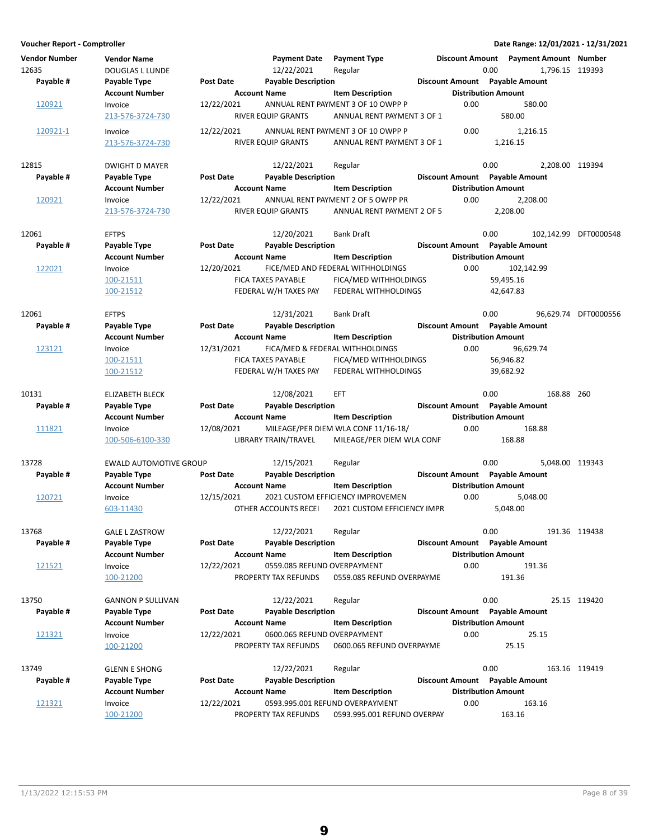| <b>Vendor Number</b><br>12635 | <b>Vendor Name</b><br>DOUGLAS L LUNDE |                  | <b>Payment Date</b><br>12/22/2021                 | <b>Payment Type</b><br>Regular                                   |      | Discount Amount Payment Amount Number<br>0.00 |            | 1,796.15 119393       |
|-------------------------------|---------------------------------------|------------------|---------------------------------------------------|------------------------------------------------------------------|------|-----------------------------------------------|------------|-----------------------|
| Payable #                     | Payable Type                          | Post Date        | <b>Payable Description</b>                        |                                                                  |      | Discount Amount Payable Amount                |            |                       |
|                               | <b>Account Number</b>                 |                  | <b>Account Name</b>                               | <b>Item Description</b>                                          |      | <b>Distribution Amount</b>                    |            |                       |
| 120921                        | Invoice                               | 12/22/2021       |                                                   | ANNUAL RENT PAYMENT 3 OF 10 OWPP P                               | 0.00 | 580.00                                        |            |                       |
|                               | 213-576-3724-730                      |                  | <b>RIVER EQUIP GRANTS</b>                         | ANNUAL RENT PAYMENT 3 OF 1                                       |      | 580.00                                        |            |                       |
| 120921-1                      | Invoice                               | 12/22/2021       |                                                   | ANNUAL RENT PAYMENT 3 OF 10 OWPP P                               | 0.00 | 1,216.15                                      |            |                       |
|                               | 213-576-3724-730                      |                  | RIVER EQUIP GRANTS                                | ANNUAL RENT PAYMENT 3 OF 1                                       |      | 1,216.15                                      |            |                       |
|                               |                                       |                  |                                                   |                                                                  |      |                                               |            |                       |
| 12815                         | <b>DWIGHT D MAYER</b>                 |                  | 12/22/2021                                        | Regular                                                          |      | 0.00                                          |            | 2,208.00 119394       |
| Payable #                     | Payable Type                          | Post Date        | <b>Payable Description</b><br><b>Account Name</b> |                                                                  |      | Discount Amount Payable Amount                |            |                       |
|                               | <b>Account Number</b>                 | 12/22/2021       |                                                   | <b>Item Description</b><br>ANNUAL RENT PAYMENT 2 OF 5 OWPP PR    | 0.00 | <b>Distribution Amount</b>                    |            |                       |
| 120921                        | Invoice<br>213-576-3724-730           |                  | RIVER EQUIP GRANTS                                | ANNUAL RENT PAYMENT 2 OF 5                                       |      | 2,208.00<br>2,208.00                          |            |                       |
|                               |                                       |                  |                                                   |                                                                  |      |                                               |            |                       |
| 12061                         | <b>EFTPS</b>                          |                  | 12/20/2021                                        | <b>Bank Draft</b>                                                |      | 0.00                                          |            | 102,142.99 DFT0000548 |
| Payable #                     | Payable Type                          | Post Date        | <b>Payable Description</b>                        |                                                                  |      | Discount Amount Payable Amount                |            |                       |
|                               | <b>Account Number</b>                 |                  | <b>Account Name</b>                               | <b>Item Description</b>                                          |      | <b>Distribution Amount</b>                    |            |                       |
| 122021                        | Invoice                               | 12/20/2021       |                                                   | FICE/MED AND FEDERAL WITHHOLDINGS                                | 0.00 | 102,142.99                                    |            |                       |
|                               | 100-21511                             |                  | FICA TAXES PAYABLE                                | FICA/MED WITHHOLDINGS                                            |      | 59,495.16                                     |            |                       |
|                               | 100-21512                             |                  | FEDERAL W/H TAXES PAY                             | FEDERAL WITHHOLDINGS                                             |      | 42,647.83                                     |            |                       |
|                               |                                       |                  |                                                   |                                                                  |      |                                               |            |                       |
| 12061                         | <b>EFTPS</b>                          |                  | 12/31/2021                                        | <b>Bank Draft</b>                                                |      | 0.00                                          |            | 96,629.74 DFT0000556  |
| Payable #                     | Payable Type                          | <b>Post Date</b> | <b>Payable Description</b>                        |                                                                  |      | Discount Amount Payable Amount                |            |                       |
|                               | <b>Account Number</b>                 |                  | <b>Account Name</b>                               | <b>Item Description</b>                                          |      | <b>Distribution Amount</b>                    |            |                       |
| 123121                        | Invoice                               | 12/31/2021       |                                                   | FICA/MED & FEDERAL WITHHOLDINGS                                  | 0.00 | 96,629.74                                     |            |                       |
|                               | 100-21511                             |                  | <b>FICA TAXES PAYABLE</b>                         | FICA/MED WITHHOLDINGS                                            |      | 56,946.82                                     |            |                       |
|                               | 100-21512                             |                  | FEDERAL W/H TAXES PAY                             | FEDERAL WITHHOLDINGS                                             |      | 39,682.92                                     |            |                       |
|                               |                                       |                  |                                                   |                                                                  |      |                                               |            |                       |
| 10131                         | <b>ELIZABETH BLECK</b>                |                  | 12/08/2021                                        | <b>EFT</b>                                                       |      | 0.00                                          | 168.88 260 |                       |
| Payable #                     | Payable Type                          | Post Date        | <b>Payable Description</b>                        |                                                                  |      | Discount Amount Payable Amount                |            |                       |
|                               | <b>Account Number</b>                 |                  | <b>Account Name</b>                               | <b>Item Description</b>                                          |      | <b>Distribution Amount</b>                    |            |                       |
| 111821                        | Invoice                               | 12/08/2021       |                                                   | MILEAGE/PER DIEM WLA CONF 11/16-18/<br>MILEAGE/PER DIEM WLA CONF | 0.00 | 168.88<br>168.88                              |            |                       |
|                               | 100-506-6100-330                      |                  | LIBRARY TRAIN/TRAVEL                              |                                                                  |      |                                               |            |                       |
| 13728                         | <b>EWALD AUTOMOTIVE GROUP</b>         |                  | 12/15/2021                                        | Regular                                                          |      | 0.00                                          |            | 5,048.00 119343       |
| Payable #                     | Payable Type                          | Post Date        | <b>Payable Description</b>                        |                                                                  |      | Discount Amount Payable Amount                |            |                       |
|                               | <b>Account Number</b>                 |                  | <b>Account Name</b>                               | <b>Item Description</b>                                          |      | <b>Distribution Amount</b>                    |            |                       |
| 120721                        | Invoice                               | 12/15/2021       |                                                   | 2021 CUSTOM EFFICIENCY IMPROVEMEN                                | 0.00 | 5,048.00                                      |            |                       |
|                               | 603-11430                             |                  | OTHER ACCOUNTS RECEI                              | <b>2021 CUSTOM EFFICIENCY IMPR</b>                               |      | 5,048.00                                      |            |                       |
|                               |                                       |                  |                                                   |                                                                  |      |                                               |            |                       |
| 13768                         | <b>GALE L ZASTROW</b>                 |                  | 12/22/2021                                        | Regular                                                          |      | 0.00                                          |            | 191.36 119438         |
| Payable #                     | Payable Type                          | Post Date        | <b>Payable Description</b>                        |                                                                  |      | Discount Amount Payable Amount                |            |                       |
|                               | <b>Account Number</b>                 |                  | <b>Account Name</b>                               | <b>Item Description</b>                                          |      | <b>Distribution Amount</b>                    |            |                       |
| 121521                        | Invoice                               | 12/22/2021       | 0559.085 REFUND OVERPAYMENT                       |                                                                  | 0.00 | 191.36                                        |            |                       |
|                               | 100-21200                             |                  | PROPERTY TAX REFUNDS                              | 0559.085 REFUND OVERPAYME                                        |      | 191.36                                        |            |                       |
|                               |                                       |                  |                                                   |                                                                  |      |                                               |            |                       |
| 13750                         | <b>GANNON P SULLIVAN</b>              |                  | 12/22/2021                                        | Regular                                                          |      | 0.00                                          |            | 25.15 119420          |
| Payable #                     | Payable Type                          | Post Date        | <b>Payable Description</b>                        |                                                                  |      | Discount Amount Payable Amount                |            |                       |
|                               | <b>Account Number</b>                 |                  | <b>Account Name</b>                               | <b>Item Description</b>                                          |      | <b>Distribution Amount</b>                    |            |                       |
| 121321                        | Invoice                               | 12/22/2021       | 0600.065 REFUND OVERPAYMENT                       |                                                                  | 0.00 | 25.15                                         |            |                       |
|                               | 100-21200                             |                  | PROPERTY TAX REFUNDS                              | 0600.065 REFUND OVERPAYME                                        |      | 25.15                                         |            |                       |
|                               |                                       |                  |                                                   |                                                                  |      |                                               |            |                       |
| 13749                         | <b>GLENN E SHONG</b>                  |                  | 12/22/2021                                        | Regular                                                          |      | 0.00                                          |            | 163.16 119419         |
| Payable #                     | Payable Type                          | Post Date        | <b>Payable Description</b>                        |                                                                  |      | Discount Amount Payable Amount                |            |                       |
|                               | <b>Account Number</b>                 |                  | <b>Account Name</b>                               | <b>Item Description</b>                                          |      | <b>Distribution Amount</b><br>163.16          |            |                       |
| <u> 121321</u>                | Invoice<br>100-21200                  | 12/22/2021       | PROPERTY TAX REFUNDS                              | 0593.995.001 REFUND OVERPAYMENT<br>0593.995.001 REFUND OVERPAY   | 0.00 | 163.16                                        |            |                       |
|                               |                                       |                  |                                                   |                                                                  |      |                                               |            |                       |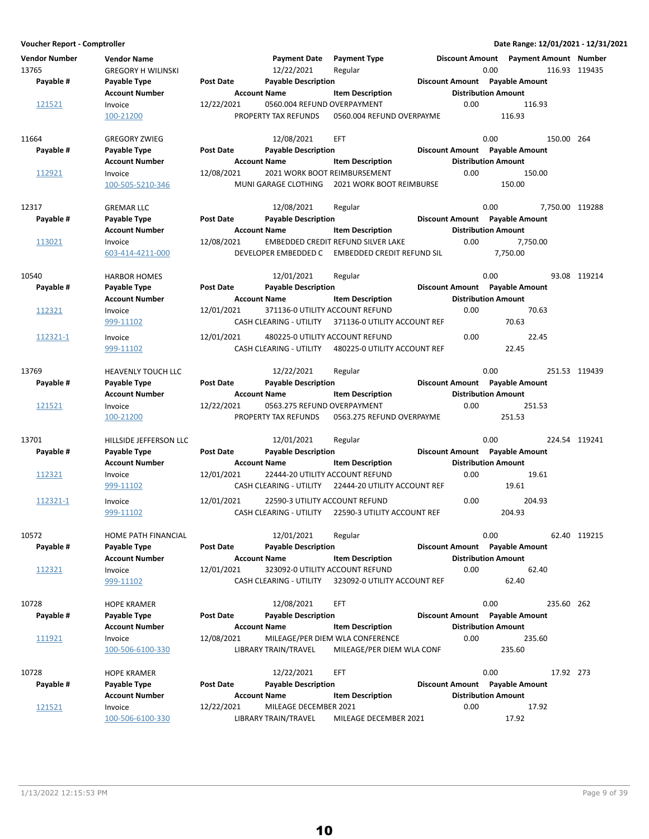| <b>Vendor Number</b><br>13765<br>Payable # | <b>Vendor Name</b><br><b>GREGORY H WILINSKI</b><br>Payable Type<br><b>Account Number</b> | <b>Post Date</b> | <b>Payment Date</b><br>12/22/2021<br><b>Payable Description</b><br><b>Account Name</b> | <b>Payment Type</b><br>Regular<br><b>Item Description</b> |      | Discount Amount  Payment Amount  Number<br>0.00<br>Discount Amount Payable Amount<br><b>Distribution Amount</b> |            | 116.93 119435   |
|--------------------------------------------|------------------------------------------------------------------------------------------|------------------|----------------------------------------------------------------------------------------|-----------------------------------------------------------|------|-----------------------------------------------------------------------------------------------------------------|------------|-----------------|
| 121521                                     | Invoice                                                                                  | 12/22/2021       | 0560.004 REFUND OVERPAYMENT                                                            |                                                           | 0.00 | 116.93                                                                                                          |            |                 |
|                                            | 100-21200                                                                                |                  | PROPERTY TAX REFUNDS                                                                   | 0560.004 REFUND OVERPAYME                                 |      | 116.93                                                                                                          |            |                 |
| 11664                                      | <b>GREGORY ZWIEG</b>                                                                     |                  | 12/08/2021                                                                             | EFT                                                       |      | 0.00                                                                                                            | 150.00 264 |                 |
| Payable #                                  | Payable Type                                                                             | <b>Post Date</b> | <b>Payable Description</b>                                                             |                                                           |      | Discount Amount Payable Amount                                                                                  |            |                 |
|                                            | <b>Account Number</b>                                                                    |                  | <b>Account Name</b>                                                                    | <b>Item Description</b>                                   |      | <b>Distribution Amount</b>                                                                                      |            |                 |
| 112921                                     | Invoice<br>100-505-5210-346                                                              | 12/08/2021       | 2021 WORK BOOT REIMBURSEMENT<br>MUNI GARAGE CLOTHING                                   | 2021 WORK BOOT REIMBURSE                                  | 0.00 | 150.00<br>150.00                                                                                                |            |                 |
| 12317                                      | <b>GREMAR LLC</b>                                                                        |                  | 12/08/2021                                                                             | Regular                                                   |      | 0.00                                                                                                            |            | 7,750.00 119288 |
| Payable #                                  | Payable Type                                                                             | <b>Post Date</b> | <b>Payable Description</b>                                                             |                                                           |      | Discount Amount Payable Amount                                                                                  |            |                 |
|                                            | <b>Account Number</b>                                                                    |                  | <b>Account Name</b>                                                                    | <b>Item Description</b>                                   |      | <b>Distribution Amount</b>                                                                                      |            |                 |
| 113021                                     | Invoice                                                                                  | 12/08/2021       |                                                                                        | EMBEDDED CREDIT REFUND SILVER LAKE                        | 0.00 | 7,750.00                                                                                                        |            |                 |
|                                            | 603-414-4211-000                                                                         |                  | DEVELOPER EMBEDDED C                                                                   | EMBEDDED CREDIT REFUND SIL                                |      | 7,750.00                                                                                                        |            |                 |
| 10540                                      | <b>HARBOR HOMES</b>                                                                      |                  | 12/01/2021                                                                             | Regular                                                   |      | 0.00                                                                                                            |            | 93.08 119214    |
| Payable #                                  | Payable Type                                                                             | Post Date        | <b>Payable Description</b>                                                             |                                                           |      | Discount Amount Payable Amount                                                                                  |            |                 |
|                                            | <b>Account Number</b>                                                                    |                  | <b>Account Name</b>                                                                    | <b>Item Description</b>                                   |      | <b>Distribution Amount</b>                                                                                      |            |                 |
| 112321                                     | Invoice                                                                                  | 12/01/2021       | 371136-0 UTILITY ACCOUNT REFUND                                                        |                                                           | 0.00 | 70.63                                                                                                           |            |                 |
|                                            | 999-11102                                                                                |                  | CASH CLEARING - UTILITY                                                                | 371136-0 UTILITY ACCOUNT REF                              |      | 70.63                                                                                                           |            |                 |
| 112321-1                                   | Invoice                                                                                  | 12/01/2021       | 480225-0 UTILITY ACCOUNT REFUND                                                        |                                                           | 0.00 | 22.45                                                                                                           |            |                 |
|                                            | 999-11102                                                                                |                  | <b>CASH CLEARING - UTILITY</b>                                                         | 480225-0 UTILITY ACCOUNT REF                              |      | 22.45                                                                                                           |            |                 |
| 13769                                      | HEAVENLY TOUCH LLC                                                                       |                  | 12/22/2021                                                                             | Regular                                                   |      | 0.00                                                                                                            |            | 251.53 119439   |
| Payable #                                  | Payable Type                                                                             | Post Date        | <b>Payable Description</b>                                                             |                                                           |      | Discount Amount Payable Amount                                                                                  |            |                 |
|                                            | <b>Account Number</b>                                                                    |                  | <b>Account Name</b>                                                                    | <b>Item Description</b>                                   |      | <b>Distribution Amount</b>                                                                                      |            |                 |
| 121521                                     | Invoice                                                                                  | 12/22/2021       | 0563.275 REFUND OVERPAYMENT                                                            |                                                           | 0.00 | 251.53                                                                                                          |            |                 |
|                                            | 100-21200                                                                                |                  | PROPERTY TAX REFUNDS                                                                   | 0563.275 REFUND OVERPAYME                                 |      | 251.53                                                                                                          |            |                 |
| 13701                                      | HILLSIDE JEFFERSON LLC                                                                   |                  | 12/01/2021                                                                             | Regular                                                   |      | 0.00                                                                                                            |            | 224.54 119241   |
| Payable #                                  | Payable Type                                                                             | <b>Post Date</b> | <b>Payable Description</b>                                                             |                                                           |      | Discount Amount Payable Amount                                                                                  |            |                 |
|                                            | <b>Account Number</b>                                                                    |                  | <b>Account Name</b>                                                                    | <b>Item Description</b>                                   |      | <b>Distribution Amount</b>                                                                                      |            |                 |
| 112321                                     | Invoice                                                                                  | 12/01/2021       | 22444-20 UTILITY ACCOUNT REFUND                                                        |                                                           | 0.00 | 19.61                                                                                                           |            |                 |
|                                            | 999-11102                                                                                |                  | CASH CLEARING - UTILITY                                                                | 22444-20 UTILITY ACCOUNT REF                              |      | 19.61                                                                                                           |            |                 |
| 112321-1                                   | Invoice                                                                                  | 12/01/2021       | 22590-3 UTILITY ACCOUNT REFUND                                                         |                                                           | 0.00 | 204.93                                                                                                          |            |                 |
|                                            | 999-11102                                                                                |                  | CASH CLEARING - UTILITY                                                                | 22590-3 UTILITY ACCOUNT REF                               |      | 204.93                                                                                                          |            |                 |
| 10572                                      | HOME PATH FINANCIAL                                                                      |                  | 12/01/2021                                                                             | Regular                                                   |      | 0.00                                                                                                            |            | 62.40 119215    |
| Payable #                                  | Payable Type                                                                             | <b>Post Date</b> | <b>Payable Description</b>                                                             |                                                           |      | Discount Amount Payable Amount                                                                                  |            |                 |
|                                            | <b>Account Number</b>                                                                    |                  | <b>Account Name</b>                                                                    | <b>Item Description</b>                                   |      | <b>Distribution Amount</b>                                                                                      |            |                 |
| 112321                                     | Invoice                                                                                  | 12/01/2021       | 323092-0 UTILITY ACCOUNT REFUND                                                        |                                                           | 0.00 | 62.40                                                                                                           |            |                 |
|                                            | 999-11102                                                                                |                  | CASH CLEARING - UTILITY                                                                | 323092-0 UTILITY ACCOUNT REF                              |      | 62.40                                                                                                           |            |                 |
| 10728                                      | <b>HOPE KRAMER</b>                                                                       |                  | 12/08/2021                                                                             | EFT                                                       |      | 0.00                                                                                                            | 235.60 262 |                 |
| Payable #                                  | Payable Type                                                                             | <b>Post Date</b> | <b>Payable Description</b>                                                             |                                                           |      | Discount Amount Payable Amount                                                                                  |            |                 |
|                                            | <b>Account Number</b>                                                                    |                  | <b>Account Name</b>                                                                    | <b>Item Description</b>                                   |      | <b>Distribution Amount</b>                                                                                      |            |                 |
| 111921                                     | Invoice                                                                                  | 12/08/2021       |                                                                                        | MILEAGE/PER DIEM WLA CONFERENCE                           | 0.00 | 235.60                                                                                                          |            |                 |
|                                            | 100-506-6100-330                                                                         |                  | LIBRARY TRAIN/TRAVEL                                                                   | MILEAGE/PER DIEM WLA CONF                                 |      | 235.60                                                                                                          |            |                 |
| 10728                                      | <b>HOPE KRAMER</b>                                                                       |                  | 12/22/2021                                                                             | EFT                                                       |      | 0.00                                                                                                            | 17.92 273  |                 |
| Payable #                                  | Payable Type                                                                             | <b>Post Date</b> | <b>Payable Description</b>                                                             |                                                           |      | Discount Amount Payable Amount                                                                                  |            |                 |
|                                            | <b>Account Number</b>                                                                    |                  | <b>Account Name</b>                                                                    | <b>Item Description</b>                                   |      | <b>Distribution Amount</b>                                                                                      |            |                 |
| 121521                                     | Invoice                                                                                  | 12/22/2021       | MILEAGE DECEMBER 2021                                                                  |                                                           | 0.00 | 17.92                                                                                                           |            |                 |
|                                            | 100-506-6100-330                                                                         |                  | LIBRARY TRAIN/TRAVEL                                                                   | MILEAGE DECEMBER 2021                                     |      | 17.92                                                                                                           |            |                 |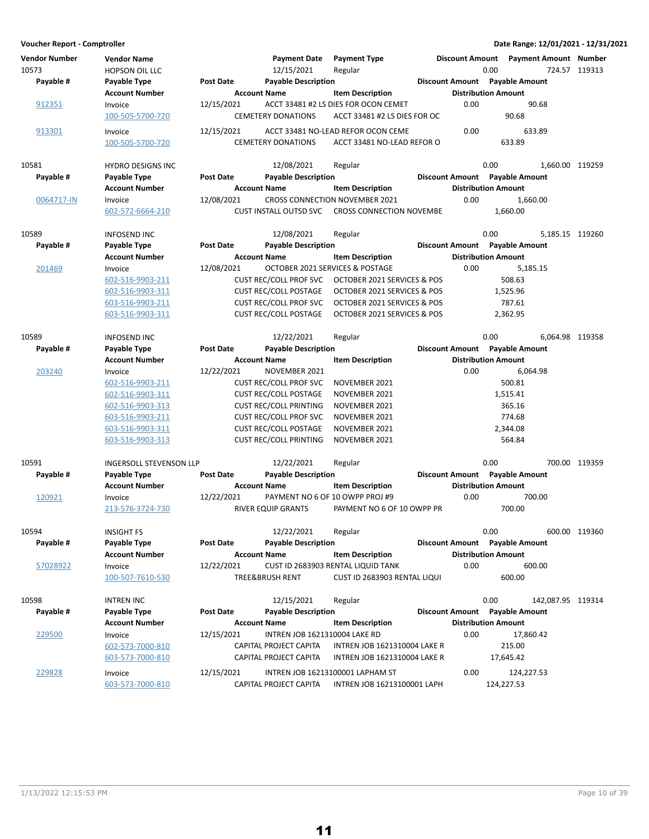| Voucher Report - Comptroller  |                                             |                  |                                   |                                                                        |                        |                                |                              | Date Range: 12/01/2021 - 12/31/2021 |
|-------------------------------|---------------------------------------------|------------------|-----------------------------------|------------------------------------------------------------------------|------------------------|--------------------------------|------------------------------|-------------------------------------|
| <b>Vendor Number</b><br>10573 | <b>Vendor Name</b><br><b>HOPSON OIL LLC</b> |                  | <b>Payment Date</b><br>12/15/2021 | <b>Payment Type</b><br>Regular                                         | <b>Discount Amount</b> | 0.00                           | <b>Payment Amount Number</b> | 724.57 119313                       |
| Payable #                     | Payable Type                                | <b>Post Date</b> | <b>Payable Description</b>        |                                                                        |                        | Discount Amount Payable Amount |                              |                                     |
|                               | <b>Account Number</b>                       |                  | <b>Account Name</b>               | <b>Item Description</b>                                                |                        | <b>Distribution Amount</b>     |                              |                                     |
| 912351                        | Invoice                                     | 12/15/2021       |                                   | ACCT 33481 #2 LS DIES FOR OCON CEMET                                   | 0.00                   |                                | 90.68                        |                                     |
|                               | 100-505-5700-720                            |                  | <b>CEMETERY DONATIONS</b>         | ACCT 33481 #2 LS DIES FOR OC                                           |                        | 90.68                          |                              |                                     |
| 913301                        | Invoice                                     | 12/15/2021       |                                   | ACCT 33481 NO-LEAD REFOR OCON CEME                                     | 0.00                   |                                | 633.89                       |                                     |
|                               | 100-505-5700-720                            |                  | <b>CEMETERY DONATIONS</b>         | ACCT 33481 NO-LEAD REFOR O                                             |                        | 633.89                         |                              |                                     |
| 10581                         | <b>HYDRO DESIGNS INC</b>                    |                  | 12/08/2021                        | Regular                                                                |                        | 0.00                           | 1,660.00 119259              |                                     |
| Payable #                     | Payable Type                                | <b>Post Date</b> | <b>Payable Description</b>        |                                                                        |                        | Discount Amount Payable Amount |                              |                                     |
|                               | <b>Account Number</b>                       |                  | <b>Account Name</b>               | <b>Item Description</b>                                                |                        | <b>Distribution Amount</b>     |                              |                                     |
| 0064717-IN                    | Invoice                                     | 12/08/2021       |                                   | <b>CROSS CONNECTION NOVEMBER 2021</b>                                  | 0.00                   | 1,660.00                       |                              |                                     |
|                               | 602-572-6664-210                            |                  | <b>CUST INSTALL OUTSD SVC</b>     | <b>CROSS CONNECTION NOVEMBE</b>                                        |                        | 1,660.00                       |                              |                                     |
| 10589                         | <b>INFOSEND INC</b>                         |                  | 12/08/2021                        | Regular                                                                |                        | 0.00                           | 5,185.15 119260              |                                     |
| Payable #                     | Payable Type                                | <b>Post Date</b> | <b>Payable Description</b>        |                                                                        |                        | Discount Amount Payable Amount |                              |                                     |
|                               | <b>Account Number</b>                       |                  | <b>Account Name</b>               | <b>Item Description</b>                                                |                        | <b>Distribution Amount</b>     |                              |                                     |
| 201469                        | Invoice                                     | 12/08/2021       |                                   | OCTOBER 2021 SERVICES & POSTAGE                                        | 0.00                   | 5,185.15                       |                              |                                     |
|                               | 602-516-9903-211                            |                  | <b>CUST REC/COLL PROF SVC</b>     | OCTOBER 2021 SERVICES & POS                                            |                        | 508.63                         |                              |                                     |
|                               | 602-516-9903-311                            |                  | <b>CUST REC/COLL POSTAGE</b>      | OCTOBER 2021 SERVICES & POS                                            |                        | 1,525.96                       |                              |                                     |
|                               | 603-516-9903-211                            |                  | <b>CUST REC/COLL PROF SVC</b>     | OCTOBER 2021 SERVICES & POS                                            |                        | 787.61                         |                              |                                     |
|                               | 603-516-9903-311                            |                  | <b>CUST REC/COLL POSTAGE</b>      | OCTOBER 2021 SERVICES & POS                                            |                        | 2,362.95                       |                              |                                     |
| 10589                         | <b>INFOSEND INC</b>                         |                  | 12/22/2021                        | Regular                                                                |                        | 0.00                           | 6,064.98 119358              |                                     |
| Payable #                     | Payable Type                                | <b>Post Date</b> | <b>Payable Description</b>        |                                                                        |                        | Discount Amount Payable Amount |                              |                                     |
|                               | <b>Account Number</b>                       |                  | <b>Account Name</b>               | <b>Item Description</b>                                                |                        | <b>Distribution Amount</b>     |                              |                                     |
| 203240                        | Invoice                                     | 12/22/2021       | NOVEMBER 2021                     |                                                                        | 0.00                   | 6,064.98                       |                              |                                     |
|                               | 602-516-9903-211                            |                  | <b>CUST REC/COLL PROF SVC</b>     | NOVEMBER 2021                                                          |                        | 500.81                         |                              |                                     |
|                               | 602-516-9903-311                            |                  | <b>CUST REC/COLL POSTAGE</b>      | NOVEMBER 2021                                                          |                        | 1,515.41                       |                              |                                     |
|                               | 602-516-9903-313                            |                  | <b>CUST REC/COLL PRINTING</b>     | NOVEMBER 2021                                                          |                        | 365.16                         |                              |                                     |
|                               | 603-516-9903-211                            |                  | <b>CUST REC/COLL PROF SVC</b>     | NOVEMBER 2021                                                          |                        | 774.68                         |                              |                                     |
|                               | 603-516-9903-311                            |                  | <b>CUST REC/COLL POSTAGE</b>      | NOVEMBER 2021                                                          |                        | 2,344.08                       |                              |                                     |
|                               | 603-516-9903-313                            |                  | <b>CUST REC/COLL PRINTING</b>     | NOVEMBER 2021                                                          |                        | 564.84                         |                              |                                     |
|                               |                                             |                  |                                   |                                                                        |                        |                                |                              |                                     |
| 10591                         | INGERSOLL STEVENSON LLP                     |                  | 12/22/2021                        | Regular                                                                |                        | 0.00                           |                              | 700.00 119359                       |
| Payable #                     | Payable Type                                | Post Date        | <b>Payable Description</b>        |                                                                        |                        | Discount Amount Payable Amount |                              |                                     |
|                               | <b>Account Number</b>                       |                  | <b>Account Name</b>               | <b>Item Description</b>                                                |                        | <b>Distribution Amount</b>     |                              |                                     |
| 120921                        | Invoice                                     | 12/22/2021       |                                   | PAYMENT NO 6 OF 10 OWPP PROJ #9                                        | 0.00                   |                                | 700.00                       |                                     |
|                               | 213-576-3724-730                            |                  | RIVER EQUIP GRANTS                | PAYMENT NO 6 OF 10 OWPP PR                                             |                        | 700.00                         |                              |                                     |
| 10594                         | <b>INSIGHT FS</b>                           |                  | 12/22/2021                        | Regular                                                                |                        | 0.00                           |                              | 600.00 119360                       |
| Payable #                     | Payable Type                                | <b>Post Date</b> | <b>Payable Description</b>        |                                                                        |                        | Discount Amount Payable Amount |                              |                                     |
|                               | <b>Account Number</b>                       |                  | <b>Account Name</b>               | <b>Item Description</b>                                                |                        | <b>Distribution Amount</b>     |                              |                                     |
| 57028922                      | Invoice                                     | 12/22/2021       |                                   | CUST ID 2683903 RENTAL LIQUID TANK                                     | 0.00                   |                                | 600.00                       |                                     |
|                               | 100-507-7610-530                            |                  | <b>TREE&amp;BRUSH RENT</b>        | CUST ID 2683903 RENTAL LIQUI                                           |                        | 600.00                         |                              |                                     |
| 10598                         | <b>INTREN INC</b>                           |                  | 12/15/2021                        | Regular                                                                |                        | 0.00                           | 142,087.95 119314            |                                     |
| Payable #                     | Payable Type                                | <b>Post Date</b> | <b>Payable Description</b>        |                                                                        |                        | Discount Amount Payable Amount |                              |                                     |
|                               | <b>Account Number</b>                       |                  | <b>Account Name</b>               | <b>Item Description</b>                                                |                        | <b>Distribution Amount</b>     |                              |                                     |
| 229500                        | Invoice                                     | 12/15/2021       | INTREN JOB 1621310004 LAKE RD     |                                                                        | 0.00                   | 17,860.42                      |                              |                                     |
|                               | 602-573-7000-810                            |                  | CAPITAL PROJECT CAPITA            | <b>INTREN JOB 1621310004 LAKE R</b>                                    |                        | 215.00                         |                              |                                     |
|                               | 603-573-7000-810                            |                  | CAPITAL PROJECT CAPITA            | <b>INTREN JOB 1621310004 LAKE R</b>                                    |                        | 17,645.42                      |                              |                                     |
|                               |                                             |                  |                                   |                                                                        |                        |                                |                              |                                     |
| 229828                        | Invoice<br>603-573-7000-810                 | 12/15/2021       | CAPITAL PROJECT CAPITA            | <b>INTREN JOB 16213100001 LAPHAM ST</b><br>INTREN JOB 16213100001 LAPH | 0.00                   | 124,227.53<br>124,227.53       |                              |                                     |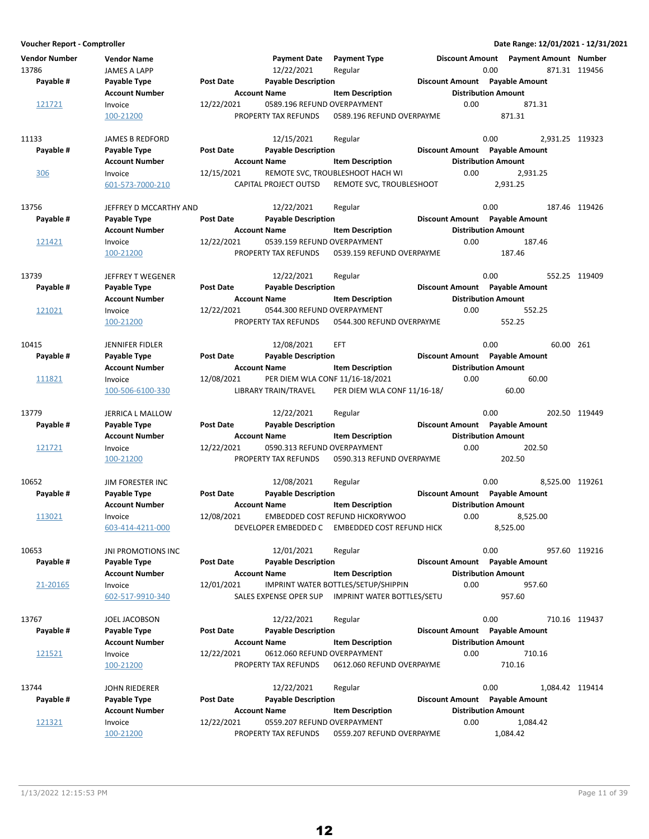**Voucher Report - Comptroller Date Range: 12/01/2021 - 12/31/2021 Vendor Number Vendor Name Payment Date Discount Amount Payment Type Payment Amount Number** 13786 JAMES A LAPP 12/22/2021 Regular 120 8871.31 119456 871.31 119456 **Account Number Account Name Item Description Distribution Amount** Payable # Payable Type **Post Date Payable Description Payable Amount** Payable Amount  $\frac{121721}{100\cdot 21200}$  Invoice  $\frac{12}{22/22}$   $\frac{12}{22/2021}$   $\frac{0.589.196}{0.0589.196}$  REFUND OVERPAYME  $\frac{871.31}{0.00}$  871.31 0589.196 REFUND OVERPAYME 11133 JAMES B REDFORD 12/15/2021 Regular 1998 10.00 2,931.25 119323 **Account Number 19 Account Name 12 Account Distribution Amount** Payable # Payable Type **Post Date Payable Description Payable Amount** Payable Amount 306 Invoice 12/15/2021 REMOTE SVC, TROUBLESHOOT HACH WI 2,931.25 0.00 601-573-7000-210 CAPITAL PROJECT OUTSD 2,931.25 REMOTE SVC, TROUBLESHOOT 13756 JEFFREY D MCCARTHY AND 12/22/2021 Regular 13756 0.00 187.46 119426 **Account Number Account Name Item Description Distribution Amount Payable # Post Date Payable Description Payable Amount Payable Type Discount Amount** 121421 Invoice 12/22/2021 0539.159 REFUND OVERPAYMENT 0.00 187.46 100-21200 PROPERTY TAX REFUNDS 187.46 0539.159 REFUND OVERPAYME 13739 JEFFREY T WEGENER 12/22/2021 Regular 120 0.00 552.25 119409 **Account Number 19 Account Name 12 Account Distribution Amount** Payable # Payable Type Post Date Payable Description **Payable Description** Discount Amount Payable Amount  $\frac{121021}{100}$  Invoice  $\frac{12}{22}$ /22/2021 0544.300 REFUND OVERPAYMENT 0.00 552.25 0.00 552.25 PROPERTY TAX REFUNDS 0544.300 REFUND OVERPAYME 100-21200 PROPERTY TAX REFUNDS 552.25 0544.300 REFUND OVERPAYME 10415 10115 JENNIFER FIDLER 12/08/2021 EFT 10.00 0.00 60.00 261 **Account Number Account Name Item Description Distribution Amount Payable # Payable Type Post Date Payable Description Discount Amount Payable Amount** 111821 Invoice 12/08/2021 PER DIEM WLA CONF 11/16-18/2021 0.00 60.00 100-506-6100-330 LIBRARY TRAIN/TRAVEL 60.00 PER DIEM WLA CONF 11/16-18/ 13779 JERRICA L MALLOW 12/22/2021 Regular 1997 10.00 202.50 119449 **Account Number 6 Account Name 12 Account Name** Item Description 1995 Distribution Amount Payable # Payable Type **Post Date Payable Description Payable Amount** Payable Amount 121721 Invoice 12/22/2021 0590.313 REFUND OVERPAYMENT 202.50 0.00 100-21200 PROPERTY TAX REFUNDS 202.50 0590.313 REFUND OVERPAYME 10652 JIM FORESTER INC 119261 12/08/2021 Regular 10652 0.00 8,525.00 119261 **Account Number 19 Account Name 12 Account Distribution Amount** Payable # Payable Type **Post Date Payable Description Payable Besount Amount** Payable Amount 113021 Invoice 12/08/2021 EMBEDDED COST REFUND HICKORYWOO 0.00 8,525.00 603-414-4211-000 DEVELOPER EMBEDDED C 8,525.00 EMBEDDED COST REFUND HICK 10653 JNI PROMOTIONS INC 12/01/2021 Regular 100653 0.00 957.60 119216 **Account Number Account Name Item Description Distribution Amount** Payable # Payable Type Post Date Payable Description **Payable Discount Amount** Payable Amount 21-20165 Invoice 12/01/2021 IMPRINT WATER BOTTLES/SETUP/SHIPPIN 957.60 0.00 602-517-9910-340 SALES EXPENSE OPER SUP 957.60 IMPRINT WATER BOTTLES/SETU 13767 10.16 JOEL JACOBSON 12/22/2021 Regular 119437 10.00 710.16 119437 **Account Number Account Name Item Description Construction Amount Amount Number** Account Name Payable # Payable Type **Post Date Payable Description Payable Amount** Payable Amount 121521 Invoice 12/22/2021 0612.060 REFUND OVERPAYMENT 710.16 0.00 100-21200 PROPERTY TAX REFUNDS 710.16 0612.060 REFUND OVERPAYME 13744 13744 JOHN RIEDERER 12/22/2021 Regular 119414 12/22/2021 Regular 10.00 1,084.42 119414 **Account Number 6 Account Name 12 Account Distribution Amount** Payable # Payable Type **Post Date Payable Description Payable Amount** Payable Amount 121321 Invoice 12/22/2021 0559.207 REFUND OVERPAYMENT 0.00 1,084.42 100-21200 PROPERTY TAX REFUNDS 1,084.42 0559.207 REFUND OVERPAYME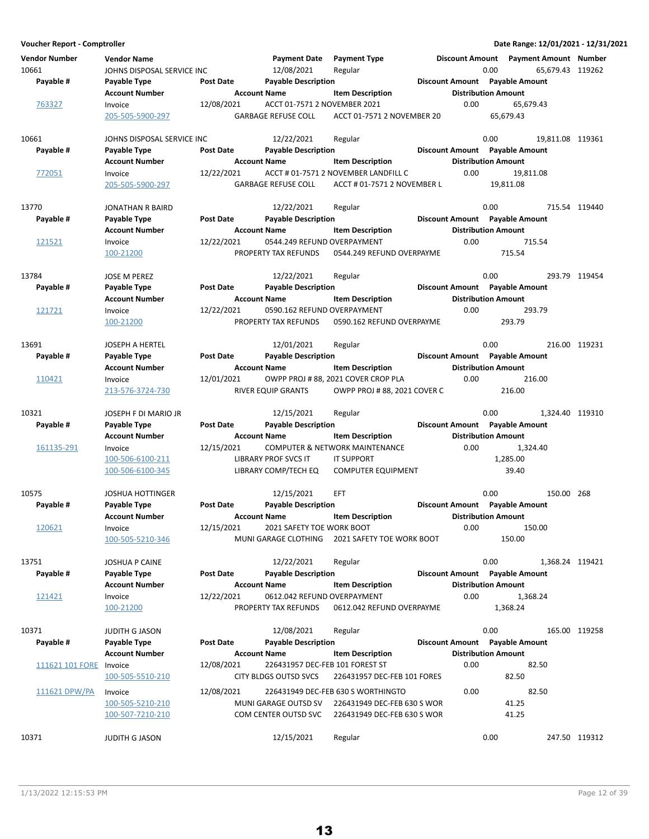**Voucher Report - Comptroller Date Range: 12/01/2021 - 12/31/2021 Vendor Number Vendor Name Payment Date Discount Amount Payment Type Payment Amount Number** 10661 JOHNS DISPOSAL SERVICE INC 12/08/2021 Regular 1000 0.00 65,679.43 119262 **Account Number 19 Account Name** Item Description 1995 Distribution Amount Payable # Payable Type **Post Date Payable Description Payable Amount** Payable Amount 763327 Invoice 12/08/2021 ACCT 01-7571 2 NOVEMBER 2021 0.00 65,679.43<br>205-505-5900-297 GARBAGE REFUSE COLL ACCT 01-7571 2 NOVEMBER 20 65.679.43 205-505-5900-297 GARBAGE REFUSE COLL 65,679.43 ACCT 01-7571 2 NOVEMBER 20 10661 JOHNS DISPOSAL SERVICE INC 12/22/2021 Regular 10661 0.00 19,811.08 119361 **Account Number 19 Account Name 12 Account Distribution Amount** Payable # Payable Type **Post Date Payable Description Payable Amount** Payable Amount 772051 Invoice 12/22/2021 ACCT # 01-7571 2 NOVEMBER LANDFILL C 0.00 19,811.08 205-505-5900-297 GARBAGE REFUSE COLL ACCT # 01-7571 2 NOVEMBER L 19,811.08 13770 JONATHAN R BAIRD 12/22/2021 119440 Regular 0.00 715.54 **Account Number Account Name Item Description Distribution Amount** Payable # Payable Type Post Date Payable Description **Payable Description** Discount Amount Payable Amount 121521 Invoice 12/22/2021 0544.249 REFUND OVERPAYMENT 0.00 715.54 100-21200 PROPERTY TAX REFUNDS 715.54 0544.249 REFUND OVERPAYME 13784 13784 JOSE M PEREZ 119454 12/22/2021 Regular 13784 1200 0.00 293.79 119454 **Account Number 19 Account Name 12 Account Distribution Amount** Payable # Payable Type Post Date Payable Description **Payable Description** Discount Amount Payable Amount 121721 Invoice 12/22/2021 0590.162 REFUND OVERPAYMENT 0.00 293.79 100-21200 PROPERTY TAX REFUNDS 293.79 0590.162 REFUND OVERPAYME 13691 JOSEPH A HERTEL 12/01/2021 119231 Regular 0.00 216.00 **Account Number 6 Account Name 19 Account Distribution Amount** Payable # Payable Type **Post Date Payable Description Payable Amount** Payable Amount 110421 Invoice 12/01/2021 OWPP PROJ # 88, 2021 COVER CROP PLA 0.00 216.00 213-576-3724-730 RIVER EQUIP GRANTS 216.00 OWPP PROJ # 88, 2021 COVER C 10321 103EPH F DI MARIO JR 102/15/2021 Regular 12/15/2021 120310 10321 119310 **Account Number 6 Account Name 12 Account Distribution Amount** Payable # Payable Type **Post Date Payable Description Payable Amount** Payable Amount 161135-291 Invoice 12/15/2021 COMPUTER & NETWORK MAINTENANCE 0.00 1,324.40<br>100-506-6100-211 UBRARY PROF SVCS IT IT SUPPORT 1,285.00 LIBRARY PROF SVCS IT IT SUPPORT 1.285.00 100-506-6100-345 LIBRARY COMP/TECH EQ COMPUTER EQUIPMENT 39.40 10575 JOSHUA HOTTINGER 12/15/2021 EFT 0.00 150.00 268 **Account Number**  Account Name Item Description **Internal Distribution Amount** Payable # Payable Type Post Date Payable Description **Payable Discount Amount** Payable Amount 12/15/2021 12/15/2021 12021 SAFETY TOE WORK BOOT 10.00 150.00 100-505-5210-346 MUNI GARAGE CLOTHING 150.00 2021 SAFETY TOE WORK BOOT 13751 13751 JOSHUA P CAINE 19421 12/22/2021 Regular 13751 10.00 1,368.24 119421 **Account Number 19 Account Name 19 Account Name Item Description 19 Account Name Item Distribution Amount** Payable # Payable Type **Past Date Payable Description Payable Amount** Payable Amount 121421 Invoice 12/22/2021 0612.042 REFUND OVERPAYMENT 0.00 1,368.24 100-21200 PROPERTY TAX REFUNDS 0612.042 REFUND OVERPAYME 1,368.24 10371 10371 JUDITH G JASON 19258 12/08/2021 Regular 10371 10371 0.00 165.00 119258 **Account Number Account Name Item Description Construction Amount Amount Number** Account Name Payable # Payable Type **Post Date Payable Description Payable Amount** Payable Amount 111621 101 FORE Invoice **12/08/2021** 226431957 DEC-FEB 101 FOREST ST **82.50** 0.00 82.50 100-505-5510-210 CITY BLDGS OUTSD SVCS 82.50 226431957 DEC-FEB 101 FORES 111621 DPW/PA Invoice 12/08/2021 226431949 DEC-FEB 630 S WORTHINGTO 82.50 0.00 100-505-5210-210 MUNI GARAGE OUTSD SV 41.25 226431949 DEC-FEB 630 S WOR 100-507-7210-210 COM CENTER OUTSD SVC 226431949 DEC-FEB 630 S WOR 41.25 10371 10371 JUDITH G JASON 19312 Regular Regular Regular 10371 0.00 247.50 119312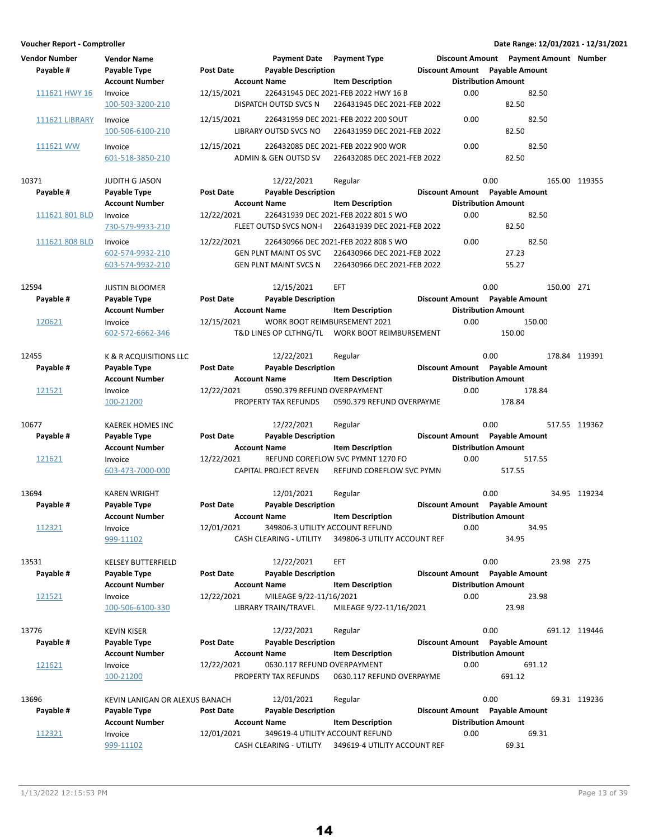| Voucher Report - Comptroller      |                                                                             |                                                       |                                                                               |                                                                                                    |                                            | Date Range: 12/01/2021 - 12/31/2021                                       |            |               |
|-----------------------------------|-----------------------------------------------------------------------------|-------------------------------------------------------|-------------------------------------------------------------------------------|----------------------------------------------------------------------------------------------------|--------------------------------------------|---------------------------------------------------------------------------|------------|---------------|
| <b>Vendor Number</b><br>Payable # | <b>Vendor Name</b><br>Payable Type<br><b>Account Number</b>                 | <b>Post Date</b><br><b>Account Name</b>               | <b>Payment Date</b><br><b>Payable Description</b>                             | <b>Payment Type</b><br><b>Item Description</b>                                                     | <b>Distribution Amount</b>                 | Discount Amount  Payment Amount  Number<br>Discount Amount Payable Amount |            |               |
| 111621 HWY 16                     | Invoice<br>100-503-3200-210                                                 | 12/15/2021                                            | DISPATCH OUTSD SVCS N                                                         | 226431945 DEC 2021-FEB 2022 HWY 16 B<br>226431945 DEC 2021-FEB 2022                                | 0.00                                       | 82.50<br>82.50                                                            |            |               |
| <b>111621 LIBRARY</b>             | Invoice<br>100-506-6100-210                                                 | 12/15/2021                                            | LIBRARY OUTSD SVCS NO                                                         | 226431959 DEC 2021-FEB 2022 200 SOUT<br>226431959 DEC 2021-FEB 2022                                | 0.00                                       | 82.50<br>82.50                                                            |            |               |
| 111621 WW                         | Invoice<br>601-518-3850-210                                                 | 12/15/2021                                            | ADMIN & GEN OUTSD SV                                                          | 226432085 DEC 2021-FEB 2022 900 WOR<br>226432085 DEC 2021-FEB 2022                                 | 0.00                                       | 82.50<br>82.50                                                            |            |               |
| 10371<br>Payable #                | <b>JUDITH G JASON</b><br>Payable Type<br><b>Account Number</b>              | <b>Post Date</b><br><b>Account Name</b>               | 12/22/2021<br><b>Payable Description</b>                                      | Regular<br><b>Item Description</b>                                                                 | 0.00<br><b>Distribution Amount</b>         | Discount Amount Payable Amount                                            |            | 165.00 119355 |
| 111621 801 BLD                    | Invoice<br>730-579-9933-210                                                 | 12/22/2021                                            | FLEET OUTSD SVCS NON-I                                                        | 226431939 DEC 2021-FEB 2022 801 S WO<br>226431939 DEC 2021-FEB 2022                                | 0.00                                       | 82.50<br>82.50                                                            |            |               |
| 111621 808 BLD                    | Invoice<br>602-574-9932-210<br>603-574-9932-210                             | 12/22/2021                                            | <b>GEN PLNT MAINT OS SVC</b><br><b>GEN PLNT MAINT SVCS N</b>                  | 226430966 DEC 2021-FEB 2022 808 S WO<br>226430966 DEC 2021-FEB 2022<br>226430966 DEC 2021-FEB 2022 | 0.00                                       | 82.50<br>27.23<br>55.27                                                   |            |               |
| 12594<br>Payable #                | <b>JUSTIN BLOOMER</b>                                                       | Post Date                                             | 12/15/2021<br><b>Payable Description</b>                                      | EFT                                                                                                | 0.00                                       | Discount Amount Payable Amount                                            | 150.00 271 |               |
| 120621                            | Payable Type<br><b>Account Number</b><br>Invoice<br>602-572-6662-346        | <b>Account Name</b><br>12/15/2021                     | WORK BOOT REIMBURSEMENT 2021                                                  | <b>Item Description</b><br>T&D LINES OP CLTHNG/TL  WORK BOOT REIMBURSEMENT                         | <b>Distribution Amount</b><br>0.00         | 150.00<br>150.00                                                          |            |               |
| 12455<br>Payable #<br>121521      | K & R ACQUISITIONS LLC<br>Payable Type<br><b>Account Number</b><br>Invoice  | Post Date<br><b>Account Name</b><br>12/22/2021        | 12/22/2021<br><b>Payable Description</b><br>0590.379 REFUND OVERPAYMENT       | Regular<br><b>Item Description</b>                                                                 | 0.00<br><b>Distribution Amount</b><br>0.00 | Discount Amount Payable Amount<br>178.84                                  |            | 178.84 119391 |
|                                   | 100-21200                                                                   |                                                       | PROPERTY TAX REFUNDS                                                          | 0590.379 REFUND OVERPAYME                                                                          |                                            | 178.84                                                                    |            |               |
| 10677<br>Payable #<br>121621      | <b>KAEREK HOMES INC</b><br>Payable Type<br><b>Account Number</b><br>Invoice | <b>Post Date</b><br><b>Account Name</b><br>12/22/2021 | 12/22/2021<br><b>Payable Description</b>                                      | Regular<br><b>Item Description</b><br>REFUND COREFLOW SVC PYMNT 1270 FO                            | 0.00<br><b>Distribution Amount</b><br>0.00 | Discount Amount Payable Amount<br>517.55                                  |            | 517.55 119362 |
|                                   | 603-473-7000-000                                                            |                                                       | CAPITAL PROJECT REVEN                                                         | REFUND COREFLOW SVC PYMN                                                                           |                                            | 517.55                                                                    |            |               |
| 13694<br>Payable #<br>112321      | <b>KAREN WRIGHT</b><br>Payable Type<br><b>Account Number</b><br>Invoice     | <b>Post Date</b><br><b>Account Name</b><br>12/01/2021 | 12/01/2021<br><b>Payable Description</b><br>349806-3 UTILITY ACCOUNT REFUND   | Regular<br><b>Item Description</b>                                                                 | 0.00<br><b>Distribution Amount</b><br>0.00 | Discount Amount Payable Amount<br>34.95                                   |            | 34.95 119234  |
| 13531                             | 999-11102<br><b>KELSEY BUTTERFIELD</b>                                      |                                                       | CASH CLEARING - UTILITY<br>12/22/2021                                         | 349806-3 UTILITY ACCOUNT REF<br>EFT                                                                | 0.00                                       | 34.95                                                                     | 23.98 275  |               |
| Payable #<br>121521               | Payable Type<br><b>Account Number</b><br>Invoice<br>100-506-6100-330        | <b>Post Date</b><br><b>Account Name</b><br>12/22/2021 | <b>Payable Description</b><br>MILEAGE 9/22-11/16/2021<br>LIBRARY TRAIN/TRAVEL | <b>Item Description</b><br>MILEAGE 9/22-11/16/2021                                                 | <b>Distribution Amount</b><br>0.00         | Discount Amount Payable Amount<br>23.98<br>23.98                          |            |               |
| 13776                             | <b>KEVIN KISER</b>                                                          |                                                       | 12/22/2021                                                                    | Regular                                                                                            | 0.00                                       |                                                                           |            | 691.12 119446 |
| Payable #                         | Payable Type<br><b>Account Number</b>                                       | <b>Post Date</b><br><b>Account Name</b>               | <b>Payable Description</b>                                                    | <b>Item Description</b>                                                                            | <b>Distribution Amount</b>                 | Discount Amount Payable Amount                                            |            |               |
| 121621                            | Invoice<br>100-21200                                                        | 12/22/2021                                            | 0630.117 REFUND OVERPAYMENT<br>PROPERTY TAX REFUNDS                           | 0630.117 REFUND OVERPAYME                                                                          | 0.00                                       | 691.12<br>691.12                                                          |            |               |
| 13696<br>Payable #                | KEVIN LANIGAN OR ALEXUS BANACH<br>Payable Type                              | <b>Post Date</b>                                      | 12/01/2021<br><b>Payable Description</b>                                      | Regular                                                                                            | 0.00                                       | Discount Amount Payable Amount                                            |            | 69.31 119236  |
| 112321                            | <b>Account Number</b><br>Invoice<br>999-11102                               | <b>Account Name</b><br>12/01/2021                     | 349619-4 UTILITY ACCOUNT REFUND<br>CASH CLEARING - UTILITY                    | <b>Item Description</b><br>349619-4 UTILITY ACCOUNT REF                                            | <b>Distribution Amount</b><br>0.00         | 69.31<br>69.31                                                            |            |               |

14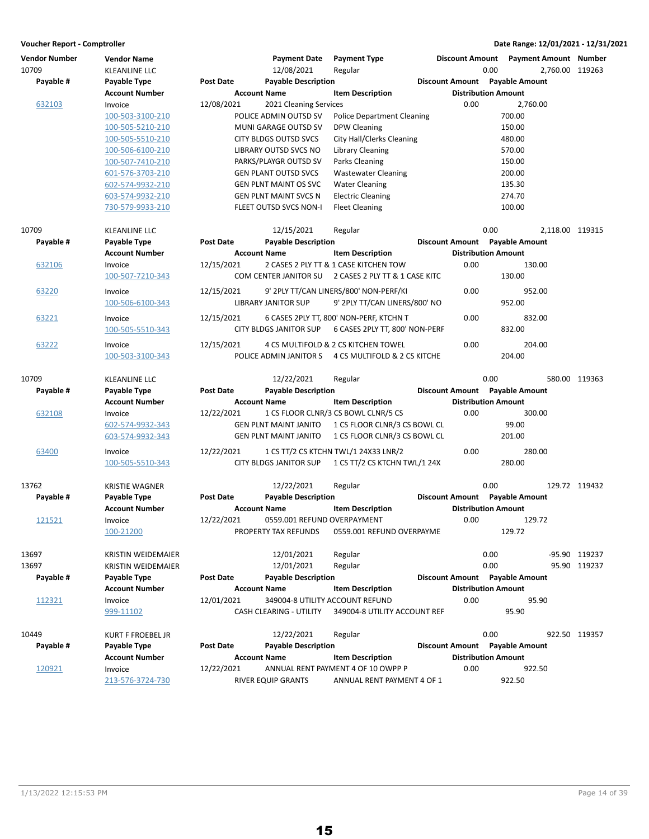| <b>Vendor Number</b><br>10709 | <b>Vendor Name</b><br>KLEANLINE LLC |                  | <b>Payment Date</b><br>12/08/2021  | <b>Payment Type</b><br>Regular          | <b>Discount Amount</b>         | 0.00                       | <b>Payment Amount</b> Number<br>2,760.00 119263 |               |
|-------------------------------|-------------------------------------|------------------|------------------------------------|-----------------------------------------|--------------------------------|----------------------------|-------------------------------------------------|---------------|
| Payable #                     | Payable Type                        | <b>Post Date</b> | <b>Payable Description</b>         |                                         | Discount Amount Payable Amount |                            |                                                 |               |
|                               | <b>Account Number</b>               |                  | <b>Account Name</b>                | <b>Item Description</b>                 |                                | <b>Distribution Amount</b> |                                                 |               |
| 632103                        | Invoice                             | 12/08/2021       | 2021 Cleaning Services             |                                         | 0.00                           |                            | 2,760.00                                        |               |
|                               | 100-503-3100-210                    |                  | POLICE ADMIN OUTSD SV              | <b>Police Department Cleaning</b>       |                                | 700.00                     |                                                 |               |
|                               | 100-505-5210-210                    |                  | MUNI GARAGE OUTSD SV               | <b>DPW Cleaning</b>                     |                                | 150.00                     |                                                 |               |
|                               | 100-505-5510-210                    |                  | CITY BLDGS OUTSD SVCS              | City Hall/Clerks Cleaning               |                                | 480.00                     |                                                 |               |
|                               | 100-506-6100-210                    |                  | LIBRARY OUTSD SVCS NO              | Library Cleaning                        |                                | 570.00                     |                                                 |               |
|                               | 100-507-7410-210                    |                  | PARKS/PLAYGR OUTSD SV              | Parks Cleaning                          |                                | 150.00                     |                                                 |               |
|                               | 601-576-3703-210                    |                  | <b>GEN PLANT OUTSD SVCS</b>        | <b>Wastewater Cleaning</b>              |                                | 200.00                     |                                                 |               |
|                               | 602-574-9932-210                    |                  | <b>GEN PLNT MAINT OS SVC</b>       | <b>Water Cleaning</b>                   |                                | 135.30                     |                                                 |               |
|                               | 603-574-9932-210                    |                  | <b>GEN PLNT MAINT SVCS N</b>       | <b>Electric Cleaning</b>                |                                | 274.70                     |                                                 |               |
|                               | 730-579-9933-210                    |                  | FLEET OUTSD SVCS NON-I             | <b>Fleet Cleaning</b>                   |                                | 100.00                     |                                                 |               |
| 10709                         | <b>KLEANLINE LLC</b>                |                  | 12/15/2021                         | Regular                                 |                                | 0.00                       | 2,118.00 119315                                 |               |
| Payable #                     | Payable Type                        | Post Date        | <b>Payable Description</b>         |                                         | Discount Amount Payable Amount |                            |                                                 |               |
|                               | <b>Account Number</b>               |                  | <b>Account Name</b>                | <b>Item Description</b>                 |                                | <b>Distribution Amount</b> |                                                 |               |
| 632106                        | Invoice                             | 12/15/2021       |                                    | 2 CASES 2 PLY TT & 1 CASE KITCHEN TOW   | 0.00                           |                            | 130.00                                          |               |
|                               | 100-507-7210-343                    |                  | <b>COM CENTER JANITOR SU</b>       | 2 CASES 2 PLY TT & 1 CASE KITC          |                                | 130.00                     |                                                 |               |
| 63220                         | Invoice                             | 12/15/2021       |                                    | 9' 2PLY TT/CAN LINERS/800' NON-PERF/KI  | 0.00                           |                            | 952.00                                          |               |
|                               | 100-506-6100-343                    |                  | <b>LIBRARY JANITOR SUP</b>         | 9' 2PLY TT/CAN LINERS/800' NO           |                                | 952.00                     |                                                 |               |
| 63221                         | Invoice                             | 12/15/2021       |                                    | 6 CASES 2PLY TT, 800' NON-PERF, KTCHN T | 0.00                           |                            | 832.00                                          |               |
|                               | 100-505-5510-343                    |                  | <b>CITY BLDGS JANITOR SUP</b>      | 6 CASES 2PLY TT, 800' NON-PERF          |                                | 832.00                     |                                                 |               |
| 63222                         | Invoice                             | 12/15/2021       |                                    | 4 CS MULTIFOLD & 2 CS KITCHEN TOWEL     | 0.00                           |                            | 204.00                                          |               |
|                               | 100-503-3100-343                    |                  | POLICE ADMIN JANITOR S             | 4 CS MULTIFOLD & 2 CS KITCHE            |                                | 204.00                     |                                                 |               |
|                               |                                     |                  |                                    |                                         |                                |                            |                                                 |               |
| 10709                         | <b>KLEANLINE LLC</b>                |                  | 12/22/2021                         | Regular                                 |                                | 0.00                       |                                                 | 580.00 119363 |
| Payable #                     | Payable Type                        | <b>Post Date</b> | <b>Payable Description</b>         |                                         | Discount Amount Payable Amount |                            |                                                 |               |
|                               | <b>Account Number</b>               |                  | <b>Account Name</b>                | <b>Item Description</b>                 |                                | <b>Distribution Amount</b> |                                                 |               |
| 632108                        | Invoice                             | 12/22/2021       |                                    | 1 CS FLOOR CLNR/3 CS BOWL CLNR/5 CS     | 0.00                           |                            | 300.00                                          |               |
|                               | 602-574-9932-343                    |                  | <b>GEN PLNT MAINT JANITO</b>       | 1 CS FLOOR CLNR/3 CS BOWL CL            |                                |                            | 99.00                                           |               |
|                               | 603-574-9932-343                    |                  | <b>GEN PLNT MAINT JANITO</b>       | 1 CS FLOOR CLNR/3 CS BOWL CL            |                                | 201.00                     |                                                 |               |
| 63400                         | Invoice                             | 12/22/2021       |                                    | 1 CS TT/2 CS KTCHN TWL/1 24X33 LNR/2    | 0.00                           |                            | 280.00                                          |               |
|                               | 100-505-5510-343                    |                  | <b>CITY BLDGS JANITOR SUP</b>      | 1 CS TT/2 CS KTCHN TWL/1 24X            |                                | 280.00                     |                                                 |               |
| 13762                         | <b>KRISTIE WAGNER</b>               |                  | 12/22/2021                         | Regular                                 |                                | 0.00                       |                                                 | 129.72 119432 |
| Payable #                     | Payable Type                        | <b>Post Date</b> | <b>Payable Description</b>         |                                         | Discount Amount Payable Amount |                            |                                                 |               |
|                               | <b>Account Number</b>               |                  | <b>Account Name</b>                | <b>Item Description</b>                 |                                | <b>Distribution Amount</b> |                                                 |               |
| 121521                        | Invoice                             | 12/22/2021       | 0559.001 REFUND OVERPAYMENT        |                                         | 0.00                           |                            | 129.72                                          |               |
|                               | 100-21200                           |                  | PROPERTY TAX REFUNDS               | 0559.001 REFUND OVERPAYME               |                                | 129.72                     |                                                 |               |
| 13697                         | KRISTIN WEIDEMAIER                  |                  | 12/01/2021                         | Regular                                 |                                | 0.00                       |                                                 | -95.90 119237 |
| 13697                         | KRISTIN WEIDEMAIER                  |                  | 12/01/2021                         | Regular                                 |                                | 0.00                       |                                                 | 95.90 119237  |
| Payable #                     | Payable Type                        | Post Date        | <b>Payable Description</b>         |                                         | Discount Amount Payable Amount |                            |                                                 |               |
|                               | <b>Account Number</b>               |                  | <b>Account Name</b>                | <b>Item Description</b>                 |                                | <b>Distribution Amount</b> |                                                 |               |
| 112321                        | Invoice                             | 12/01/2021       |                                    | 349004-8 UTILITY ACCOUNT REFUND         | 0.00                           |                            | 95.90                                           |               |
|                               | 999-11102                           |                  | <b>CASH CLEARING - UTILITY</b>     | 349004-8 UTILITY ACCOUNT REF            |                                |                            | 95.90                                           |               |
|                               |                                     |                  |                                    |                                         |                                |                            |                                                 |               |
| 10449                         | <b>KURT F FROEBEL JR</b>            |                  | 12/22/2021                         | Regular                                 |                                | 0.00                       |                                                 | 922.50 119357 |
| Payable #                     | Payable Type                        | <b>Post Date</b> | <b>Payable Description</b>         |                                         | Discount Amount Payable Amount |                            |                                                 |               |
|                               | <b>Account Number</b>               |                  | <b>Account Name</b>                | <b>Item Description</b>                 |                                | <b>Distribution Amount</b> |                                                 |               |
| 120921                        | Invoice                             | 12/22/2021       | ANNUAL RENT PAYMENT 4 OF 10 OWPP P |                                         | 0.00                           |                            |                                                 |               |
|                               | 213-576-3724-730                    |                  | <b>RIVER EQUIP GRANTS</b>          | ANNUAL RENT PAYMENT 4 OF 1              |                                | 922.50                     | 922.50                                          |               |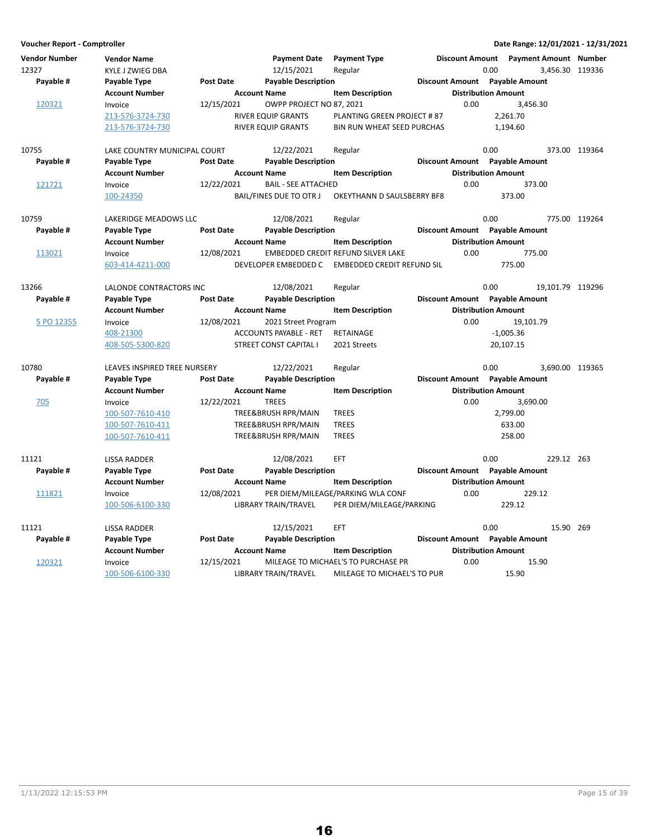**Voucher Report - Comptroller Date Range: 12/01/2021 - 12/31/2021 Vendor Number Vendor Name Payment Date Discount Amount Payment Type Payment Amount Number** 12327 KYLE J ZWIEG DBA 12/15/2021 Regular 120 Australianus 10.00 3,456.30 119336 **Account Number Account Name Item Description Construction Amount Amount Number** Account Name Payable # Payable Type **Post Date Payable Description Payable Amount** Payable Amount 120321 Invoice 12/15/2021 OWPP PROJECT NO 87, 2021 0.00 3,456.30<br>213-576-3724-730 RIVER EQUIP GRANTS PLANTING GREEN PROJECT # 87 2.261.70 PLANTING GREEN PROJECT # 87 213-576-3724-730 RIVER EQUIP GRANTS BIN RUN WHEAT SEED PURCHAS 1,194.60 10755 LAKE COUNTRY MUNICIPAL COURT 12/22/2021 Regular 10755 0.00 373.00 119364 **Account Number 1.1 Account Name 1.2 Account Distribution Amount** Amount Payable # Payable Type **Post Date Payable Description Payable Discount Amount** Payable Amount 121721 Invoice 12/22/2021 BAIL - SEE ATTACHED 373.00 373.00 100-24350 BAIL/FINES DUE TO OTR J 373.00 OKEYTHANN D SAULSBERRY BF8 10759 LAKERIDGE MEADOWS LLC 12/08/2021 Regular 0.00 0.00 119264<br>Pavable # Pavable True Post Date Pavable Description Discount Amount Payable Amount **Account Number Account Name Item Description Distribution Amount Payable # Post Date Payable Description Payable Amount Payable Type Discount Amount** 113021 Invoice 12/08/2021 EMBEDDED CREDIT REFUND SILVER LAKE 0.00 775.00 603-414-4211-000 DEVELOPER EMBEDDED C 775.00 EMBEDDED CREDIT REFUND SIL 13266 LALONDE CONTRACTORS INC 12/08/2021 Regular 13266 0.00 19,101.79 119296 **Account Number 6 Account Name 12 Account Number Account Number Account Number Amount** Payable # Payable Type Post Date Payable Description **Payable Discount Amount** Payable Amount 5 PO 12355 Invoice 12/08/2021 2021 Street Program 19,101.79 0.00 408-21300 **ACCOUNTS PAYABLE - RET RETAINAGE 1,005.36** ACCOUNTS PAYABLE - RET RETAINAGE 408-505-5300-820 STREET CONST CAPITAL I 2021 Streets 20,107.15 10780 LEAVES INSPIRED TREE NURSERY 12/22/2021 Regular 10780 0.00 3,690.00 119365 **Account Number Account Name Item Description Distribution Amount** Payable # Payable Type **Past Date Payable Description Payable Best Best Amount** Payable Amount  $\frac{705}{20}$  Invoice 12/22/2021 TREES 3,690.00 3,690.00 100-507-7610-410 TREE&BRUSH RPR/MAIN 2,799.00 TREES 100-507-7610-411 TREE&BRUSH RPR/MAIN TREES 633.00 100-507-7610-411 TREE&BRUSH RPR/MAIN TREES 258.00 11121 LISSA RADDER 12/08/2021 263 EFT 0.00 229.12 **Account Number 19 Account Name 19 Account Name Item Description 19 Account Name Item Distribution Amount** Payable # Payable Type **Post Date Payable Description Payable Amount** Payable Amount  $\frac{111821}{100\cdot506\cdot6100\cdot330}$  and  $\frac{12}{08/2021}$  PER DIEM/MILEAGE/PARKING  $\frac{100\cdot506\cdot6100\cdot330}{229.12}$  and  $\frac{12}{08/2021}$  and  $\frac{12}{08/2021}$  and  $\frac{12}{08/2021}$  and  $\frac{12}{08/2021}$  and  $\frac{12}{08/2021}$  and 100-506-6100-330 LIBRARY TRAIN/TRAVEL 229.12 PER DIEM/MILEAGE/PARKING 11121 LISSA RADDER 12/15/2021 26915.90 EFT 0.00 **Account Number Account Name Item Description Distribution Amount Payable # Payable Type Post Date Payable Description Discount Amount Payable Amount** 120321 Invoice 12/15/2021 MILEAGE TO MICHAEL'S TO PURCHASE PR 15.90 15.90 100-506-6100-330 LIBRARY TRAIN/TRAVEL 15.90 MILEAGE TO MICHAEL'S TO PUR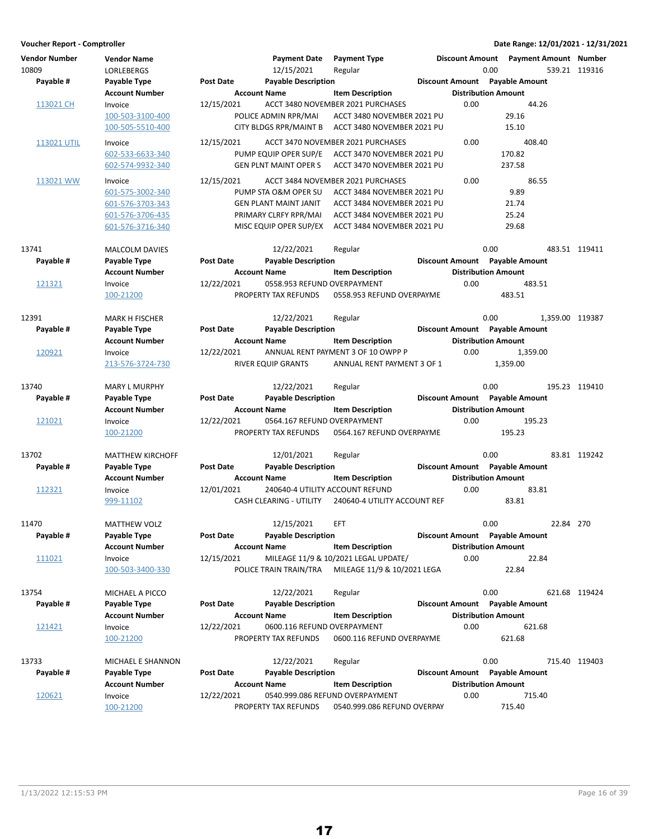| Voucher Report - Comptroller  |                                         |                  |                                   |                                      |      |                                                 |           | Date Range: 12/01/2021 - 12/31/2021 |
|-------------------------------|-----------------------------------------|------------------|-----------------------------------|--------------------------------------|------|-------------------------------------------------|-----------|-------------------------------------|
| <b>Vendor Number</b><br>10809 | <b>Vendor Name</b><br><b>LORLEBERGS</b> |                  | <b>Payment Date</b><br>12/15/2021 | <b>Payment Type</b><br>Regular       |      | Discount Amount  Payment Amount  Number<br>0.00 |           | 539.21 119316                       |
| Payable #                     | Payable Type                            | Post Date        | <b>Payable Description</b>        |                                      |      | Discount Amount Payable Amount                  |           |                                     |
|                               | <b>Account Number</b>                   |                  | <b>Account Name</b>               | <b>Item Description</b>              |      | <b>Distribution Amount</b>                      |           |                                     |
| 113021 CH                     | Invoice                                 | 12/15/2021       |                                   | ACCT 3480 NOVEMBER 2021 PURCHASES    | 0.00 | 44.26                                           |           |                                     |
|                               | 100-503-3100-400                        |                  | POLICE ADMIN RPR/MAI              | ACCT 3480 NOVEMBER 2021 PU           |      | 29.16                                           |           |                                     |
|                               | 100-505-5510-400                        |                  | <b>CITY BLDGS RPR/MAINT B</b>     | ACCT 3480 NOVEMBER 2021 PU           |      | 15.10                                           |           |                                     |
|                               |                                         |                  |                                   |                                      |      |                                                 |           |                                     |
| 113021 UTIL                   | Invoice                                 | 12/15/2021       |                                   | ACCT 3470 NOVEMBER 2021 PURCHASES    | 0.00 | 408.40                                          |           |                                     |
|                               | 602-533-6633-340                        |                  | PUMP EQUIP OPER SUP/E             | ACCT 3470 NOVEMBER 2021 PU           |      | 170.82                                          |           |                                     |
|                               | 602-574-9932-340                        |                  | <b>GEN PLNT MAINT OPER S</b>      | ACCT 3470 NOVEMBER 2021 PU           |      | 237.58                                          |           |                                     |
| 113021 WW                     | Invoice                                 | 12/15/2021       |                                   | ACCT 3484 NOVEMBER 2021 PURCHASES    | 0.00 | 86.55                                           |           |                                     |
|                               | 601-575-3002-340                        |                  | PUMP STA O&M OPER SU              | ACCT 3484 NOVEMBER 2021 PU           |      | 9.89                                            |           |                                     |
|                               | 601-576-3703-343                        |                  | <b>GEN PLANT MAINT JANIT</b>      | ACCT 3484 NOVEMBER 2021 PU           |      | 21.74                                           |           |                                     |
|                               | 601-576-3706-435                        |                  | PRIMARY CLRFY RPR/MAI             | ACCT 3484 NOVEMBER 2021 PU           |      | 25.24                                           |           |                                     |
|                               | 601-576-3716-340                        |                  | MISC EQUIP OPER SUP/EX            | ACCT 3484 NOVEMBER 2021 PU           |      | 29.68                                           |           |                                     |
| 13741                         | <b>MALCOLM DAVIES</b>                   |                  | 12/22/2021                        | Regular                              |      | 0.00                                            |           | 483.51 119411                       |
| Payable #                     | Payable Type                            | <b>Post Date</b> | <b>Payable Description</b>        |                                      |      | Discount Amount Payable Amount                  |           |                                     |
|                               | <b>Account Number</b>                   |                  | <b>Account Name</b>               | <b>Item Description</b>              |      | <b>Distribution Amount</b>                      |           |                                     |
| 121321                        | Invoice                                 | 12/22/2021       | 0558.953 REFUND OVERPAYMENT       |                                      | 0.00 | 483.51                                          |           |                                     |
|                               | 100-21200                               |                  | PROPERTY TAX REFUNDS              | 0558.953 REFUND OVERPAYME            |      | 483.51                                          |           |                                     |
|                               |                                         |                  |                                   |                                      |      |                                                 |           |                                     |
| 12391                         | <b>MARK H FISCHER</b>                   |                  | 12/22/2021                        | Regular                              |      | 0.00                                            |           | 1,359.00 119387                     |
| Payable #                     | Payable Type                            | <b>Post Date</b> | <b>Payable Description</b>        |                                      |      | Discount Amount Payable Amount                  |           |                                     |
|                               | <b>Account Number</b>                   |                  | <b>Account Name</b>               | <b>Item Description</b>              |      | <b>Distribution Amount</b>                      |           |                                     |
| 120921                        | Invoice                                 | 12/22/2021       |                                   | ANNUAL RENT PAYMENT 3 OF 10 OWPP P   | 0.00 | 1,359.00                                        |           |                                     |
|                               | 213-576-3724-730                        |                  | RIVER EQUIP GRANTS                | ANNUAL RENT PAYMENT 3 OF 1           |      | 1,359.00                                        |           |                                     |
| 13740                         | <b>MARY L MURPHY</b>                    |                  | 12/22/2021                        | Regular                              |      | 0.00                                            |           | 195.23 119410                       |
| Payable #                     | Payable Type                            | <b>Post Date</b> | <b>Payable Description</b>        |                                      |      | Discount Amount Payable Amount                  |           |                                     |
|                               | <b>Account Number</b>                   |                  | <b>Account Name</b>               | <b>Item Description</b>              |      | <b>Distribution Amount</b>                      |           |                                     |
| 121021                        | Invoice                                 | 12/22/2021       | 0564.167 REFUND OVERPAYMENT       |                                      | 0.00 | 195.23                                          |           |                                     |
|                               | 100-21200                               |                  | PROPERTY TAX REFUNDS              | 0564.167 REFUND OVERPAYME            |      | 195.23                                          |           |                                     |
|                               |                                         |                  |                                   |                                      |      |                                                 |           |                                     |
| 13702                         | <b>MATTHEW KIRCHOFF</b>                 |                  | 12/01/2021                        | Regular                              |      | 0.00                                            |           | 83.81 119242                        |
| Payable #                     | Payable Type                            | <b>Post Date</b> | <b>Payable Description</b>        |                                      |      | Discount Amount Payable Amount                  |           |                                     |
|                               | <b>Account Number</b>                   |                  | <b>Account Name</b>               | <b>Item Description</b>              |      | <b>Distribution Amount</b>                      |           |                                     |
| 112321                        | Invoice                                 | 12/01/2021       | 240640-4 UTILITY ACCOUNT REFUND   |                                      | 0.00 | 83.81                                           |           |                                     |
|                               | 999-11102                               |                  | <b>CASH CLEARING - UTILITY</b>    | 240640-4 UTILITY ACCOUNT REF         |      | 83.81                                           |           |                                     |
| 11470                         | <b>MATTHEW VOLZ</b>                     |                  | 12/15/2021                        | <b>EFT</b>                           |      | 0.00                                            | 22.84 270 |                                     |
| Payable #                     | Payable Type                            | <b>Post Date</b> | <b>Payable Description</b>        |                                      |      | Discount Amount Payable Amount                  |           |                                     |
|                               | <b>Account Number</b>                   |                  | <b>Account Name</b>               | <b>Item Description</b>              |      | <b>Distribution Amount</b>                      |           |                                     |
| 111021                        | Invoice                                 | 12/15/2021       |                                   | MILEAGE 11/9 & 10/2021 LEGAL UPDATE/ | 0.00 | 22.84                                           |           |                                     |
|                               | 100-503-3400-330                        |                  | POLICE TRAIN TRAIN/TRA            | MILEAGE 11/9 & 10/2021 LEGA          |      | 22.84                                           |           |                                     |
|                               |                                         |                  |                                   |                                      |      |                                                 |           |                                     |
| 13754                         | MICHAEL A PICCO                         |                  | 12/22/2021                        | Regular                              |      | 0.00                                            |           | 621.68 119424                       |
| Payable #                     | Payable Type                            | <b>Post Date</b> | <b>Payable Description</b>        |                                      |      | Discount Amount Payable Amount                  |           |                                     |
|                               | <b>Account Number</b>                   |                  | <b>Account Name</b>               | <b>Item Description</b>              |      | <b>Distribution Amount</b>                      |           |                                     |
| 121421                        | Invoice                                 | 12/22/2021       | 0600.116 REFUND OVERPAYMENT       |                                      | 0.00 | 621.68                                          |           |                                     |
|                               | 100-21200                               |                  | PROPERTY TAX REFUNDS              | 0600.116 REFUND OVERPAYME            |      | 621.68                                          |           |                                     |
| 13733                         | MICHAEL E SHANNON                       |                  | 12/22/2021                        | Regular                              |      | 0.00                                            |           | 715.40 119403                       |
| Payable #                     | Payable Type                            | Post Date        | <b>Payable Description</b>        |                                      |      | Discount Amount Payable Amount                  |           |                                     |
|                               | <b>Account Number</b>                   |                  | <b>Account Name</b>               | <b>Item Description</b>              |      | <b>Distribution Amount</b>                      |           |                                     |
| 120621                        | Invoice                                 | 12/22/2021       |                                   | 0540.999.086 REFUND OVERPAYMENT      | 0.00 | 715.40                                          |           |                                     |
|                               | 100-21200                               |                  | PROPERTY TAX REFUNDS              | 0540.999.086 REFUND OVERPAY          |      | 715.40                                          |           |                                     |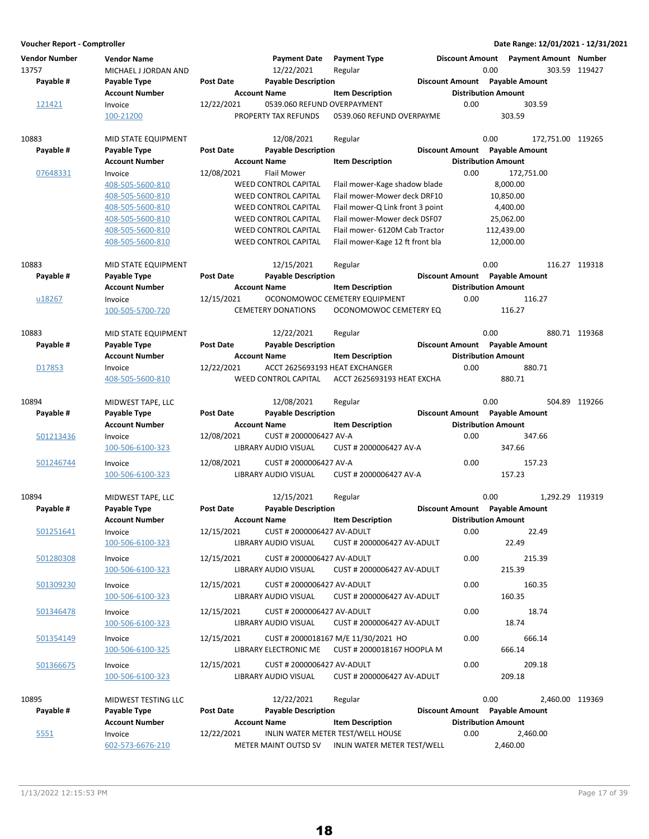| <b>Vendor Number</b><br>13757 | <b>Vendor Name</b><br>MICHAEL J JORDAN AND |                  | <b>Payment Date</b><br>12/22/2021                   | <b>Payment Type</b><br>Regular      | <b>Discount Amount</b> | 0.00                                                         | <b>Payment Amount Number</b> | 303.59 119427 |
|-------------------------------|--------------------------------------------|------------------|-----------------------------------------------------|-------------------------------------|------------------------|--------------------------------------------------------------|------------------------------|---------------|
| Payable #                     | Payable Type                               | <b>Post Date</b> | <b>Payable Description</b>                          |                                     |                        | Discount Amount Payable Amount                               |                              |               |
|                               | <b>Account Number</b>                      |                  | <b>Account Name</b>                                 | <b>Item Description</b>             |                        | <b>Distribution Amount</b>                                   |                              |               |
| 121421                        | Invoice<br>100-21200                       | 12/22/2021       | 0539.060 REFUND OVERPAYMENT<br>PROPERTY TAX REFUNDS | 0539.060 REFUND OVERPAYME           | 0.00                   | 303.59                                                       | 303.59                       |               |
| 10883                         | MID STATE EQUIPMENT                        |                  | 12/08/2021                                          | Regular                             |                        | 0.00                                                         | 172,751.00 119265            |               |
| Payable #                     | Payable Type                               | <b>Post Date</b> | <b>Payable Description</b>                          |                                     |                        | Discount Amount Payable Amount                               |                              |               |
|                               | <b>Account Number</b>                      |                  | <b>Account Name</b>                                 | <b>Item Description</b>             |                        | <b>Distribution Amount</b>                                   |                              |               |
| 07648331                      | Invoice<br>408-505-5600-810                | 12/08/2021       | <b>Flail Mower</b><br><b>WEED CONTROL CAPITAL</b>   | Flail mower-Kage shadow blade       | 0.00                   | 8,000.00                                                     | 172,751.00                   |               |
|                               | 408-505-5600-810                           |                  | <b>WEED CONTROL CAPITAL</b>                         | Flail mower-Mower deck DRF10        |                        | 10,850.00                                                    |                              |               |
|                               | 408-505-5600-810                           |                  | <b>WEED CONTROL CAPITAL</b>                         | Flail mower-Q Link front 3 point    |                        | 4,400.00                                                     |                              |               |
|                               | 408-505-5600-810                           |                  | <b>WEED CONTROL CAPITAL</b>                         | Flail mower-Mower deck DSF07        |                        | 25,062.00                                                    |                              |               |
|                               | 408-505-5600-810                           |                  | <b>WEED CONTROL CAPITAL</b>                         | Flail mower- 6120M Cab Tractor      |                        | 112,439.00                                                   |                              |               |
|                               | 408-505-5600-810                           |                  | <b>WEED CONTROL CAPITAL</b>                         | Flail mower-Kage 12 ft front bla    |                        | 12,000.00                                                    |                              |               |
| 10883                         | MID STATE EQUIPMENT                        |                  | 12/15/2021                                          | Regular                             |                        | 0.00                                                         |                              | 116.27 119318 |
| Payable #                     | Payable Type                               | <b>Post Date</b> | <b>Payable Description</b>                          |                                     |                        | Discount Amount Payable Amount                               |                              |               |
|                               | <b>Account Number</b>                      |                  | <b>Account Name</b>                                 | <b>Item Description</b>             |                        | <b>Distribution Amount</b>                                   |                              |               |
| u18267                        | Invoice                                    | 12/15/2021       |                                                     | OCONOMOWOC CEMETERY EQUIPMENT       | 0.00                   |                                                              | 116.27                       |               |
|                               | 100-505-5700-720                           |                  | <b>CEMETERY DONATIONS</b>                           | OCONOMOWOC CEMETERY EQ              |                        | 116.27                                                       |                              |               |
| 10883                         | MID STATE EQUIPMENT                        |                  | 12/22/2021                                          | Regular                             |                        | 0.00                                                         |                              | 880.71 119368 |
| Payable #                     | Payable Type                               | <b>Post Date</b> | <b>Payable Description</b>                          |                                     |                        | Discount Amount Payable Amount                               |                              |               |
|                               | <b>Account Number</b>                      |                  | <b>Account Name</b>                                 | <b>Item Description</b>             |                        | <b>Distribution Amount</b>                                   |                              |               |
| D17853                        | Invoice                                    | 12/22/2021       |                                                     | ACCT 2625693193 HEAT EXCHANGER      | 0.00                   |                                                              | 880.71                       |               |
|                               | 408-505-5600-810                           |                  | <b>WEED CONTROL CAPITAL</b>                         | ACCT 2625693193 HEAT EXCHA          |                        | 880.71                                                       |                              |               |
| 10894                         | MIDWEST TAPE, LLC                          |                  | 12/08/2021                                          | Regular                             |                        | 0.00                                                         |                              | 504.89 119266 |
| Payable #                     | Payable Type                               | <b>Post Date</b> | <b>Payable Description</b>                          |                                     |                        | Discount Amount Payable Amount                               |                              |               |
|                               | <b>Account Number</b>                      |                  | <b>Account Name</b>                                 | <b>Item Description</b>             |                        | <b>Distribution Amount</b>                                   |                              |               |
| 501213436                     | Invoice                                    | 12/08/2021       | CUST # 2000006427 AV-A                              |                                     | 0.00                   |                                                              | 347.66                       |               |
|                               | 100-506-6100-323                           |                  | LIBRARY AUDIO VISUAL                                | CUST # 2000006427 AV-A              |                        | 347.66                                                       |                              |               |
| 501246744                     | Invoice                                    | 12/08/2021       | CUST # 2000006427 AV-A                              |                                     | 0.00                   |                                                              | 157.23                       |               |
|                               | 100-506-6100-323                           |                  | LIBRARY AUDIO VISUAL                                | CUST # 2000006427 AV-A              |                        | 157.23                                                       |                              |               |
| 10894                         | MIDWEST TAPE, LLC                          |                  | 12/15/2021                                          | Regular                             |                        | 0.00                                                         | 1,292.29 119319              |               |
| Payable #                     | Payable Type                               | <b>Post Date</b> | <b>Payable Description</b>                          |                                     |                        | Discount Amount Payable Amount                               |                              |               |
|                               | <b>Account Number</b>                      |                  | <b>Account Name</b>                                 | <b>Item Description</b>             |                        | <b>Distribution Amount</b>                                   |                              |               |
| 501251641                     | Invoice                                    | 12/15/2021       | CUST # 2000006427 AV-ADULT                          |                                     | 0.00                   |                                                              | 22.49                        |               |
|                               | 100-506-6100-323                           |                  | LIBRARY AUDIO VISUAL                                | CUST # 2000006427 AV-ADULT          |                        | 22.49                                                        |                              |               |
| 501280308                     | Invoice                                    | 12/15/2021       | CUST # 2000006427 AV-ADULT                          |                                     | 0.00                   |                                                              | 215.39                       |               |
|                               | 100-506-6100-323                           |                  | LIBRARY AUDIO VISUAL                                | CUST # 2000006427 AV-ADULT          |                        | 215.39                                                       |                              |               |
| 501309230                     | Invoice                                    | 12/15/2021       | CUST # 2000006427 AV-ADULT                          |                                     | 0.00                   |                                                              | 160.35                       |               |
|                               | 100-506-6100-323                           |                  | LIBRARY AUDIO VISUAL                                | CUST # 2000006427 AV-ADULT          |                        | 160.35                                                       |                              |               |
| 501346478                     | Invoice                                    | 12/15/2021       | CUST # 2000006427 AV-ADULT                          |                                     | 0.00                   |                                                              | 18.74                        |               |
|                               | 100-506-6100-323                           |                  | LIBRARY AUDIO VISUAL                                | CUST # 2000006427 AV-ADULT          |                        | 18.74                                                        |                              |               |
| 501354149                     | Invoice                                    | 12/15/2021       |                                                     | CUST # 2000018167 M/E 11/30/2021 HO | 0.00                   |                                                              | 666.14                       |               |
|                               | 100-506-6100-325                           |                  | LIBRARY ELECTRONIC ME                               | CUST # 2000018167 HOOPLA M          |                        | 666.14                                                       |                              |               |
| 501366675                     | Invoice                                    | 12/15/2021       | CUST # 2000006427 AV-ADULT                          |                                     | 0.00                   |                                                              | 209.18                       |               |
|                               | 100-506-6100-323                           |                  | LIBRARY AUDIO VISUAL                                | CUST # 2000006427 AV-ADULT          |                        | 209.18                                                       |                              |               |
|                               |                                            |                  |                                                     |                                     |                        |                                                              |                              |               |
| 10895<br>Payable #            | MIDWEST TESTING LLC                        | Post Date        | 12/22/2021<br><b>Payable Description</b>            | Regular                             |                        | 0.00                                                         | 2,460.00 119369              |               |
|                               | Payable Type<br><b>Account Number</b>      |                  | <b>Account Name</b>                                 | <b>Item Description</b>             |                        | Discount Amount Payable Amount<br><b>Distribution Amount</b> |                              |               |
| 5551                          | Invoice                                    | 12/22/2021       |                                                     | INLIN WATER METER TEST/WELL HOUSE   | 0.00                   |                                                              | 2,460.00                     |               |
|                               | 602-573-6676-210                           |                  | METER MAINT OUTSD SV                                | INLIN WATER METER TEST/WELL         |                        | 2,460.00                                                     |                              |               |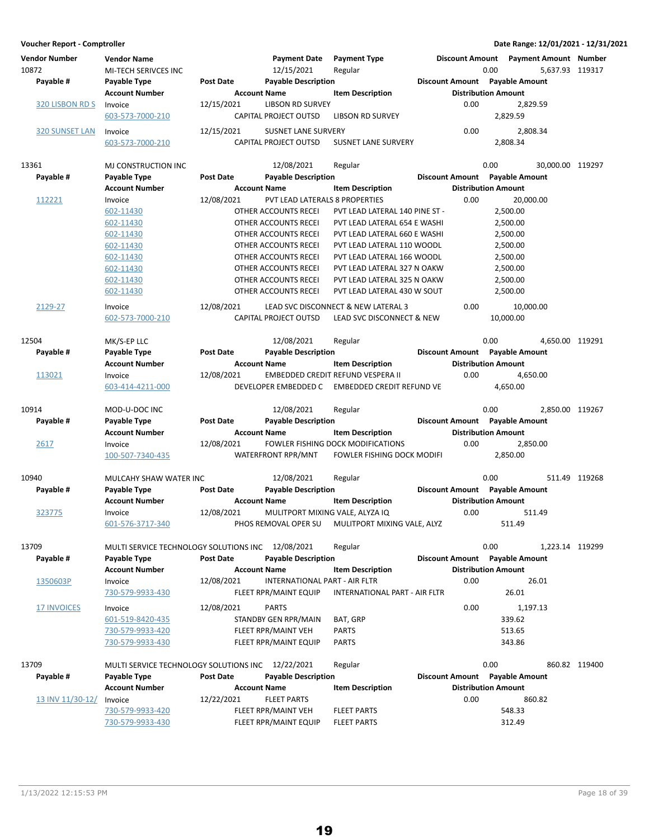| Voucher Report - Comptroller  |                                                   |                     |                                                  |                                                                  |      |                                                 |                  | Date Range: 12/01/2021 - 12/31/2021 |
|-------------------------------|---------------------------------------------------|---------------------|--------------------------------------------------|------------------------------------------------------------------|------|-------------------------------------------------|------------------|-------------------------------------|
| <b>Vendor Number</b><br>10872 | <b>Vendor Name</b><br>MI-TECH SERIVCES INC        |                     | <b>Payment Date</b><br>12/15/2021                | <b>Payment Type</b><br>Regular                                   |      | Discount Amount  Payment Amount  Number<br>0.00 | 5,637.93 119317  |                                     |
| Payable #                     | Payable Type                                      | <b>Post Date</b>    | <b>Payable Description</b>                       |                                                                  |      | Discount Amount Payable Amount                  |                  |                                     |
|                               | <b>Account Number</b>                             | <b>Account Name</b> |                                                  | <b>Item Description</b>                                          |      | <b>Distribution Amount</b>                      |                  |                                     |
| 320 LISBON RD S               | Invoice<br>603-573-7000-210                       | 12/15/2021          | <b>LIBSON RD SURVEY</b><br>CAPITAL PROJECT OUTSD | <b>LIBSON RD SURVEY</b>                                          | 0.00 | 2,829.59                                        | 2,829.59         |                                     |
| 320 SUNSET LAN                | Invoice                                           | 12/15/2021          | <b>SUSNET LANE SURVERY</b>                       |                                                                  | 0.00 |                                                 | 2,808.34         |                                     |
|                               | 603-573-7000-210                                  |                     | CAPITAL PROJECT OUTSD                            | <b>SUSNET LANE SURVERY</b>                                       |      | 2,808.34                                        |                  |                                     |
| 13361                         | MJ CONSTRUCTION INC                               |                     | 12/08/2021                                       | Regular                                                          |      | 0.00                                            | 30,000.00 119297 |                                     |
| Payable #                     | Payable Type                                      | <b>Post Date</b>    | <b>Payable Description</b>                       |                                                                  |      | Discount Amount Payable Amount                  |                  |                                     |
|                               | <b>Account Number</b>                             |                     | <b>Account Name</b>                              | <b>Item Description</b>                                          |      | <b>Distribution Amount</b>                      |                  |                                     |
| 112221                        | Invoice                                           | 12/08/2021          | PVT LEAD LATERALS 8 PROPERTIES                   |                                                                  | 0.00 | 20,000.00                                       |                  |                                     |
|                               | 602-11430                                         |                     | OTHER ACCOUNTS RECEI                             | PVT LEAD LATERAL 140 PINE ST -                                   |      | 2,500.00                                        |                  |                                     |
|                               | 602-11430                                         |                     | OTHER ACCOUNTS RECEI                             | PVT LEAD LATERAL 654 E WASHI                                     |      | 2,500.00                                        |                  |                                     |
|                               | 602-11430                                         |                     | OTHER ACCOUNTS RECEI                             | PVT LEAD LATERAL 660 E WASHI                                     |      | 2,500.00                                        |                  |                                     |
|                               | 602-11430                                         |                     | OTHER ACCOUNTS RECEI                             | PVT LEAD LATERAL 110 WOODL                                       |      | 2,500.00                                        |                  |                                     |
|                               | 602-11430                                         |                     | OTHER ACCOUNTS RECEI                             | PVT LEAD LATERAL 166 WOODL                                       |      | 2,500.00                                        |                  |                                     |
|                               | 602-11430                                         |                     | OTHER ACCOUNTS RECEI                             | PVT LEAD LATERAL 327 N OAKW                                      |      | 2,500.00                                        |                  |                                     |
|                               | 602-11430                                         |                     | OTHER ACCOUNTS RECEI                             | PVT LEAD LATERAL 325 N OAKW                                      |      | 2,500.00                                        |                  |                                     |
|                               | 602-11430                                         |                     | OTHER ACCOUNTS RECEI                             | PVT LEAD LATERAL 430 W SOUT                                      |      | 2,500.00                                        |                  |                                     |
|                               |                                                   | 12/08/2021          |                                                  |                                                                  |      |                                                 |                  |                                     |
| 2129-27                       | Invoice<br>602-573-7000-210                       |                     | CAPITAL PROJECT OUTSD                            | LEAD SVC DISCONNECT & NEW LATERAL 3<br>LEAD SVC DISCONNECT & NEW | 0.00 | 10,000.00<br>10,000.00                          |                  |                                     |
| 12504                         | MK/S-EP LLC                                       |                     | 12/08/2021                                       | Regular                                                          |      | 0.00                                            | 4,650.00 119291  |                                     |
| Payable #                     | Payable Type                                      | <b>Post Date</b>    | <b>Payable Description</b>                       |                                                                  |      | Discount Amount Payable Amount                  |                  |                                     |
|                               | <b>Account Number</b>                             |                     | <b>Account Name</b>                              | <b>Item Description</b>                                          |      | <b>Distribution Amount</b>                      |                  |                                     |
| 113021                        | Invoice                                           | 12/08/2021          |                                                  | EMBEDDED CREDIT REFUND VESPERA II                                | 0.00 |                                                 | 4,650.00         |                                     |
|                               | 603-414-4211-000                                  |                     | DEVELOPER EMBEDDED C                             | <b>EMBEDDED CREDIT REFUND VE</b>                                 |      | 4,650.00                                        |                  |                                     |
| 10914                         | MOD-U-DOC INC                                     |                     | 12/08/2021                                       | Regular                                                          |      | 0.00                                            | 2,850.00 119267  |                                     |
| Payable #                     | Payable Type                                      | <b>Post Date</b>    | <b>Payable Description</b>                       |                                                                  |      | Discount Amount Payable Amount                  |                  |                                     |
|                               | <b>Account Number</b>                             | <b>Account Name</b> |                                                  | <b>Item Description</b>                                          |      | <b>Distribution Amount</b>                      |                  |                                     |
| 2617                          | Invoice                                           | 12/08/2021          |                                                  | FOWLER FISHING DOCK MODIFICATIONS                                | 0.00 |                                                 | 2,850.00         |                                     |
|                               | 100-507-7340-435                                  |                     | WATERFRONT RPR/MNT                               | <b>FOWLER FISHING DOCK MODIFI</b>                                |      | 2,850.00                                        |                  |                                     |
| 10940                         | MULCAHY SHAW WATER INC                            |                     | 12/08/2021                                       | Regular                                                          |      | 0.00                                            |                  | 511.49 119268                       |
| Payable #                     | Payable Type                                      | Post Date           | <b>Payable Description</b>                       |                                                                  |      | Discount Amount Payable Amount                  |                  |                                     |
|                               | <b>Account Number</b>                             |                     | <b>Account Name</b>                              | <b>Item Description</b>                                          |      | <b>Distribution Amount</b>                      |                  |                                     |
| 323775                        | Invoice                                           | 12/08/2021          | MULITPORT MIXING VALE, ALYZA IQ                  |                                                                  | 0.00 |                                                 | 511.49           |                                     |
|                               | 601-576-3717-340                                  |                     |                                                  | PHOS REMOVAL OPER SU MULITPORT MIXING VALE, ALYZ                 |      | 511.49                                          |                  |                                     |
| 13709                         | MULTI SERVICE TECHNOLOGY SOLUTIONS INC 12/08/2021 |                     |                                                  | Regular                                                          |      | 0.00                                            | 1,223.14 119299  |                                     |
| Payable #                     | Payable Type                                      | <b>Post Date</b>    | <b>Payable Description</b>                       |                                                                  |      | Discount Amount Payable Amount                  |                  |                                     |
|                               | <b>Account Number</b>                             |                     | <b>Account Name</b>                              | <b>Item Description</b>                                          |      | <b>Distribution Amount</b>                      |                  |                                     |
| 1350603P                      | Invoice                                           | 12/08/2021          | INTERNATIONAL PART - AIR FLTR                    |                                                                  | 0.00 |                                                 | 26.01            |                                     |
|                               | 730-579-9933-430                                  |                     | FLEET RPR/MAINT EQUIP                            | INTERNATIONAL PART - AIR FLTR                                    |      | 26.01                                           |                  |                                     |
| <b>17 INVOICES</b>            |                                                   | 12/08/2021          | <b>PARTS</b>                                     |                                                                  | 0.00 |                                                 | 1,197.13         |                                     |
|                               | Invoice                                           |                     |                                                  |                                                                  |      |                                                 |                  |                                     |
|                               | 601-519-8420-435                                  |                     | STANDBY GEN RPR/MAIN                             | BAT, GRP                                                         |      | 339.62                                          |                  |                                     |
|                               | 730-579-9933-420<br>730-579-9933-430              |                     | FLEET RPR/MAINT VEH<br>FLEET RPR/MAINT EQUIP     | PARTS<br><b>PARTS</b>                                            |      | 513.65<br>343.86                                |                  |                                     |
|                               |                                                   |                     |                                                  |                                                                  |      |                                                 |                  |                                     |
| 13709                         | MULTI SERVICE TECHNOLOGY SOLUTIONS INC 12/22/2021 |                     |                                                  | Regular                                                          |      | 0.00                                            |                  | 860.82 119400                       |
| Payable #                     | Payable Type                                      | <b>Post Date</b>    | <b>Payable Description</b>                       |                                                                  |      | Discount Amount Payable Amount                  |                  |                                     |
|                               | <b>Account Number</b>                             |                     | <b>Account Name</b>                              | <b>Item Description</b>                                          |      | <b>Distribution Amount</b>                      |                  |                                     |
| <u>13 INV 11/30-12/</u>       | Invoice                                           | 12/22/2021          | <b>FLEET PARTS</b>                               |                                                                  | 0.00 |                                                 | 860.82           |                                     |
|                               | 730-579-9933-420                                  |                     | FLEET RPR/MAINT VEH                              | <b>FLEET PARTS</b>                                               |      | 548.33                                          |                  |                                     |
|                               | 730-579-9933-430                                  |                     | FLEET RPR/MAINT EQUIP                            | <b>FLEET PARTS</b>                                               |      | 312.49                                          |                  |                                     |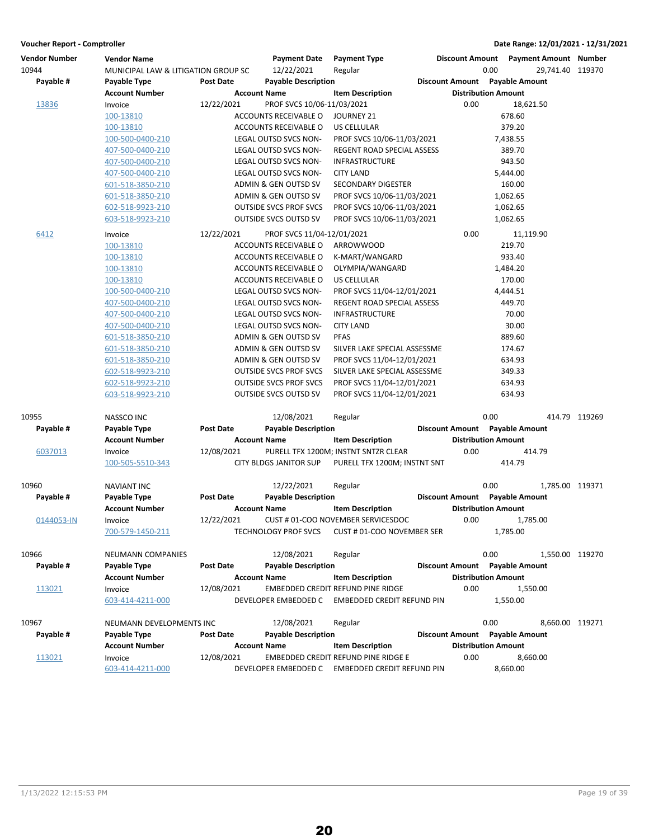| <b>Vendor Number</b> | <b>Vendor Name</b>                  |                  | <b>Payment Date</b>           | <b>Payment Type</b>                  | <b>Discount Amount</b>         |                            | <b>Payment Amount Number</b> |               |
|----------------------|-------------------------------------|------------------|-------------------------------|--------------------------------------|--------------------------------|----------------------------|------------------------------|---------------|
| 10944                | MUNICIPAL LAW & LITIGATION GROUP SC |                  | 12/22/2021                    | Regular                              |                                | 0.00                       | 29,741.40 119370             |               |
| Payable #            | Payable Type                        | <b>Post Date</b> | <b>Payable Description</b>    |                                      | Discount Amount Payable Amount |                            |                              |               |
|                      | <b>Account Number</b>               |                  | <b>Account Name</b>           | <b>Item Description</b>              |                                | <b>Distribution Amount</b> |                              |               |
| 13836                | Invoice                             | 12/22/2021       | PROF SVCS 10/06-11/03/2021    |                                      |                                | 0.00                       | 18,621.50                    |               |
|                      | 100-13810                           |                  | ACCOUNTS RECEIVABLE O         | JOURNEY 21                           |                                |                            | 678.60                       |               |
|                      | 100-13810                           |                  | ACCOUNTS RECEIVABLE O         | US CELLULAR                          |                                |                            | 379.20                       |               |
|                      | 100-500-0400-210                    |                  | LEGAL OUTSD SVCS NON-         | PROF SVCS 10/06-11/03/2021           |                                |                            | 7,438.55                     |               |
|                      | 407-500-0400-210                    |                  | LEGAL OUTSD SVCS NON-         | REGENT ROAD SPECIAL ASSESS           |                                |                            | 389.70                       |               |
|                      | 407-500-0400-210                    |                  | LEGAL OUTSD SVCS NON-         | <b>INFRASTRUCTURE</b>                |                                |                            | 943.50                       |               |
|                      | 407-500-0400-210                    |                  | LEGAL OUTSD SVCS NON-         | <b>CITY LAND</b>                     |                                |                            | 5,444.00                     |               |
|                      | 601-518-3850-210                    |                  | ADMIN & GEN OUTSD SV          | <b>SECONDARY DIGESTER</b>            |                                |                            | 160.00                       |               |
|                      | 601-518-3850-210                    |                  | ADMIN & GEN OUTSD SV          | PROF SVCS 10/06-11/03/2021           |                                |                            | 1,062.65                     |               |
|                      | 602-518-9923-210                    |                  | <b>OUTSIDE SVCS PROF SVCS</b> | PROF SVCS 10/06-11/03/2021           |                                |                            | 1,062.65                     |               |
|                      | 603-518-9923-210                    |                  | OUTSIDE SVCS OUTSD SV         | PROF SVCS 10/06-11/03/2021           |                                |                            | 1,062.65                     |               |
|                      |                                     |                  |                               |                                      |                                |                            |                              |               |
| 6412                 | Invoice                             | 12/22/2021       | PROF SVCS 11/04-12/01/2021    |                                      |                                | 0.00                       | 11,119.90                    |               |
|                      | 100-13810                           |                  | ACCOUNTS RECEIVABLE O         | ARROWWOOD                            |                                |                            | 219.70                       |               |
|                      | 100-13810                           |                  | ACCOUNTS RECEIVABLE O         | K-MART/WANGARD                       |                                |                            | 933.40                       |               |
|                      | 100-13810                           |                  | ACCOUNTS RECEIVABLE O         | OLYMPIA/WANGARD                      |                                |                            | 1,484.20                     |               |
|                      | 100-13810                           |                  | ACCOUNTS RECEIVABLE O         | US CELLULAR                          |                                |                            | 170.00                       |               |
|                      | 100-500-0400-210                    |                  | LEGAL OUTSD SVCS NON-         | PROF SVCS 11/04-12/01/2021           |                                |                            | 4,444.51                     |               |
|                      | 407-500-0400-210                    |                  | LEGAL OUTSD SVCS NON-         | REGENT ROAD SPECIAL ASSESS           |                                |                            | 449.70                       |               |
|                      | 407-500-0400-210                    |                  | LEGAL OUTSD SVCS NON-         | <b>INFRASTRUCTURE</b>                |                                |                            | 70.00                        |               |
|                      | 407-500-0400-210                    |                  | <b>LEGAL OUTSD SVCS NON-</b>  | <b>CITY LAND</b>                     |                                |                            | 30.00                        |               |
|                      | 601-518-3850-210                    |                  | ADMIN & GEN OUTSD SV          | PFAS                                 |                                |                            | 889.60                       |               |
|                      | 601-518-3850-210                    |                  | ADMIN & GEN OUTSD SV          | SILVER LAKE SPECIAL ASSESSME         |                                |                            | 174.67                       |               |
|                      | 601-518-3850-210                    |                  | ADMIN & GEN OUTSD SV          | PROF SVCS 11/04-12/01/2021           |                                |                            | 634.93                       |               |
|                      | 602-518-9923-210                    |                  | <b>OUTSIDE SVCS PROF SVCS</b> | SILVER LAKE SPECIAL ASSESSME         |                                |                            | 349.33                       |               |
|                      | 602-518-9923-210                    |                  | <b>OUTSIDE SVCS PROF SVCS</b> | PROF SVCS 11/04-12/01/2021           |                                |                            | 634.93                       |               |
|                      | 603-518-9923-210                    |                  | <b>OUTSIDE SVCS OUTSD SV</b>  | PROF SVCS 11/04-12/01/2021           |                                |                            | 634.93                       |               |
|                      |                                     |                  |                               |                                      |                                |                            |                              |               |
| 10955                | NASSCO INC                          |                  | 12/08/2021                    | Regular                              |                                | 0.00                       |                              | 414.79 119269 |
| Payable #            | Payable Type                        | <b>Post Date</b> | <b>Payable Description</b>    |                                      | Discount Amount Payable Amount |                            |                              |               |
|                      | <b>Account Number</b>               |                  | <b>Account Name</b>           | <b>Item Description</b>              |                                | <b>Distribution Amount</b> |                              |               |
| 6037013              | Invoice                             | 12/08/2021       |                               | PURELL TFX 1200M; INSTNT SNTZR CLEAR |                                | 0.00                       | 414.79                       |               |
|                      | 100-505-5510-343                    |                  | <b>CITY BLDGS JANITOR SUP</b> | PURELL TFX 1200M; INSTNT SNT         |                                |                            | 414.79                       |               |
|                      |                                     |                  |                               |                                      |                                |                            |                              |               |
| 10960                | <b>NAVIANT INC</b>                  |                  | 12/22/2021                    | Regular                              |                                | 0.00                       | 1,785.00 119371              |               |
| Payable #            | Payable Type                        | <b>Post Date</b> | <b>Payable Description</b>    |                                      | Discount Amount Payable Amount |                            |                              |               |
|                      | <b>Account Number</b>               |                  | <b>Account Name</b>           | <b>Item Description</b>              |                                | <b>Distribution Amount</b> |                              |               |
| 0144053-IN           | Invoice                             | 12/22/2021       |                               | CUST # 01-COO NOVEMBER SERVICESDOC   |                                | 0.00                       | 1,785.00                     |               |
|                      | 700-579-1450-211                    |                  | TECHNOLOGY PROF SVCS          | CUST # 01-COO NOVEMBER SER           |                                |                            | 1,785.00                     |               |
|                      |                                     |                  |                               |                                      |                                |                            |                              |               |
| 10966                | NEUMANN COMPANIES                   |                  | 12/08/2021                    | Regular                              |                                | 0.00                       | 1,550.00 119270              |               |
| Payable #            | Payable Type                        | Post Date        | <b>Payable Description</b>    |                                      | Discount Amount Payable Amount |                            |                              |               |
|                      | <b>Account Number</b>               |                  | <b>Account Name</b>           | <b>Item Description</b>              |                                | <b>Distribution Amount</b> |                              |               |
| 113021               | Invoice                             | 12/08/2021       |                               | EMBEDDED CREDIT REFUND PINE RIDGE    |                                | 0.00                       | 1,550.00                     |               |
|                      | 603-414-4211-000                    |                  | DEVELOPER EMBEDDED C          | EMBEDDED CREDIT REFUND PIN           |                                |                            | 1,550.00                     |               |
|                      |                                     |                  |                               |                                      |                                |                            |                              |               |
| 10967                | NEUMANN DEVELOPMENTS INC            |                  | 12/08/2021                    | Regular                              |                                | 0.00                       | 8,660.00 119271              |               |
| Payable #            | Payable Type                        | Post Date        | <b>Payable Description</b>    |                                      | Discount Amount Payable Amount |                            |                              |               |
|                      | <b>Account Number</b>               |                  | <b>Account Name</b>           | <b>Item Description</b>              |                                | <b>Distribution Amount</b> |                              |               |
| 113021               | Invoice                             | 12/08/2021       |                               | EMBEDDED CREDIT REFUND PINE RIDGE E  |                                | 0.00                       | 8,660.00                     |               |
|                      | 603-414-4211-000                    |                  | DEVELOPER EMBEDDED C          | EMBEDDED CREDIT REFUND PIN           |                                |                            | 8,660.00                     |               |
|                      |                                     |                  |                               |                                      |                                |                            |                              |               |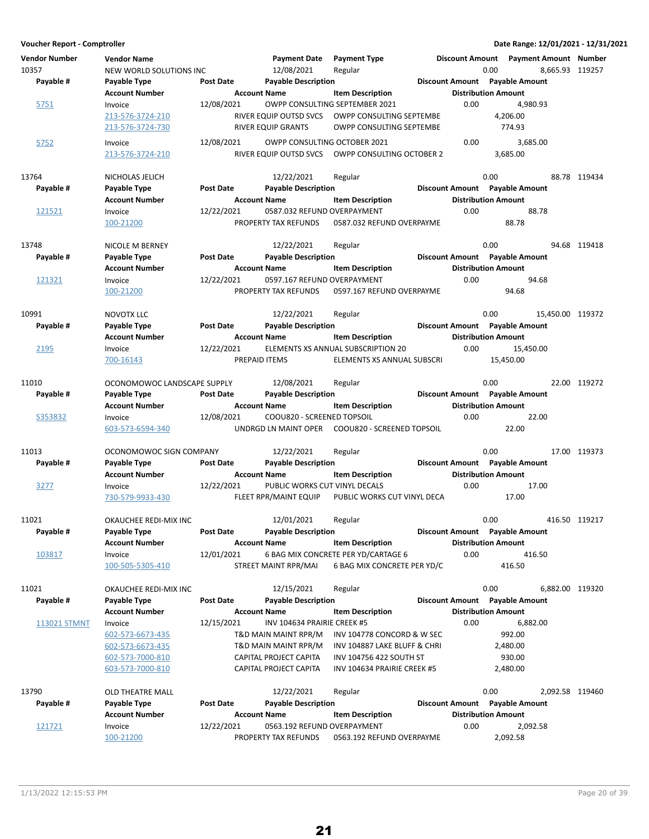| <b>Vendor Number</b><br>10357<br>Payable # | <b>Vendor Name</b><br>NEW WORLD SOLUTIONS INC<br>Payable Type | <b>Post Date</b> | <b>Payment Date</b><br>12/08/2021<br><b>Payable Description</b> | <b>Payment Type</b><br>Regular                                     |      | 0.00<br>Discount Amount Payable Amount | Discount Amount Payment Amount Number<br>8,665.93 119257 |               |
|--------------------------------------------|---------------------------------------------------------------|------------------|-----------------------------------------------------------------|--------------------------------------------------------------------|------|----------------------------------------|----------------------------------------------------------|---------------|
|                                            | <b>Account Number</b>                                         |                  | <b>Account Name</b>                                             | <b>Item Description</b>                                            |      | <b>Distribution Amount</b>             |                                                          |               |
| 5751                                       | Invoice                                                       | 12/08/2021       |                                                                 | OWPP CONSULTING SEPTEMBER 2021                                     | 0.00 |                                        | 4,980.93                                                 |               |
|                                            | 213-576-3724-210<br>213-576-3724-730                          |                  | RIVER EQUIP OUTSD SVCS<br>RIVER EQUIP GRANTS                    | OWPP CONSULTING SEPTEMBE<br>OWPP CONSULTING SEPTEMBE               |      | 4,206.00<br>774.93                     |                                                          |               |
| 5752                                       | Invoice<br>213-576-3724-210                                   | 12/08/2021       | OWPP CONSULTING OCTOBER 2021<br>RIVER EQUIP OUTSD SVCS          | OWPP CONSULTING OCTOBER 2                                          | 0.00 | 3,685.00                               | 3,685.00                                                 |               |
|                                            |                                                               |                  |                                                                 |                                                                    |      |                                        |                                                          |               |
| 13764                                      | NICHOLAS JELICH                                               |                  | 12/22/2021                                                      | Regular                                                            |      | 0.00                                   |                                                          | 88.78 119434  |
| Payable #                                  | Payable Type                                                  | Post Date        | <b>Payable Description</b>                                      |                                                                    |      | Discount Amount Payable Amount         |                                                          |               |
|                                            | <b>Account Number</b>                                         |                  | <b>Account Name</b>                                             | <b>Item Description</b>                                            |      | <b>Distribution Amount</b>             |                                                          |               |
| 121521                                     | Invoice<br>100-21200                                          | 12/22/2021       | 0587.032 REFUND OVERPAYMENT<br>PROPERTY TAX REFUNDS             | 0587.032 REFUND OVERPAYME                                          | 0.00 | 88.78                                  | 88.78                                                    |               |
| 13748                                      | NICOLE M BERNEY                                               |                  | 12/22/2021                                                      | Regular                                                            |      | 0.00                                   |                                                          | 94.68 119418  |
| Payable #                                  | Payable Type                                                  | <b>Post Date</b> | <b>Payable Description</b>                                      |                                                                    |      | Discount Amount Payable Amount         |                                                          |               |
|                                            | <b>Account Number</b>                                         |                  | <b>Account Name</b>                                             | <b>Item Description</b>                                            |      | <b>Distribution Amount</b>             |                                                          |               |
| 121321                                     | Invoice                                                       | 12/22/2021       | 0597.167 REFUND OVERPAYMENT                                     |                                                                    | 0.00 |                                        | 94.68                                                    |               |
|                                            | 100-21200                                                     |                  | PROPERTY TAX REFUNDS                                            | 0597.167 REFUND OVERPAYME                                          |      | 94.68                                  |                                                          |               |
| 10991                                      | <b>NOVOTX LLC</b>                                             |                  | 12/22/2021                                                      | Regular                                                            |      | 0.00                                   | 15,450.00 119372                                         |               |
| Payable #                                  | Payable Type                                                  | <b>Post Date</b> | <b>Payable Description</b>                                      |                                                                    |      | <b>Discount Amount</b> Payable Amount  |                                                          |               |
|                                            | <b>Account Number</b>                                         |                  | <b>Account Name</b>                                             | <b>Item Description</b>                                            |      | <b>Distribution Amount</b>             |                                                          |               |
| 2195                                       | Invoice                                                       | 12/22/2021       |                                                                 | ELEMENTS XS ANNUAL SUBSCRIPTION 20                                 | 0.00 |                                        | 15,450.00                                                |               |
|                                            | 700-16143                                                     |                  | PREPAID ITEMS                                                   | ELEMENTS XS ANNUAL SUBSCRI                                         |      | 15,450.00                              |                                                          |               |
| 11010                                      | OCONOMOWOC LANDSCAPE SUPPLY                                   |                  | 12/08/2021                                                      | Regular                                                            |      | 0.00                                   |                                                          | 22.00 119272  |
| Payable #                                  | Payable Type                                                  | Post Date        | <b>Payable Description</b>                                      |                                                                    |      | Discount Amount Payable Amount         |                                                          |               |
|                                            | <b>Account Number</b>                                         |                  | <b>Account Name</b>                                             | <b>Item Description</b>                                            |      | <b>Distribution Amount</b>             |                                                          |               |
| S353832                                    | Invoice                                                       | 12/08/2021       | COOU820 - SCREENED TOPSOIL                                      |                                                                    | 0.00 |                                        | 22.00                                                    |               |
|                                            | 603-573-6594-340                                              |                  |                                                                 | UNDRGD LN MAINT OPER COOU820 - SCREENED TOPSOIL                    |      | 22.00                                  |                                                          |               |
| 11013                                      | OCONOMOWOC SIGN COMPANY                                       |                  | 12/22/2021                                                      | Regular                                                            |      | 0.00                                   |                                                          | 17.00 119373  |
| Payable #                                  | Payable Type                                                  | <b>Post Date</b> | <b>Payable Description</b>                                      |                                                                    |      | Discount Amount Payable Amount         |                                                          |               |
|                                            | <b>Account Number</b>                                         |                  | <b>Account Name</b>                                             | <b>Item Description</b>                                            |      | <b>Distribution Amount</b>             |                                                          |               |
| 3277                                       | Invoice                                                       | 12/22/2021       | PUBLIC WORKS CUT VINYL DECALS                                   |                                                                    | 0.00 |                                        | 17.00                                                    |               |
|                                            | 730-579-9933-430                                              |                  | FLEET RPR/MAINT EQUIP                                           | PUBLIC WORKS CUT VINYL DECA                                        |      | 17.00                                  |                                                          |               |
| 11021                                      | OKAUCHEE REDI-MIX INC                                         |                  | 12/01/2021                                                      | Regular                                                            |      | 0.00                                   |                                                          | 416.50 119217 |
| Payable #                                  | Payable Type                                                  | <b>Post Date</b> | <b>Payable Description</b>                                      |                                                                    |      | Discount Amount Payable Amount         |                                                          |               |
|                                            | Account Number                                                |                  | <b>Account Name</b>                                             | <b>Item Description</b>                                            |      | <b>Distribution Amount</b>             |                                                          |               |
| 103817                                     | Invoice<br>100-505-5305-410                                   | 12/01/2021       | STREET MAINT RPR/MAI                                            | 6 BAG MIX CONCRETE PER YD/CARTAGE 6<br>6 BAG MIX CONCRETE PER YD/C | 0.00 | 416.50                                 | 416.50                                                   |               |
| 11021                                      | OKAUCHEE REDI-MIX INC                                         |                  | 12/15/2021                                                      | Regular                                                            |      | 0.00                                   | 6,882.00 119320                                          |               |
| Payable #                                  | Payable Type                                                  | <b>Post Date</b> | <b>Payable Description</b>                                      |                                                                    |      | Discount Amount Payable Amount         |                                                          |               |
|                                            | <b>Account Number</b>                                         |                  | <b>Account Name</b>                                             | <b>Item Description</b>                                            |      | <b>Distribution Amount</b>             |                                                          |               |
| <u>113021 STMNT</u>                        | Invoice                                                       | 12/15/2021       | INV 104634 PRAIRIE CREEK #5                                     |                                                                    | 0.00 |                                        | 6,882.00                                                 |               |
|                                            | 602-573-6673-435                                              |                  | T&D MAIN MAINT RPR/M                                            | INV 104778 CONCORD & W SEC                                         |      | 992.00                                 |                                                          |               |
|                                            | 602-573-6673-435<br>602-573-7000-810                          |                  | T&D MAIN MAINT RPR/M<br>CAPITAL PROJECT CAPITA                  | INV 104887 LAKE BLUFF & CHRI<br>INV 104756 422 SOUTH ST            |      | 2,480.00<br>930.00                     |                                                          |               |
|                                            | 603-573-7000-810                                              |                  | CAPITAL PROJECT CAPITA                                          | INV 104634 PRAIRIE CREEK #5                                        |      | 2,480.00                               |                                                          |               |
| 13790                                      | OLD THEATRE MALL                                              |                  | 12/22/2021                                                      | Regular                                                            |      | 0.00                                   | 2,092.58 119460                                          |               |
| Payable #                                  | Payable Type                                                  | <b>Post Date</b> | <b>Payable Description</b>                                      |                                                                    |      | Discount Amount Payable Amount         |                                                          |               |
|                                            | <b>Account Number</b>                                         |                  | <b>Account Name</b>                                             | <b>Item Description</b>                                            |      | <b>Distribution Amount</b>             |                                                          |               |
| 121721                                     | Invoice                                                       | 12/22/2021       | 0563.192 REFUND OVERPAYMENT                                     |                                                                    | 0.00 |                                        | 2,092.58                                                 |               |
|                                            | 100-21200                                                     |                  | PROPERTY TAX REFUNDS                                            | 0563.192 REFUND OVERPAYME                                          |      | 2,092.58                               |                                                          |               |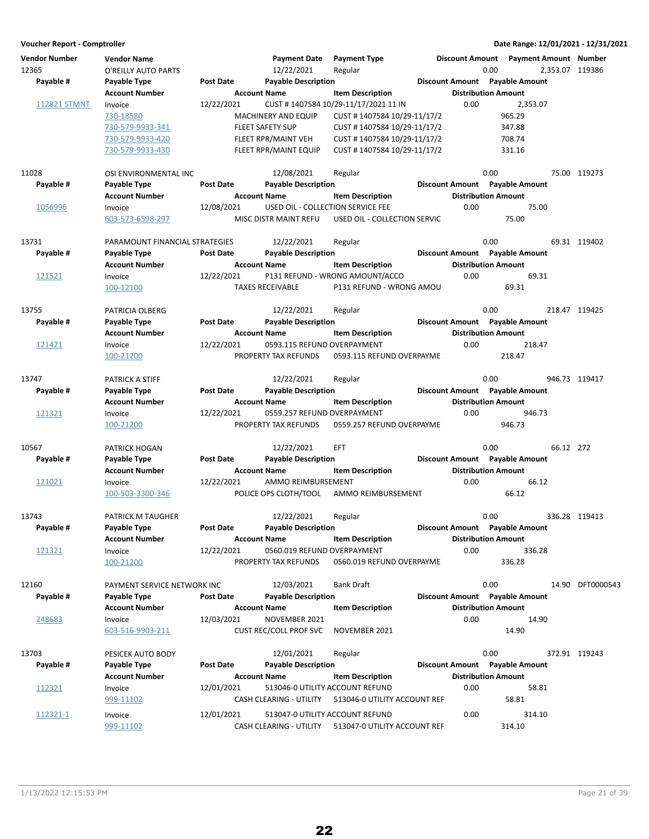| <b>Vendor Number</b><br>12365<br>Payable # | <b>Vendor Name</b><br>O'REILLY AUTO PARTS<br>Payable Type | <b>Post Date</b>    | <b>Payment Date</b><br>12/22/2021<br><b>Payable Description</b> | <b>Payment Type</b><br>Regular       | <b>Discount Amount</b><br><b>Discount Amount</b> | <b>Payment Amount Number</b><br>0.00<br><b>Payable Amount</b> |           | 2,353.07 119386  |
|--------------------------------------------|-----------------------------------------------------------|---------------------|-----------------------------------------------------------------|--------------------------------------|--------------------------------------------------|---------------------------------------------------------------|-----------|------------------|
|                                            | <b>Account Number</b>                                     | <b>Account Name</b> |                                                                 | <b>Item Description</b>              |                                                  | <b>Distribution Amount</b>                                    |           |                  |
| <b>112821 STMNT</b>                        | Invoice                                                   | 12/22/2021          |                                                                 | CUST #1407584 10/29-11/17/2021 11 IN | 0.00                                             | 2,353.07                                                      |           |                  |
|                                            | 730-18580                                                 |                     | <b>MACHINERY AND EQUIP</b>                                      | CUST #1407584 10/29-11/17/2          |                                                  | 965.29                                                        |           |                  |
|                                            | 730-579-9933-341                                          |                     | <b>FLEET SAFETY SUP</b>                                         | CUST #1407584 10/29-11/17/2          |                                                  | 347.88                                                        |           |                  |
|                                            | 730-579-9933-420                                          |                     | FLEET RPR/MAINT VEH                                             | CUST #1407584 10/29-11/17/2          |                                                  | 708.74                                                        |           |                  |
|                                            | 730-579-9933-430                                          |                     | FLEET RPR/MAINT EQUIP                                           | CUST #1407584 10/29-11/17/2          |                                                  | 331.16                                                        |           |                  |
| 11028                                      | OSI ENVIRONMENTAL INC                                     |                     | 12/08/2021                                                      | Regular                              |                                                  | 0.00                                                          |           | 75.00 119273     |
| Payable #                                  | Payable Type                                              | <b>Post Date</b>    | <b>Payable Description</b>                                      |                                      | <b>Discount Amount</b>                           | <b>Payable Amount</b>                                         |           |                  |
|                                            | <b>Account Number</b>                                     | <b>Account Name</b> |                                                                 | <b>Item Description</b>              |                                                  | <b>Distribution Amount</b>                                    |           |                  |
| 1056996                                    | Invoice                                                   | 12/08/2021          | USED OIL - COLLECTION SERVICE FEE                               |                                      | 0.00                                             | 75.00                                                         |           |                  |
|                                            | 603-573-6598-297                                          |                     | MISC DISTR MAINT REFU                                           | USED OIL - COLLECTION SERVIC         |                                                  | 75.00                                                         |           |                  |
| 13731                                      | PARAMOUNT FINANCIAL STRATEGIES                            |                     | 12/22/2021                                                      | Regular                              |                                                  | 0.00                                                          |           | 69.31 119402     |
| Payable #                                  | Payable Type                                              | <b>Post Date</b>    | <b>Payable Description</b>                                      |                                      |                                                  | Discount Amount Payable Amount                                |           |                  |
|                                            | <b>Account Number</b>                                     | <b>Account Name</b> |                                                                 | <b>Item Description</b>              |                                                  | <b>Distribution Amount</b>                                    |           |                  |
| 121521                                     | Invoice                                                   | 12/22/2021          |                                                                 | P131 REFUND - WRONG AMOUNT/ACCO      | 0.00                                             | 69.31                                                         |           |                  |
|                                            | 100-12100                                                 |                     | <b>TAXES RECEIVABLE</b>                                         | P131 REFUND - WRONG AMOU             |                                                  | 69.31                                                         |           |                  |
| 13755                                      | PATRICIA OLBERG                                           |                     | 12/22/2021                                                      | Regular                              |                                                  | 0.00                                                          |           | 218.47 119425    |
| Payable #                                  | Payable Type                                              | <b>Post Date</b>    | <b>Payable Description</b>                                      |                                      |                                                  | Discount Amount Payable Amount                                |           |                  |
|                                            | <b>Account Number</b>                                     | <b>Account Name</b> |                                                                 | <b>Item Description</b>              |                                                  | <b>Distribution Amount</b>                                    |           |                  |
| 121421                                     | Invoice                                                   | 12/22/2021          | 0593.115 REFUND OVERPAYMENT                                     |                                      | 0.00                                             | 218.47                                                        |           |                  |
|                                            | 100-21200                                                 |                     | PROPERTY TAX REFUNDS                                            | 0593.115 REFUND OVERPAYME            |                                                  | 218.47                                                        |           |                  |
| 13747                                      | PATRICK A STIFF                                           |                     | 12/22/2021                                                      | Regular                              |                                                  | 0.00                                                          |           | 946.73 119417    |
| Payable #                                  | Payable Type                                              | <b>Post Date</b>    | <b>Payable Description</b>                                      |                                      |                                                  | Discount Amount Payable Amount                                |           |                  |
|                                            | <b>Account Number</b>                                     | <b>Account Name</b> |                                                                 | <b>Item Description</b>              |                                                  | <b>Distribution Amount</b>                                    |           |                  |
| 121321                                     | Invoice                                                   | 12/22/2021          | 0559.257 REFUND OVERPAYMENT                                     |                                      | 0.00                                             | 946.73                                                        |           |                  |
|                                            | 100-21200                                                 |                     | PROPERTY TAX REFUNDS                                            | 0559.257 REFUND OVERPAYME            |                                                  | 946.73                                                        |           |                  |
| 10567                                      | <b>PATRICK HOGAN</b>                                      |                     | 12/22/2021                                                      | EFT                                  |                                                  | 0.00                                                          | 66.12 272 |                  |
| Payable #                                  | Payable Type                                              | <b>Post Date</b>    | <b>Payable Description</b>                                      |                                      |                                                  | Discount Amount Payable Amount                                |           |                  |
|                                            | <b>Account Number</b>                                     | <b>Account Name</b> |                                                                 | <b>Item Description</b>              |                                                  | <b>Distribution Amount</b>                                    |           |                  |
| 121021                                     | Invoice                                                   | 12/22/2021          | AMMO REIMBURSEMENT                                              |                                      | 0.00                                             | 66.12                                                         |           |                  |
|                                            | 100-503-3300-346                                          |                     | POLICE OPS CLOTH/TOOL                                           | AMMO REIMBURSEMENT                   |                                                  | 66.12                                                         |           |                  |
| 13743                                      | PATRICK M TAUGHER                                         |                     | 12/22/2021                                                      | Regular                              |                                                  | 0.00                                                          |           | 336.28 119413    |
| Payable #                                  | Payable Type                                              | Post Date           | <b>Payable Description</b>                                      |                                      |                                                  | Discount Amount Payable Amount                                |           |                  |
|                                            | <b>Account Number</b>                                     | <b>Account Name</b> |                                                                 | <b>Item Description</b>              |                                                  | <b>Distribution Amount</b>                                    |           |                  |
| 121321                                     | Invoice                                                   | 12/22/2021          | 0560.019 REFUND OVERPAYMENT                                     |                                      | 0.00                                             | 336.28                                                        |           |                  |
|                                            | 100-21200                                                 |                     | PROPERTY TAX REFUNDS                                            | 0560.019 REFUND OVERPAYME            |                                                  | 336.28                                                        |           |                  |
| 12160                                      | PAYMENT SERVICE NETWORK INC                               |                     | 12/03/2021                                                      | <b>Bank Draft</b>                    |                                                  | 0.00                                                          |           | 14.90 DFT0000543 |
| Payable #                                  | Payable Type                                              | <b>Post Date</b>    | <b>Payable Description</b>                                      |                                      |                                                  | Discount Amount Payable Amount                                |           |                  |
|                                            | <b>Account Number</b>                                     | <b>Account Name</b> |                                                                 | <b>Item Description</b>              |                                                  | <b>Distribution Amount</b>                                    |           |                  |
| 248683                                     | Invoice                                                   | 12/03/2021          | NOVEMBER 2021                                                   |                                      | 0.00                                             | 14.90                                                         |           |                  |
|                                            | 603-516-9903-211                                          |                     | <b>CUST REC/COLL PROF SVC</b>                                   | NOVEMBER 2021                        |                                                  | 14.90                                                         |           |                  |
| 13703                                      | PESICEK AUTO BODY                                         |                     | 12/01/2021                                                      | Regular                              |                                                  | 0.00                                                          |           | 372.91 119243    |
| Payable #                                  | Payable Type                                              | Post Date           | <b>Payable Description</b>                                      |                                      |                                                  | Discount Amount Payable Amount                                |           |                  |
|                                            | <b>Account Number</b>                                     | <b>Account Name</b> |                                                                 | <b>Item Description</b>              |                                                  | <b>Distribution Amount</b>                                    |           |                  |
| 112321                                     | Invoice                                                   | 12/01/2021          | 513046-0 UTILITY ACCOUNT REFUND                                 |                                      | 0.00                                             | 58.81                                                         |           |                  |
|                                            | 999-11102                                                 |                     | CASH CLEARING - UTILITY                                         | 513046-0 UTILITY ACCOUNT REF         |                                                  | 58.81                                                         |           |                  |
|                                            |                                                           |                     |                                                                 |                                      |                                                  |                                                               |           |                  |
| 112321-1                                   | Invoice<br>999-11102                                      | 12/01/2021          | 513047-0 UTILITY ACCOUNT REFUND<br>CASH CLEARING - UTILITY      | 513047-0 UTILITY ACCOUNT REF         | 0.00                                             | 314.10<br>314.10                                              |           |                  |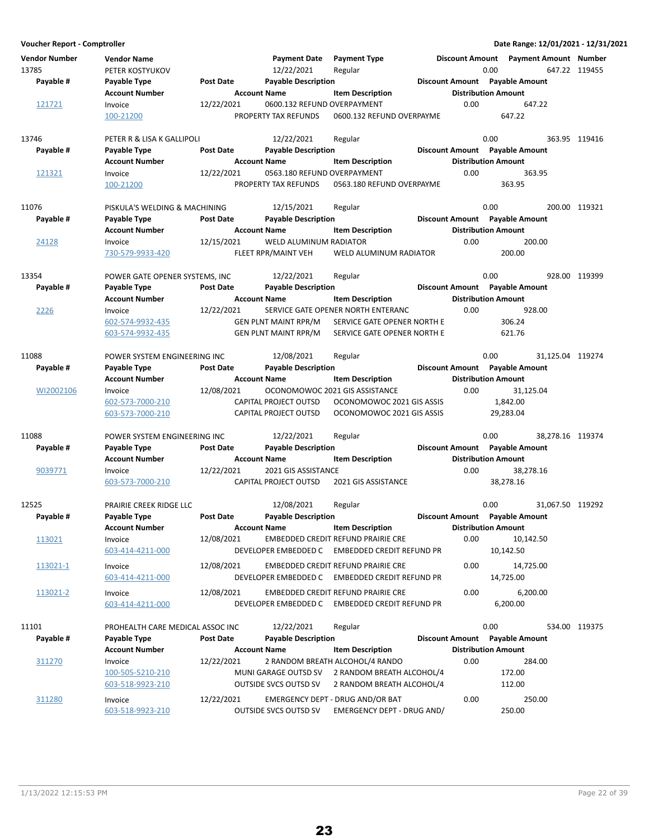**Voucher Report - Comptroller Date Range: 12/01/2021 - 12/31/2021 Vendor Number Vendor Name Payment Date Discount Amount Payment Type Payment Amount Number** 13785 PETER KOSTYUKOV 1 12/22/2021 Regular 13785 0.00 647.22 119455 **Account Number 19 Account Name** Item Description 1995 Distribution Amount Payable # Payable Type **Post Date Payable Description Payable Amount** Payable Amount  $\frac{121721}{100.21200}$  Invoice  $\frac{12}{222/2021}$  0600.132 REFUND OVERPAYMENT 0.00 647.22 0.00 647.22 0600.132 REFUND OVERPAYME 13746 **PETER R & LISA K GALLIPOLI** 12/22/2021 Regular 120 1000 0.00 363.95 119416 **Account Number 1.0 Account Name 1.0 Account Distribution Amount** Amount Payable # Payable Type **Post Date Payable Description Payable Biscount Amount** Payable Amount 121321 Invoice 12/22/2021 0563.180 REFUND OVERPAYMENT 0.00 363.95 100-21200 PROPERTY TAX REFUNDS 363.95 0563.180 REFUND OVERPAYME 11076 PISKULA'S WELDING & MACHINING 12/15/2021 Regular 1200 2000 200.00 200.00 119321 **Account Number Account Name Item Description Distribution Amount Payable # Post Date Payable Description Payable Amount Payable Type Discount Amount** 24128 Invoice 12/15/2021 WELD ALUMINUM RADIATOR 200.00 0.00 730-579-9933-420 FLEET RPR/MAINT VEH 200.00 WELD ALUMINUM RADIATOR 13354 POWER GATE OPENER SYSTEMS, INC 12/22/2021 Regular 120 10339 Research 10.00 928.00 119399 **Account Number 19 Account Name 12 Account Distribution Amount** Payable # Payable Type Post Date Payable Description **Payable Description** Discount Amount Payable Amount 2226 Invoice 12/22/2021 SERVICE GATE OPENER NORTH ENTERANC 0.00 928.00 602-574-9932-435 GEN PLNT MAINT RPR/M 306.24 SERVICE GATE OPENER NORTH E 603-574-9932-435 GEN PLNT MAINT RPR/M SERVICE GATE OPENER NORTH E 621.76 11088 POWER SYSTEM ENGINEERING INC 12/08/2021 Regular 1088 0.00 31,125.04 119274 **Account Number 6 Account Name 19 Account Distribution Amount** Payable # Payable Type **Post Date** Payable Description **Payable Discount Amount** Payable Amount <u>WI2002106</u> Invoice 12/08/2021 OCONOMOWOC 2021 GIS ASSISTANCE 0.00 31,125.04<br>602-573-7000-210 CAPITAL PROJECT OUTSD OCONOMOWOC 2021 GIS ASSIS 1.842.00 602-573-7000-210 CAPITAL PROJECT OUTSD 1,842.00 OCONOMOWOC 2021 GIS ASSIS 603-573-7000-210 CAPITAL PROJECT OUTSD OCONOMOWOC 2021 GIS ASSIS 29,283.04 11088 POWER SYSTEM ENGINEERING INC 12/22/2021 Regular 1088 0.00 38,278.16 119374 **Account Number Account Name Item Description Distribution Amount** Payable # Payable Type **Post Date Payable Description Payable Amount** Payable Amount 9039771 Invoice 12/22/2021 2021 GIS ASSISTANCE 0.00 38.278.16 603-573-7000-210 CAPITAL PROJECT OUTSD 38,278.16 2021 GIS ASSISTANCE 12525 PRAIRIE CREEK RIDGE LLC 12/08/2021 Regular 0.00 0.00 31,067.50 119292<br>Payable # Payable Type Post Date Payable Description Discount Amount Payable Amount **Account Number 6 Account Name 12 Account Number Account Name 12 Account Number 6 Account Name** Payable # Payable Type **Post Date Payable Description Payable Besount Amount** Payable Amount 113021 Invoice 12/08/2021 EMBEDDED CREDIT REFUND PRAIRIE CRE 0.00 10,142.50 603-414-4211-000 DEVELOPER EMBEDDED C 10,142.50 EMBEDDED CREDIT REFUND PR 113021-1 Invoice 12/08/2021 EMBEDDED CREDIT REFUND PRAIRIE CRE 0.00 14,725.00 603-414-4211-000 DEVELOPER EMBEDDED C 14,725.00 EMBEDDED CREDIT REFUND PR 113021-2 Invoice 12/08/2021 EMBEDDED CREDIT REFUND PRAIRIE CRE 0.00 6,200.00 603-414-4211-000 DEVELOPER EMBEDDED C 6,200.00 EMBEDDED CREDIT REFUND PR 11101 PROHEALTH CARE MEDICAL ASSOC INC 12/22/2021 Regular 120 000 534.00 119375 **Account Number Account Name Item Description Distribution Amount Payable # Post Date Payable Description Payable Amount Payable Type Discount Amount** 311270 Invoice 12/22/2021 2 RANDOM BREATH ALCOHOL/4 RANDO 0.00 284.00 100-505-5210-210 MUNI GARAGE OUTSD SV 172.00 2 RANDOM BREATH ALCOHOL/4 603-518-9923-210 OUTSIDE SVCS OUTSD SV 2 RANDOM BREATH ALCOHOL/4 112.00 311280 Invoice 12/22/2021 EMERGENCY DEPT - DRUG AND/OR BAT 0.00 250.00

603-518-9923-210 OUTSIDE SVCS OUTSD SV 250.00 EMERGENCY DEPT - DRUG AND/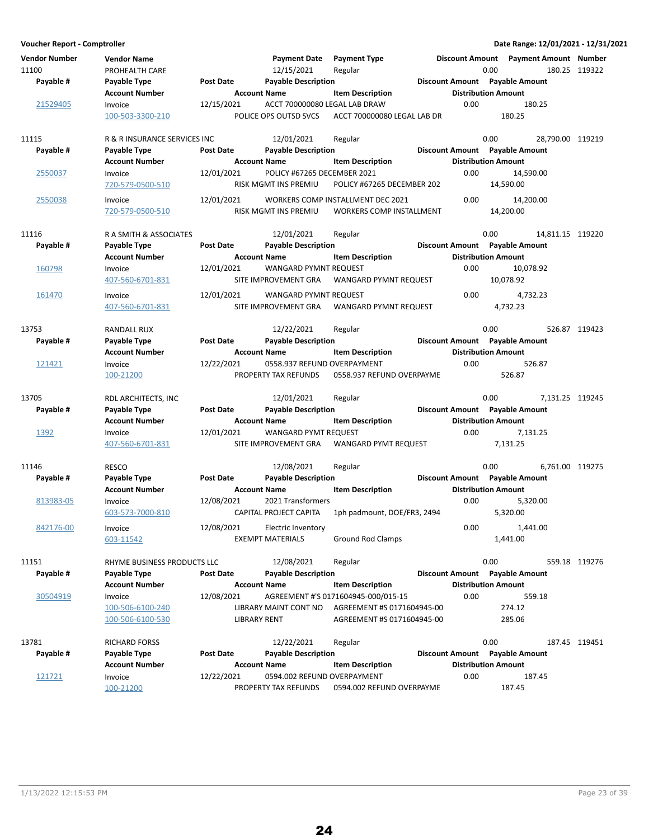| <b>Vendor Number</b><br>11100<br>Payable # | <b>Vendor Name</b><br>PROHEALTH CARE<br>Payable Type | <b>Post Date</b>    | <b>Payment Date</b><br>12/15/2021<br><b>Payable Description</b> | <b>Payment Type</b><br>Regular                                | <b>Discount Amount</b> | 0.00<br>Discount Amount Payable Amount | Payment Amount Number | 180.25 119322 |
|--------------------------------------------|------------------------------------------------------|---------------------|-----------------------------------------------------------------|---------------------------------------------------------------|------------------------|----------------------------------------|-----------------------|---------------|
|                                            | <b>Account Number</b>                                | <b>Account Name</b> |                                                                 | <b>Item Description</b>                                       |                        | <b>Distribution Amount</b>             |                       |               |
| 21529405                                   | Invoice                                              | 12/15/2021          | ACCT 700000080 LEGAL LAB DRAW                                   |                                                               | 0.00                   |                                        | 180.25                |               |
|                                            | 100-503-3300-210                                     |                     | POLICE OPS OUTSD SVCS                                           | ACCT 700000080 LEGAL LAB DR                                   |                        | 180.25                                 |                       |               |
| 11115                                      | R & R INSURANCE SERVICES INC                         |                     | 12/01/2021                                                      | Regular                                                       |                        | 0.00                                   | 28,790.00 119219      |               |
| Payable #                                  | Payable Type                                         | <b>Post Date</b>    | <b>Payable Description</b>                                      |                                                               |                        | Discount Amount Payable Amount         |                       |               |
|                                            | <b>Account Number</b>                                | <b>Account Name</b> |                                                                 | <b>Item Description</b>                                       |                        | <b>Distribution Amount</b>             |                       |               |
| 2550037                                    | Invoice<br>720-579-0500-510                          | 12/01/2021          | POLICY #67265 DECEMBER 2021<br>RISK MGMT INS PREMIU             | POLICY #67265 DECEMBER 202                                    | 0.00                   | 14,590.00                              | 14,590.00             |               |
| 2550038                                    | Invoice<br>720-579-0500-510                          | 12/01/2021          | RISK MGMT INS PREMIU                                            | WORKERS COMP INSTALLMENT DEC 2021<br>WORKERS COMP INSTALLMENT | 0.00                   | 14,200.00                              | 14,200.00             |               |
| 11116                                      | R A SMITH & ASSOCIATES                               |                     | 12/01/2021                                                      | Regular                                                       |                        | 0.00                                   | 14,811.15 119220      |               |
| Payable #                                  | Payable Type                                         | <b>Post Date</b>    | <b>Payable Description</b>                                      |                                                               |                        | Discount Amount Payable Amount         |                       |               |
|                                            | <b>Account Number</b>                                | <b>Account Name</b> |                                                                 | <b>Item Description</b>                                       |                        | <b>Distribution Amount</b>             |                       |               |
| 160798                                     | Invoice                                              | 12/01/2021          | <b>WANGARD PYMNT REQUEST</b>                                    |                                                               | 0.00                   |                                        | 10,078.92             |               |
|                                            | 407-560-6701-831                                     |                     | SITE IMPROVEMENT GRA                                            | WANGARD PYMNT REQUEST                                         |                        | 10,078.92                              |                       |               |
| 161470                                     | Invoice                                              | 12/01/2021          | <b>WANGARD PYMNT REQUEST</b>                                    |                                                               | 0.00                   |                                        | 4,732.23              |               |
|                                            | 407-560-6701-831                                     |                     | SITE IMPROVEMENT GRA                                            | WANGARD PYMNT REQUEST                                         |                        | 4,732.23                               |                       |               |
| 13753                                      | <b>RANDALL RUX</b>                                   |                     | 12/22/2021                                                      | Regular                                                       |                        | 0.00                                   |                       | 526.87 119423 |
| Payable #                                  | Payable Type                                         | <b>Post Date</b>    | <b>Payable Description</b>                                      |                                                               |                        | Discount Amount Payable Amount         |                       |               |
|                                            | <b>Account Number</b>                                | <b>Account Name</b> |                                                                 | <b>Item Description</b>                                       |                        | <b>Distribution Amount</b>             |                       |               |
| 121421                                     | Invoice                                              | 12/22/2021          | 0558.937 REFUND OVERPAYMENT                                     |                                                               | 0.00                   |                                        | 526.87                |               |
|                                            | 100-21200                                            |                     | PROPERTY TAX REFUNDS                                            | 0558.937 REFUND OVERPAYME                                     |                        | 526.87                                 |                       |               |
| 13705                                      | RDL ARCHITECTS, INC                                  |                     | 12/01/2021                                                      | Regular                                                       |                        | 0.00                                   | 7,131.25 119245       |               |
| Payable #                                  | Payable Type                                         | <b>Post Date</b>    | <b>Payable Description</b>                                      |                                                               |                        | Discount Amount Payable Amount         |                       |               |
|                                            | <b>Account Number</b>                                | <b>Account Name</b> |                                                                 | <b>Item Description</b>                                       |                        | <b>Distribution Amount</b>             |                       |               |
| 1392                                       | Invoice                                              | 12/01/2021          | WANGARD PYMT REQUEST                                            |                                                               | 0.00                   |                                        | 7,131.25              |               |
|                                            | 407-560-6701-831                                     |                     | SITE IMPROVEMENT GRA                                            | WANGARD PYMT REQUEST                                          |                        | 7,131.25                               |                       |               |
| 11146                                      | <b>RESCO</b>                                         |                     | 12/08/2021                                                      | Regular                                                       |                        | 0.00                                   | 6,761.00 119275       |               |
| Payable #                                  | Payable Type                                         | <b>Post Date</b>    | <b>Payable Description</b>                                      |                                                               |                        | Discount Amount Payable Amount         |                       |               |
|                                            | <b>Account Number</b>                                | <b>Account Name</b> |                                                                 | <b>Item Description</b>                                       |                        | <b>Distribution Amount</b>             |                       |               |
| 813983-05                                  | Invoice                                              | 12/08/2021          | 2021 Transformers                                               |                                                               | 0.00                   |                                        | 5,320.00              |               |
|                                            | 603-573-7000-810                                     |                     | CAPITAL PROJECT CAPITA                                          | 1ph padmount, DOE/FR3, 2494                                   |                        | 5,320.00                               |                       |               |
| 842176-00                                  | Invoice                                              | 12/08/2021          | <b>Electric Inventory</b>                                       |                                                               | 0.00                   |                                        | 1,441.00              |               |
|                                            | 603-11542                                            |                     | <b>EXEMPT MATERIALS</b>                                         | <b>Ground Rod Clamps</b>                                      |                        | 1,441.00                               |                       |               |
| 11151                                      | RHYME BUSINESS PRODUCTS LLC                          |                     | 12/08/2021                                                      | Regular                                                       |                        | 0.00                                   |                       | 559.18 119276 |
| Payable #                                  | Payable Type                                         | <b>Post Date</b>    | <b>Payable Description</b>                                      |                                                               |                        | Discount Amount Payable Amount         |                       |               |
|                                            | <b>Account Number</b>                                | <b>Account Name</b> |                                                                 | <b>Item Description</b>                                       |                        | <b>Distribution Amount</b>             |                       |               |
| 30504919                                   | Invoice                                              | 12/08/2021          |                                                                 | AGREEMENT #'S 0171604945-000/015-15                           | 0.00                   |                                        | 559.18                |               |
|                                            | 100-506-6100-240                                     |                     | LIBRARY MAINT CONT NO                                           | AGREEMENT #S 0171604945-00                                    |                        | 274.12                                 |                       |               |
|                                            | 100-506-6100-530                                     | <b>LIBRARY RENT</b> |                                                                 | AGREEMENT #S 0171604945-00                                    |                        | 285.06                                 |                       |               |
| 13781                                      | RICHARD FORSS                                        |                     | 12/22/2021                                                      | Regular                                                       |                        | 0.00                                   |                       | 187.45 119451 |
| Payable #                                  | Payable Type                                         | <b>Post Date</b>    | <b>Payable Description</b>                                      |                                                               |                        | Discount Amount Payable Amount         |                       |               |
|                                            | <b>Account Number</b>                                | <b>Account Name</b> |                                                                 | <b>Item Description</b>                                       |                        | <b>Distribution Amount</b>             |                       |               |
| 121721                                     | Invoice                                              | 12/22/2021          | 0594.002 REFUND OVERPAYMENT                                     |                                                               | 0.00                   |                                        | 187.45                |               |
|                                            | 100-21200                                            |                     | PROPERTY TAX REFUNDS                                            | 0594.002 REFUND OVERPAYME                                     |                        | 187.45                                 |                       |               |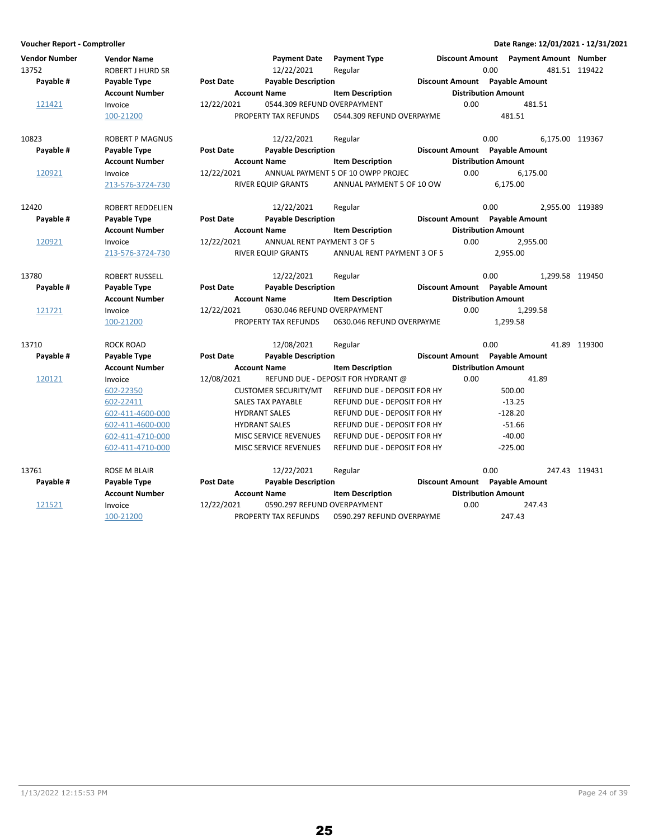| Voucher Report - Comptroller  |                                               |                  |                                   |                                    |                                |                            |                                       | Date Range: 12/01/2021 - 12/31/2021 |
|-------------------------------|-----------------------------------------------|------------------|-----------------------------------|------------------------------------|--------------------------------|----------------------------|---------------------------------------|-------------------------------------|
| <b>Vendor Number</b><br>13752 | <b>Vendor Name</b><br><b>ROBERT J HURD SR</b> |                  | <b>Payment Date</b><br>12/22/2021 | <b>Payment Type</b><br>Regular     |                                | 0.00                       | Discount Amount Payment Amount Number | 481.51 119422                       |
| Payable #                     | Payable Type                                  | <b>Post Date</b> | <b>Payable Description</b>        |                                    | Discount Amount Payable Amount |                            |                                       |                                     |
|                               | <b>Account Number</b>                         |                  | <b>Account Name</b>               | <b>Item Description</b>            |                                | <b>Distribution Amount</b> |                                       |                                     |
| 121421                        | Invoice                                       | 12/22/2021       | 0544.309 REFUND OVERPAYMENT       |                                    | 0.00                           |                            | 481.51                                |                                     |
|                               | 100-21200                                     |                  | PROPERTY TAX REFUNDS              | 0544.309 REFUND OVERPAYME          |                                | 481.51                     |                                       |                                     |
| 10823                         | <b>ROBERT P MAGNUS</b>                        |                  | 12/22/2021                        | Regular                            |                                | 0.00                       | 6,175.00 119367                       |                                     |
| Payable #                     | Payable Type                                  | <b>Post Date</b> | <b>Payable Description</b>        |                                    | Discount Amount Payable Amount |                            |                                       |                                     |
|                               | <b>Account Number</b>                         |                  | <b>Account Name</b>               | <b>Item Description</b>            |                                | <b>Distribution Amount</b> |                                       |                                     |
| 120921                        | Invoice                                       | 12/22/2021       |                                   | ANNUAL PAYMENT 5 OF 10 OWPP PROJEC | 0.00                           |                            | 6,175.00                              |                                     |
|                               | 213-576-3724-730                              |                  | RIVER EQUIP GRANTS                | ANNUAL PAYMENT 5 OF 10 OW          |                                | 6,175.00                   |                                       |                                     |
| 12420                         | ROBERT REDDELIEN                              |                  | 12/22/2021                        | Regular                            |                                | 0.00                       | 2,955.00 119389                       |                                     |
| Payable #                     | Payable Type                                  | <b>Post Date</b> | <b>Payable Description</b>        |                                    | Discount Amount Payable Amount |                            |                                       |                                     |
|                               | <b>Account Number</b>                         |                  | <b>Account Name</b>               | <b>Item Description</b>            |                                | <b>Distribution Amount</b> |                                       |                                     |
| 120921                        | Invoice                                       | 12/22/2021       | ANNUAL RENT PAYMENT 3 OF 5        |                                    | 0.00                           |                            | 2,955.00                              |                                     |
|                               | 213-576-3724-730                              |                  | <b>RIVER EQUIP GRANTS</b>         | ANNUAL RENT PAYMENT 3 OF 5         |                                | 2.955.00                   |                                       |                                     |
| 13780                         | ROBERT RUSSELL                                |                  | 12/22/2021                        | Regular                            |                                | 0.00                       | 1.299.58 119450                       |                                     |
| Payable #                     | Payable Type                                  | Post Date        | <b>Payable Description</b>        |                                    | Discount Amount Payable Amount |                            |                                       |                                     |
|                               | <b>Account Number</b>                         |                  | <b>Account Name</b>               | <b>Item Description</b>            |                                | <b>Distribution Amount</b> |                                       |                                     |
| 121721                        | Invoice                                       | 12/22/2021       | 0630.046 REFUND OVERPAYMENT       |                                    | 0.00                           |                            | 1,299.58                              |                                     |
|                               | 100-21200                                     |                  | PROPERTY TAX REFUNDS              | 0630.046 REFUND OVERPAYME          |                                | 1,299.58                   |                                       |                                     |
| 13710                         | ROCK ROAD                                     |                  | 12/08/2021                        | Regular                            |                                | 0.00                       |                                       | 41.89 119300                        |
| Payable #                     | Payable Type                                  | <b>Post Date</b> | <b>Payable Description</b>        |                                    | Discount Amount Payable Amount |                            |                                       |                                     |
|                               | Account Number                                |                  | <b>Account Name</b>               | <b>Item Description</b>            |                                | <b>Distribution Amount</b> |                                       |                                     |
| 120121                        | Invoice                                       | 12/08/2021       |                                   | REFUND DUE - DEPOSIT FOR HYDRANT @ | 0.00                           |                            | 41.89                                 |                                     |
|                               | 602-22350                                     |                  | <b>CUSTOMER SECURITY/MT</b>       | REFUND DUE - DEPOSIT FOR HY        |                                | 500.00                     |                                       |                                     |
|                               | 602-22411                                     |                  | <b>SALES TAX PAYABLE</b>          | REFUND DUE - DEPOSIT FOR HY        |                                | $-13.25$                   |                                       |                                     |
|                               | 602-411-4600-000                              |                  | <b>HYDRANT SALES</b>              | REFUND DUE - DEPOSIT FOR HY        |                                | $-128.20$                  |                                       |                                     |
|                               | 602-411-4600-000                              |                  | <b>HYDRANT SALES</b>              | REFUND DUE - DEPOSIT FOR HY        |                                | $-51.66$                   |                                       |                                     |
|                               | 602-411-4710-000                              |                  | <b>MISC SERVICE REVENUES</b>      | REFUND DUE - DEPOSIT FOR HY        |                                | $-40.00$                   |                                       |                                     |
|                               | 602-411-4710-000                              |                  | <b>MISC SERVICE REVENUES</b>      | <b>REFUND DUE - DEPOSIT FOR HY</b> |                                | $-225.00$                  |                                       |                                     |
| 13761                         | ROSE M BLAIR                                  |                  | 12/22/2021                        | Regular                            |                                | 0.00                       |                                       | 247.43 119431                       |
| Payable #                     | Payable Type                                  | <b>Post Date</b> | <b>Payable Description</b>        |                                    | Discount Amount Payable Amount |                            |                                       |                                     |
|                               | <b>Account Number</b>                         |                  | <b>Account Name</b>               | <b>Item Description</b>            |                                | <b>Distribution Amount</b> |                                       |                                     |
| 121521                        | Invoice                                       | 12/22/2021       | 0590.297 REFUND OVERPAYMENT       |                                    | 0.00                           |                            | 247.43                                |                                     |
|                               | 100-21200                                     |                  | PROPERTY TAX REFUNDS              | 0590.297 REFUND OVERPAYME          |                                | 247.43                     |                                       |                                     |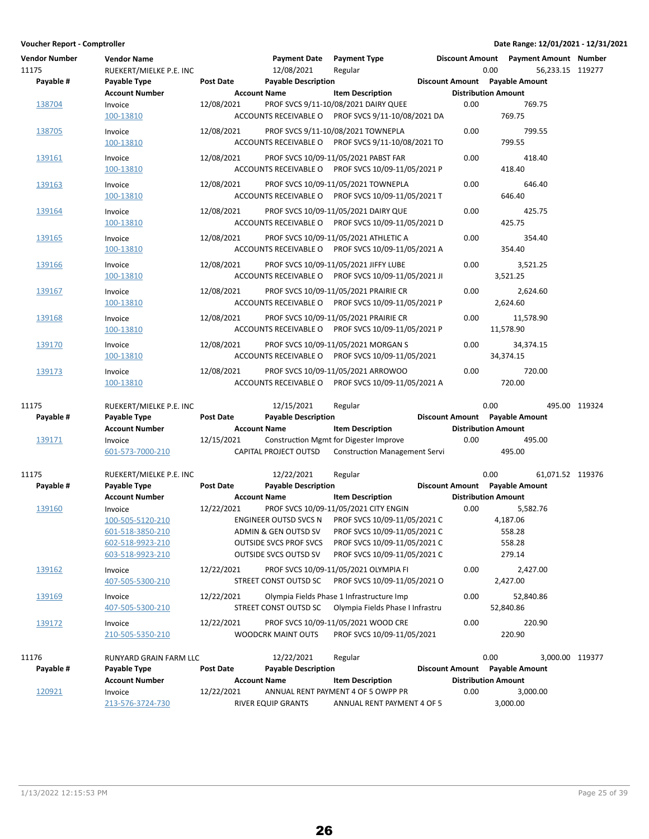| <b>Vendor Number</b><br>11175<br>Payable # | <b>Vendor Name</b><br>RUEKERT/MIELKE P.E. INC<br>Payable Type | <b>Post Date</b>    | <b>Payment Date</b><br>12/08/2021<br><b>Payable Description</b> | <b>Payment Type</b><br>Regular                                                               |      | Discount Amount  Payment Amount  Number<br>0.00<br>Discount Amount Payable Amount | 56,233.15 119277 |  |
|--------------------------------------------|---------------------------------------------------------------|---------------------|-----------------------------------------------------------------|----------------------------------------------------------------------------------------------|------|-----------------------------------------------------------------------------------|------------------|--|
|                                            | <b>Account Number</b>                                         | <b>Account Name</b> |                                                                 | <b>Item Description</b>                                                                      |      | <b>Distribution Amount</b>                                                        |                  |  |
| 138704                                     | Invoice<br>100-13810                                          | 12/08/2021          |                                                                 | PROF SVCS 9/11-10/08/2021 DAIRY QUEE<br>ACCOUNTS RECEIVABLE O PROF SVCS 9/11-10/08/2021 DA   | 0.00 | 769.75                                                                            | 769.75           |  |
| 138705                                     | Invoice<br>100-13810                                          | 12/08/2021          |                                                                 | PROF SVCS 9/11-10/08/2021 TOWNEPLA<br>ACCOUNTS RECEIVABLE O PROF SVCS 9/11-10/08/2021 TO     | 0.00 | 799.55                                                                            | 799.55           |  |
| 139161                                     | Invoice<br>100-13810                                          | 12/08/2021          |                                                                 | PROF SVCS 10/09-11/05/2021 PABST FAR<br>ACCOUNTS RECEIVABLE O PROF SVCS 10/09-11/05/2021 P   | 0.00 | 418.40                                                                            | 418.40           |  |
| 139163                                     | Invoice<br>100-13810                                          | 12/08/2021          |                                                                 | PROF SVCS 10/09-11/05/2021 TOWNEPLA<br>ACCOUNTS RECEIVABLE O PROF SVCS 10/09-11/05/2021 T    | 0.00 | 646.40                                                                            | 646.40           |  |
| 139164                                     | Invoice<br>100-13810                                          | 12/08/2021          |                                                                 | PROF SVCS 10/09-11/05/2021 DAIRY QUE<br>ACCOUNTS RECEIVABLE O PROF SVCS 10/09-11/05/2021 D   | 0.00 | 425.75                                                                            | 425.75           |  |
| 139165                                     | Invoice<br>100-13810                                          | 12/08/2021          |                                                                 | PROF SVCS 10/09-11/05/2021 ATHLETIC A<br>ACCOUNTS RECEIVABLE O PROF SVCS 10/09-11/05/2021 A  | 0.00 | 354.40                                                                            | 354.40           |  |
| 139166                                     | Invoice<br>100-13810                                          | 12/08/2021          |                                                                 | PROF SVCS 10/09-11/05/2021 JIFFY LUBE<br>ACCOUNTS RECEIVABLE O PROF SVCS 10/09-11/05/2021 JI | 0.00 | 3,521.25<br>3,521.25                                                              |                  |  |
| 139167                                     | Invoice<br>100-13810                                          | 12/08/2021          |                                                                 | PROF SVCS 10/09-11/05/2021 PRAIRIE CR<br>ACCOUNTS RECEIVABLE O PROF SVCS 10/09-11/05/2021 P  | 0.00 | 2,624.60<br>2,624.60                                                              |                  |  |
| 139168                                     | Invoice<br>100-13810                                          | 12/08/2021          |                                                                 | PROF SVCS 10/09-11/05/2021 PRAIRIE CR<br>ACCOUNTS RECEIVABLE O PROF SVCS 10/09-11/05/2021 P  | 0.00 | 11,578.90<br>11,578.90                                                            |                  |  |
| 139170                                     | Invoice<br>100-13810                                          | 12/08/2021          |                                                                 | PROF SVCS 10/09-11/05/2021 MORGAN S<br>ACCOUNTS RECEIVABLE O PROF SVCS 10/09-11/05/2021      | 0.00 | 34,374.15<br>34,374.15                                                            |                  |  |
| 139173                                     | Invoice<br>100-13810                                          | 12/08/2021          |                                                                 | PROF SVCS 10/09-11/05/2021 ARROWOO<br>ACCOUNTS RECEIVABLE O PROF SVCS 10/09-11/05/2021 A     | 0.00 | 720.00                                                                            | 720.00           |  |
|                                            |                                                               |                     |                                                                 |                                                                                              |      |                                                                                   |                  |  |
| 11175                                      | RUEKERT/MIELKE P.E. INC                                       |                     | 12/15/2021                                                      | Regular                                                                                      |      | 0.00                                                                              | 495.00 119324    |  |
| Payable #                                  | Payable Type                                                  | Post Date           | <b>Payable Description</b>                                      |                                                                                              |      | Discount Amount Payable Amount                                                    |                  |  |
|                                            | <b>Account Number</b>                                         | <b>Account Name</b> |                                                                 | <b>Item Description</b>                                                                      |      | <b>Distribution Amount</b>                                                        |                  |  |
| 139171                                     | Invoice<br>601-573-7000-210                                   | 12/15/2021          | CAPITAL PROJECT OUTSD                                           | Construction Mgmt for Digester Improve<br><b>Construction Management Servi</b>               | 0.00 | 495.00                                                                            | 495.00           |  |
| 11175                                      | RUEKERT/MIELKE P.E. INC                                       |                     | 12/22/2021                                                      | Regular                                                                                      |      | 0.00                                                                              | 61,071.52 119376 |  |
| Payable #                                  | Payable Type                                                  | Post Date           | <b>Payable Description</b>                                      |                                                                                              |      | Discount Amount Payable Amount                                                    |                  |  |
|                                            | <b>Account Number</b>                                         | <b>Account Name</b> |                                                                 | <b>Item Description</b>                                                                      |      | <b>Distribution Amount</b>                                                        |                  |  |
| 139160                                     | Invoice                                                       | 12/22/2021          |                                                                 | PROF SVCS 10/09-11/05/2021 CITY ENGIN                                                        | 0.00 | 5,582.76                                                                          |                  |  |
|                                            | 100-505-5120-210                                              |                     | ENGINEER OUTSD SVCS N                                           | PROF SVCS 10/09-11/05/2021 C                                                                 |      | 4,187.06                                                                          |                  |  |
|                                            | 601-518-3850-210                                              |                     | ADMIN & GEN OUTSD SV                                            | PROF SVCS 10/09-11/05/2021 C                                                                 |      | 558.28                                                                            |                  |  |
|                                            | 602-518-9923-210<br>603-518-9923-210                          |                     | <b>OUTSIDE SVCS PROF SVCS</b><br><b>OUTSIDE SVCS OUTSD SV</b>   | PROF SVCS 10/09-11/05/2021 C<br>PROF SVCS 10/09-11/05/2021 C                                 |      | 558.28<br>279.14                                                                  |                  |  |
|                                            |                                                               |                     |                                                                 |                                                                                              |      |                                                                                   |                  |  |
| 139162                                     | Invoice<br>407-505-5300-210                                   | 12/22/2021          | STREET CONST OUTSD SC                                           | PROF SVCS 10/09-11/05/2021 OLYMPIA FI<br>PROF SVCS 10/09-11/05/2021 O                        | 0.00 | 2,427.00<br>2,427.00                                                              |                  |  |
| 139169                                     | Invoice<br>407-505-5300-210                                   | 12/22/2021          | STREET CONST OUTSD SC                                           | Olympia Fields Phase 1 Infrastructure Imp<br>Olympia Fields Phase I Infrastru                | 0.00 | 52,840.86<br>52,840.86                                                            |                  |  |
| 139172                                     | Invoice<br>210-505-5350-210                                   | 12/22/2021          | <b>WOODCRK MAINT OUTS</b>                                       | PROF SVCS 10/09-11/05/2021 WOOD CRE<br>PROF SVCS 10/09-11/05/2021                            | 0.00 | 220.90                                                                            | 220.90           |  |
| 11176                                      | <b>RUNYARD GRAIN FARM LLC</b>                                 |                     | 12/22/2021                                                      | Regular                                                                                      |      | 0.00                                                                              | 3,000.00 119377  |  |
| Payable #                                  | Payable Type                                                  | <b>Post Date</b>    | <b>Payable Description</b>                                      |                                                                                              |      | Discount Amount Payable Amount                                                    |                  |  |
|                                            | <b>Account Number</b>                                         | <b>Account Name</b> |                                                                 | <b>Item Description</b>                                                                      |      | <b>Distribution Amount</b>                                                        |                  |  |
| 120921                                     | Invoice                                                       | 12/22/2021          |                                                                 | ANNUAL RENT PAYMENT 4 OF 5 OWPP PR                                                           | 0.00 | 3,000.00                                                                          |                  |  |
|                                            | 213-576-3724-730                                              |                     | RIVER EQUIP GRANTS                                              | ANNUAL RENT PAYMENT 4 OF 5                                                                   |      | 3,000.00                                                                          |                  |  |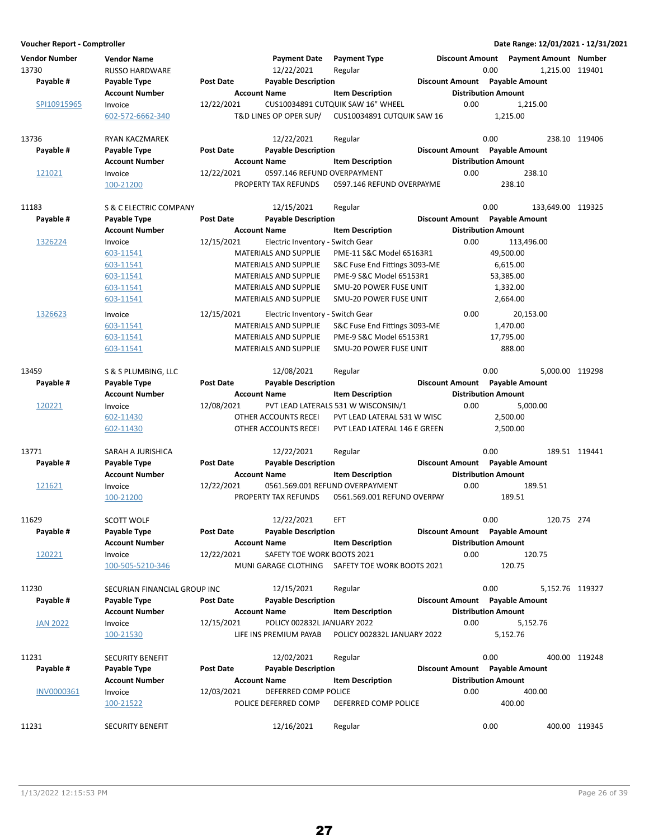| Voucher Report - Comptroller  |                                             |                  |                                                     |                                     |                                       | Date Range: 12/01/2021 - 12/31/2021                      |               |
|-------------------------------|---------------------------------------------|------------------|-----------------------------------------------------|-------------------------------------|---------------------------------------|----------------------------------------------------------|---------------|
| <b>Vendor Number</b><br>13730 | <b>Vendor Name</b><br><b>RUSSO HARDWARE</b> |                  | <b>Payment Date</b><br>12/22/2021                   | <b>Payment Type</b><br>Regular      | 0.00                                  | Discount Amount Payment Amount Number<br>1,215.00 119401 |               |
| Payable #                     | Payable Type                                | <b>Post Date</b> | <b>Payable Description</b>                          |                                     | Discount Amount Payable Amount        |                                                          |               |
|                               | <b>Account Number</b>                       |                  | <b>Account Name</b>                                 | <b>Item Description</b>             | <b>Distribution Amount</b>            |                                                          |               |
| SPI10915965                   | Invoice                                     | 12/22/2021       |                                                     | CUS10034891 CUTQUIK SAW 16" WHEEL   | 0.00                                  | 1,215.00                                                 |               |
|                               | 602-572-6662-340                            |                  | T&D LINES OP OPER SUP/                              | CUS10034891 CUTQUIK SAW 16          |                                       | 1,215.00                                                 |               |
| 13736                         | <b>RYAN KACZMAREK</b>                       |                  | 12/22/2021                                          | Regular                             | 0.00                                  |                                                          | 238.10 119406 |
| Payable #                     | Payable Type                                | <b>Post Date</b> | <b>Payable Description</b>                          |                                     | Discount Amount Payable Amount        |                                                          |               |
|                               | <b>Account Number</b>                       |                  | <b>Account Name</b>                                 | <b>Item Description</b>             | <b>Distribution Amount</b>            |                                                          |               |
| 121021                        | Invoice<br>100-21200                        | 12/22/2021       | 0597.146 REFUND OVERPAYMENT<br>PROPERTY TAX REFUNDS | 0597.146 REFUND OVERPAYME           | 0.00                                  | 238.10<br>238.10                                         |               |
| 11183                         | S & C ELECTRIC COMPANY                      |                  | 12/15/2021                                          | Regular                             | 0.00                                  | 133,649.00 119325                                        |               |
| Payable #                     | Payable Type                                | <b>Post Date</b> | <b>Payable Description</b>                          |                                     | Discount Amount Payable Amount        |                                                          |               |
|                               | <b>Account Number</b>                       |                  | <b>Account Name</b>                                 | <b>Item Description</b>             | <b>Distribution Amount</b>            |                                                          |               |
|                               |                                             |                  |                                                     |                                     | 0.00                                  |                                                          |               |
| 1326224                       | Invoice                                     | 12/15/2021       | Electric Inventory - Switch Gear                    |                                     |                                       | 113,496.00                                               |               |
|                               | 603-11541                                   |                  | <b>MATERIALS AND SUPPLIE</b>                        | PME-11 S&C Model 65163R1            |                                       | 49,500.00                                                |               |
|                               | 603-11541                                   |                  | MATERIALS AND SUPPLIE                               | S&C Fuse End Fittings 3093-ME       |                                       | 6,615.00                                                 |               |
|                               | 603-11541                                   |                  | <b>MATERIALS AND SUPPLIE</b>                        | PME-9 S&C Model 65153R1             |                                       | 53,385.00                                                |               |
|                               | 603-11541                                   |                  | <b>MATERIALS AND SUPPLIE</b>                        | SMU-20 POWER FUSE UNIT              |                                       | 1,332.00                                                 |               |
|                               | 603-11541                                   |                  | <b>MATERIALS AND SUPPLIE</b>                        | SMU-20 POWER FUSE UNIT              |                                       | 2,664.00                                                 |               |
| 1326623                       | Invoice                                     | 12/15/2021       | Electric Inventory - Switch Gear                    |                                     | 0.00                                  | 20,153.00                                                |               |
|                               | 603-11541                                   |                  | <b>MATERIALS AND SUPPLIE</b>                        | S&C Fuse End Fittings 3093-ME       |                                       | 1,470.00                                                 |               |
|                               | 603-11541                                   |                  | <b>MATERIALS AND SUPPLIE</b>                        | PME-9 S&C Model 65153R1             |                                       | 17,795.00                                                |               |
|                               | 603-11541                                   |                  | MATERIALS AND SUPPLIE                               | SMU-20 POWER FUSE UNIT              |                                       | 888.00                                                   |               |
| 13459                         | S & S PLUMBING, LLC                         |                  | 12/08/2021                                          | Regular                             | 0.00                                  | 5,000.00 119298                                          |               |
| Payable #                     | Payable Type                                | <b>Post Date</b> | <b>Payable Description</b>                          |                                     | Discount Amount Payable Amount        |                                                          |               |
|                               | <b>Account Number</b>                       |                  | <b>Account Name</b>                                 | <b>Item Description</b>             | <b>Distribution Amount</b>            |                                                          |               |
| 120221                        | Invoice                                     | 12/08/2021       |                                                     | PVT LEAD LATERALS 531 W WISCONSIN/1 | 0.00                                  | 5,000.00                                                 |               |
|                               | 602-11430                                   |                  | OTHER ACCOUNTS RECEI                                | PVT LEAD LATERAL 531 W WISC         |                                       | 2,500.00                                                 |               |
|                               | 602-11430                                   |                  | OTHER ACCOUNTS RECEI                                | PVT LEAD LATERAL 146 E GREEN        |                                       | 2,500.00                                                 |               |
| 13771                         | SARAH A JURISHICA                           |                  | 12/22/2021                                          | Regular                             | 0.00                                  |                                                          | 189.51 119441 |
| Payable #                     | Payable Type                                | <b>Post Date</b> | <b>Payable Description</b>                          |                                     | <b>Discount Amount</b> Payable Amount |                                                          |               |
|                               | <b>Account Number</b>                       |                  | <b>Account Name</b>                                 | <b>Item Description</b>             | <b>Distribution Amount</b>            |                                                          |               |
| 121621                        | Invoice                                     | 12/22/2021       |                                                     | 0561.569.001 REFUND OVERPAYMENT     | 0.00                                  | 189.51                                                   |               |
|                               | 100-21200                                   |                  | PROPERTY TAX REFUNDS                                | 0561.569.001 REFUND OVERPAY         |                                       | 189.51                                                   |               |
| 11629                         | <b>SCOTT WOLF</b>                           |                  | 12/22/2021                                          | EFT                                 | 0.00                                  | 120.75 274                                               |               |
| Payable #                     | Payable Type                                | <b>Post Date</b> | <b>Payable Description</b>                          |                                     | Discount Amount Payable Amount        |                                                          |               |
|                               | <b>Account Number</b>                       |                  | <b>Account Name</b>                                 | <b>Item Description</b>             | <b>Distribution Amount</b>            |                                                          |               |
| 120221                        | Invoice                                     | 12/22/2021       | SAFETY TOE WORK BOOTS 2021                          |                                     | 0.00                                  | 120.75                                                   |               |
|                               | 100-505-5210-346                            |                  | MUNI GARAGE CLOTHING                                | SAFETY TOE WORK BOOTS 2021          |                                       | 120.75                                                   |               |
| 11230                         | SECURIAN FINANCIAL GROUP INC                |                  | 12/15/2021                                          | Regular                             | 0.00                                  | 5,152.76 119327                                          |               |
| Payable #                     | Payable Type                                | <b>Post Date</b> | <b>Payable Description</b>                          |                                     | Discount Amount Payable Amount        |                                                          |               |
|                               | <b>Account Number</b>                       |                  | <b>Account Name</b>                                 | <b>Item Description</b>             | <b>Distribution Amount</b>            |                                                          |               |
| <b>JAN 2022</b>               | Invoice                                     | 12/15/2021       | POLICY 002832L JANUARY 2022                         |                                     | 0.00                                  | 5,152.76                                                 |               |
|                               | 100-21530                                   |                  | LIFE INS PREMIUM PAYAB                              | POLICY 002832L JANUARY 2022         |                                       | 5,152.76                                                 |               |
| 11231                         | <b>SECURITY BENEFIT</b>                     |                  | 12/02/2021                                          | Regular                             | 0.00                                  |                                                          | 400.00 119248 |
| Payable #                     | Payable Type                                | <b>Post Date</b> | <b>Payable Description</b>                          |                                     | Discount Amount Payable Amount        |                                                          |               |
|                               | <b>Account Number</b>                       |                  | <b>Account Name</b>                                 | <b>Item Description</b>             | <b>Distribution Amount</b>            |                                                          |               |
| <b>INV0000361</b>             | Invoice                                     | 12/03/2021       | DEFERRED COMP POLICE                                |                                     | 0.00                                  | 400.00                                                   |               |
|                               | 100-21522                                   |                  | POLICE DEFERRED COMP                                | DEFERRED COMP POLICE                |                                       | 400.00                                                   |               |
|                               |                                             |                  |                                                     |                                     |                                       |                                                          |               |
| 11231                         | SECURITY BENEFIT                            |                  | 12/16/2021                                          | Regular                             | 0.00                                  |                                                          | 400.00 119345 |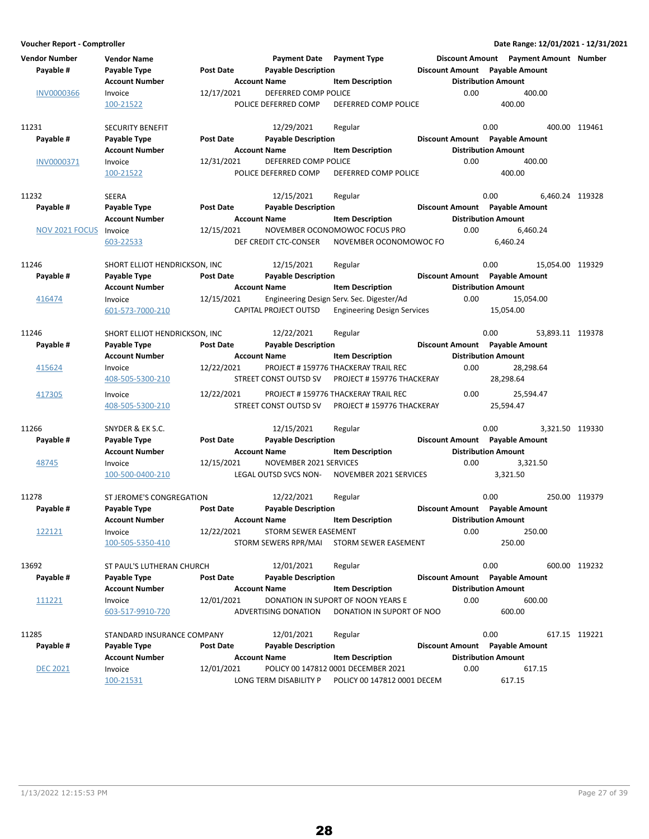| <b>Vendor Number</b><br>Pavable # | <b>Vendor Name</b><br><b>Payable Type</b><br><b>Account Number</b> | <b>Post Date</b><br><b>Account Name</b> | <b>Payment Date</b> Payment Type<br><b>Payable Description</b> | <b>Item Description</b>                   | Discount Amount  Payment Amount  Number<br>Discount Amount Payable Amount<br><b>Distribution Amount</b> |                  |               |
|-----------------------------------|--------------------------------------------------------------------|-----------------------------------------|----------------------------------------------------------------|-------------------------------------------|---------------------------------------------------------------------------------------------------------|------------------|---------------|
| <b>INV0000366</b>                 | Invoice                                                            | 12/17/2021                              | DEFERRED COMP POLICE                                           |                                           | 0.00                                                                                                    | 400.00           |               |
|                                   | 100-21522                                                          |                                         | POLICE DEFERRED COMP                                           | <b>DEFERRED COMP POLICE</b>               | 400.00                                                                                                  |                  |               |
|                                   |                                                                    |                                         |                                                                |                                           |                                                                                                         |                  |               |
| 11231                             | <b>SECURITY BENEFIT</b>                                            |                                         | 12/29/2021                                                     | Regular                                   | 0.00                                                                                                    |                  | 400.00 119461 |
| Payable #                         | Payable Type                                                       | <b>Post Date</b>                        | <b>Payable Description</b>                                     |                                           | Discount Amount Payable Amount                                                                          |                  |               |
|                                   | <b>Account Number</b>                                              | <b>Account Name</b>                     |                                                                | <b>Item Description</b>                   | <b>Distribution Amount</b>                                                                              |                  |               |
| INV0000371                        | Invoice                                                            | 12/31/2021                              | DEFERRED COMP POLICE                                           |                                           | 0.00                                                                                                    | 400.00           |               |
|                                   | 100-21522                                                          |                                         | POLICE DEFERRED COMP                                           | DEFERRED COMP POLICE                      | 400.00                                                                                                  |                  |               |
|                                   |                                                                    |                                         |                                                                |                                           |                                                                                                         |                  |               |
| 11232                             | SEERA                                                              |                                         | 12/15/2021                                                     | Regular                                   | 0.00                                                                                                    | 6,460.24 119328  |               |
| Payable #                         | Payable Type                                                       | <b>Post Date</b>                        | <b>Payable Description</b>                                     |                                           | Discount Amount Payable Amount                                                                          |                  |               |
|                                   | <b>Account Number</b>                                              | <b>Account Name</b>                     |                                                                | <b>Item Description</b>                   | <b>Distribution Amount</b>                                                                              |                  |               |
| NOV 2021 FOCUS                    | Invoice                                                            | 12/15/2021                              |                                                                | NOVEMBER OCONOMOWOC FOCUS PRO             | 0.00                                                                                                    | 6,460.24         |               |
|                                   | 603-22533                                                          |                                         | DEF CREDIT CTC-CONSER                                          | NOVEMBER OCONOMOWOC FO                    | 6,460.24                                                                                                |                  |               |
|                                   |                                                                    |                                         |                                                                |                                           |                                                                                                         |                  |               |
| 11246                             | SHORT ELLIOT HENDRICKSON. INC                                      |                                         | 12/15/2021                                                     | Regular                                   | 0.00                                                                                                    | 15,054.00 119329 |               |
| Payable #                         | Payable Type                                                       | <b>Post Date</b>                        | <b>Payable Description</b>                                     |                                           | Discount Amount Payable Amount                                                                          |                  |               |
|                                   | <b>Account Number</b>                                              | <b>Account Name</b>                     |                                                                | <b>Item Description</b>                   | <b>Distribution Amount</b>                                                                              |                  |               |
| 416474                            | Invoice                                                            | 12/15/2021                              |                                                                | Engineering Design Serv. Sec. Digester/Ad | 0.00                                                                                                    | 15,054.00        |               |
|                                   | 601-573-7000-210                                                   |                                         | CAPITAL PROJECT OUTSD                                          | <b>Engineering Design Services</b>        | 15,054.00                                                                                               |                  |               |
| 11246                             |                                                                    |                                         |                                                                |                                           | 0.00                                                                                                    | 53,893.11 119378 |               |
| Payable #                         | SHORT ELLIOT HENDRICKSON, INC                                      | <b>Post Date</b>                        | 12/22/2021                                                     | Regular                                   |                                                                                                         |                  |               |
|                                   | Payable Type                                                       |                                         | <b>Payable Description</b>                                     |                                           | Discount Amount Payable Amount                                                                          |                  |               |
|                                   | <b>Account Number</b>                                              | <b>Account Name</b>                     |                                                                | <b>Item Description</b>                   | <b>Distribution Amount</b>                                                                              |                  |               |
| 415624                            | Invoice                                                            | 12/22/2021                              |                                                                | PROJECT #159776 THACKERAY TRAIL REC       | 0.00                                                                                                    | 28,298.64        |               |
|                                   | 408-505-5300-210                                                   |                                         | STREET CONST OUTSD SV                                          | PROJECT #159776 THACKERAY                 | 28,298.64                                                                                               |                  |               |
| 417305                            | Invoice                                                            | 12/22/2021                              |                                                                | PROJECT #159776 THACKERAY TRAIL REC       | 0.00                                                                                                    | 25,594.47        |               |
|                                   | 408-505-5300-210                                                   |                                         | STREET CONST OUTSD SV                                          | PROJECT #159776 THACKERAY                 | 25,594.47                                                                                               |                  |               |
|                                   |                                                                    |                                         |                                                                |                                           |                                                                                                         |                  |               |
| 11266                             | SNYDER & EK S.C.                                                   |                                         | 12/15/2021                                                     | Regular                                   | 0.00                                                                                                    | 3,321.50 119330  |               |
| Payable #                         | Payable Type                                                       | <b>Post Date</b>                        | <b>Payable Description</b>                                     |                                           | Discount Amount Payable Amount                                                                          |                  |               |
|                                   | <b>Account Number</b>                                              | <b>Account Name</b>                     |                                                                | <b>Item Description</b>                   | <b>Distribution Amount</b>                                                                              |                  |               |
| 48745                             | Invoice                                                            | 12/15/2021                              | NOVEMBER 2021 SERVICES                                         |                                           | 0.00                                                                                                    | 3,321.50         |               |
|                                   | 100-500-0400-210                                                   |                                         | LEGAL OUTSD SVCS NON-                                          | NOVEMBER 2021 SERVICES                    | 3,321.50                                                                                                |                  |               |
|                                   |                                                                    |                                         |                                                                |                                           |                                                                                                         |                  |               |
| 11278                             | ST JEROME'S CONGREGATION                                           |                                         | 12/22/2021                                                     | Regular                                   | 0.00                                                                                                    |                  | 250.00 119379 |
| Payable #                         | Payable Type                                                       | <b>Post Date</b>                        | <b>Payable Description</b>                                     |                                           | Discount Amount Payable Amount                                                                          |                  |               |
|                                   | <b>Account Number</b>                                              | <b>Account Name</b>                     |                                                                | <b>Item Description</b>                   | <b>Distribution Amount</b>                                                                              |                  |               |
| 122121                            | Invoice                                                            | 12/22/2021                              | STORM SEWER EASEMENT                                           |                                           | 0.00                                                                                                    | 250.00           |               |
|                                   | 100-505-5350-410                                                   |                                         | STORM SEWERS RPR/MAI                                           | STORM SEWER EASEMENT                      | 250.00                                                                                                  |                  |               |
|                                   |                                                                    |                                         |                                                                |                                           |                                                                                                         |                  |               |
| 13692                             | ST PAUL'S LUTHERAN CHURCH                                          |                                         | 12/01/2021                                                     | Regular                                   | 0.00                                                                                                    |                  | 600.00 119232 |
| Payable #                         | Payable Type                                                       | <b>Post Date</b>                        | <b>Payable Description</b>                                     |                                           | Discount Amount Payable Amount                                                                          |                  |               |
|                                   | <b>Account Number</b>                                              | <b>Account Name</b>                     |                                                                | <b>Item Description</b>                   | <b>Distribution Amount</b>                                                                              |                  |               |
| 111221                            | Invoice                                                            | 12/01/2021                              |                                                                | DONATION IN SUPORT OF NOON YEARS E        | 0.00                                                                                                    | 600.00           |               |
|                                   | 603-517-9910-720                                                   |                                         | ADVERTISING DONATION                                           | DONATION IN SUPORT OF NOO                 | 600.00                                                                                                  |                  |               |
| 11285                             | STANDARD INSURANCE COMPANY                                         |                                         | 12/01/2021                                                     | Regular                                   | 0.00                                                                                                    |                  | 617.15 119221 |
| Payable #                         |                                                                    | Post Date                               | <b>Payable Description</b>                                     |                                           | Discount Amount Payable Amount                                                                          |                  |               |
|                                   | Payable Type<br><b>Account Number</b>                              | <b>Account Name</b>                     |                                                                | <b>Item Description</b>                   | <b>Distribution Amount</b>                                                                              |                  |               |
|                                   |                                                                    |                                         |                                                                |                                           |                                                                                                         |                  |               |
| <b>DEC 2021</b>                   | Invoice                                                            | 12/01/2021                              |                                                                | POLICY 00 147812 0001 DECEMBER 2021       | 0.00                                                                                                    | 617.15           |               |
|                                   | 100-21531                                                          |                                         | LONG TERM DISABILITY P                                         | POLICY 00 147812 0001 DECEM               | 617.15                                                                                                  |                  |               |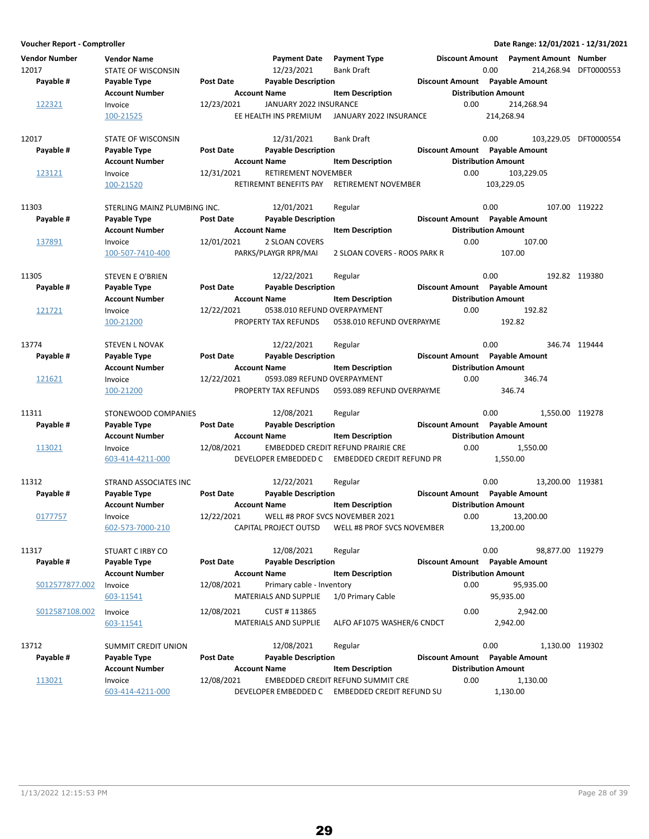| Vendor Number<br>12017<br>Payable # | <b>Vendor Name</b><br><b>STATE OF WISCONSIN</b><br>Payable Type | <b>Post Date</b>                        | <b>Payment Date</b><br>12/23/2021<br><b>Payable Description</b> | <b>Payment Type</b><br><b>Bank Draft</b>                                                                 | <b>Discount Amount</b> | <b>Payment Amount Number</b><br>0.00<br>Discount Amount Payable Amount                   | 214,268.94 DFT0000553 |
|-------------------------------------|-----------------------------------------------------------------|-----------------------------------------|-----------------------------------------------------------------|----------------------------------------------------------------------------------------------------------|------------------------|------------------------------------------------------------------------------------------|-----------------------|
| 122321                              | <b>Account Number</b><br>Invoice<br>100-21525                   | <b>Account Name</b><br>12/23/2021       | JANUARY 2022 INSURANCE<br>EE HEALTH INS PREMIUM                 | <b>Item Description</b><br>JANUARY 2022 INSURANCE                                                        | 0.00                   | <b>Distribution Amount</b><br>214,268.94<br>214,268.94                                   |                       |
| 12017<br>Payable #                  | STATE OF WISCONSIN<br>Payable Type<br><b>Account Number</b>     | <b>Post Date</b><br><b>Account Name</b> | 12/31/2021<br><b>Payable Description</b>                        | <b>Bank Draft</b><br><b>Item Description</b>                                                             |                        | 0.00<br>Discount Amount Payable Amount<br><b>Distribution Amount</b>                     | 103,229.05 DFT0000554 |
| 123121                              | Invoice<br>100-21520                                            | 12/31/2021                              | RETIREMENT NOVEMBER<br>RETIREMNT BENEFITS PAY                   | RETIREMENT NOVEMBER                                                                                      | 0.00                   | 103,229.05<br>103,229.05                                                                 |                       |
| 11303                               | STERLING MAINZ PLUMBING INC.                                    |                                         | 12/01/2021                                                      | Regular                                                                                                  |                        | 0.00                                                                                     | 107.00 119222         |
| Payable #                           | Payable Type<br><b>Account Number</b>                           | <b>Post Date</b><br><b>Account Name</b> | <b>Payable Description</b>                                      | <b>Item Description</b>                                                                                  |                        | Discount Amount Payable Amount<br><b>Distribution Amount</b>                             |                       |
| 137891                              | Invoice<br>100-507-7410-400                                     | 12/01/2021                              | 2 SLOAN COVERS<br>PARKS/PLAYGR RPR/MAI                          | 2 SLOAN COVERS - ROOS PARK R                                                                             | 0.00                   | 107.00<br>107.00                                                                         |                       |
| 11305<br>Payable #                  | STEVEN E O'BRIEN<br>Payable Type                                | <b>Post Date</b>                        | 12/22/2021<br><b>Payable Description</b>                        | Regular                                                                                                  |                        | 0.00<br>Discount Amount Payable Amount                                                   | 192.82 119380         |
| 121721                              | <b>Account Number</b><br>Invoice<br>100-21200                   | <b>Account Name</b><br>12/22/2021       | 0538.010 REFUND OVERPAYMENT<br>PROPERTY TAX REFUNDS             | <b>Item Description</b><br>0538.010 REFUND OVERPAYME                                                     | 0.00                   | <b>Distribution Amount</b><br>192.82<br>192.82                                           |                       |
| 13774<br>Payable #                  | <b>STEVEN L NOVAK</b><br>Payable Type                           | <b>Post Date</b>                        | 12/22/2021<br><b>Payable Description</b>                        | Regular                                                                                                  |                        | 0.00<br>Discount Amount Payable Amount                                                   | 346.74 119444         |
| 121621                              | <b>Account Number</b><br>Invoice<br>100-21200                   | <b>Account Name</b><br>12/22/2021       | 0593.089 REFUND OVERPAYMENT<br>PROPERTY TAX REFUNDS             | <b>Item Description</b><br>0593.089 REFUND OVERPAYME                                                     | 0.00                   | <b>Distribution Amount</b><br>346.74<br>346.74                                           |                       |
| 11311<br>Payable #                  | STONEWOOD COMPANIES<br>Payable Type                             | <b>Post Date</b>                        | 12/08/2021<br><b>Payable Description</b>                        | Regular                                                                                                  |                        | 0.00<br>1,550.00 119278<br>Discount Amount Payable Amount                                |                       |
| 113021                              | <b>Account Number</b><br>Invoice<br>603-414-4211-000            | <b>Account Name</b><br>12/08/2021       | DEVELOPER EMBEDDED C                                            | <b>Item Description</b><br><b>EMBEDDED CREDIT REFUND PRAIRIE CRE</b><br><b>EMBEDDED CREDIT REFUND PR</b> | 0.00                   | <b>Distribution Amount</b><br>1,550.00<br>1,550.00                                       |                       |
| 11312<br>Payable #                  | STRAND ASSOCIATES INC<br>Payable Type<br><b>Account Number</b>  | <b>Post Date</b><br><b>Account Name</b> | 12/22/2021<br><b>Payable Description</b>                        | Regular<br><b>Item Description</b>                                                                       |                        | 0.00<br>13,200.00 119381<br>Discount Amount Payable Amount<br><b>Distribution Amount</b> |                       |
| 0177757                             | Invoice<br>602-573-7000-210                                     | 12/22/2021                              | WELL #8 PROF SVCS NOVEMBER 2021<br>CAPITAL PROJECT OUTSD        | WELL #8 PROF SVCS NOVEMBER                                                                               | 0.00                   | 13,200.00<br>13,200.00                                                                   |                       |
| 11317<br>Payable #                  | STUART C IRBY CO<br>Payable Type<br><b>Account Number</b>       | <b>Post Date</b><br><b>Account Name</b> | 12/08/2021<br><b>Payable Description</b>                        | Regular<br><b>Item Description</b>                                                                       |                        | 0.00<br>98,877.00 119279<br>Discount Amount Payable Amount<br><b>Distribution Amount</b> |                       |
| S012577877.002                      | Invoice<br>603-11541                                            | 12/08/2021                              | Primary cable - Inventory<br>MATERIALS AND SUPPLIE              | 1/0 Primary Cable                                                                                        | 0.00                   | 95,935.00<br>95,935.00                                                                   |                       |
| S012587108.002                      | Invoice<br>603-11541                                            | 12/08/2021                              | CUST #113865<br>MATERIALS AND SUPPLIE                           | ALFO AF1075 WASHER/6 CNDCT                                                                               | 0.00                   | 2,942.00<br>2,942.00                                                                     |                       |
| 13712<br>Payable #                  | SUMMIT CREDIT UNION<br>Payable Type<br><b>Account Number</b>    | <b>Post Date</b><br><b>Account Name</b> | 12/08/2021<br><b>Payable Description</b>                        | Regular<br><b>Item Description</b>                                                                       |                        | 0.00<br>1,130.00 119302<br>Discount Amount Payable Amount<br><b>Distribution Amount</b>  |                       |
| 113021                              | Invoice<br>603-414-4211-000                                     | 12/08/2021                              |                                                                 | EMBEDDED CREDIT REFUND SUMMIT CRE<br>DEVELOPER EMBEDDED C EMBEDDED CREDIT REFUND SU                      | 0.00                   | 1,130.00<br>1,130.00                                                                     |                       |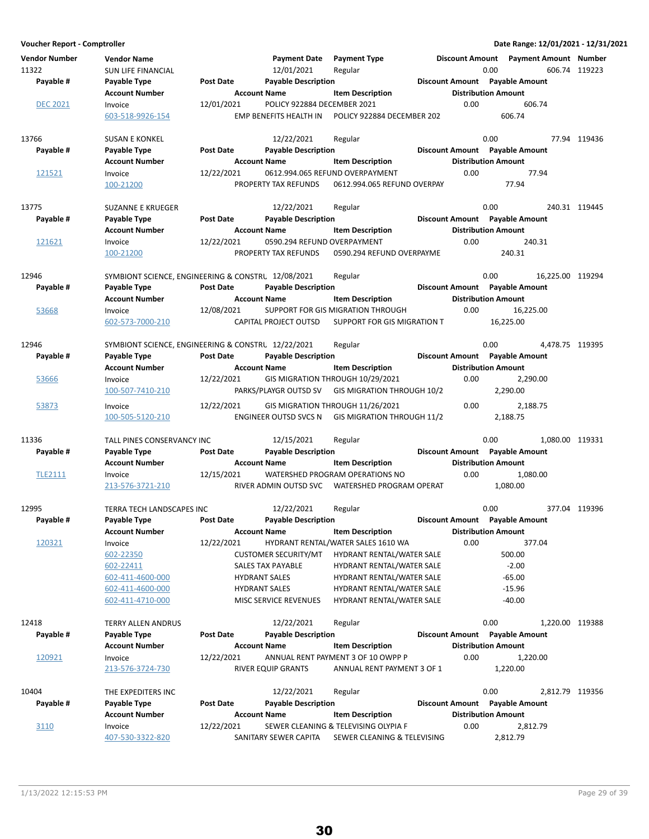| <b>Vendor Number</b><br>11322 | <b>Vendor Name</b><br><b>SUN LIFE FINANCIAL</b>    |                                         | <b>Payment Date</b><br>12/01/2021             | <b>Payment Type</b><br>Regular                                      | <b>Discount Amount</b><br>0.00     | Payment Amount Number          | 606.74 119223    |
|-------------------------------|----------------------------------------------------|-----------------------------------------|-----------------------------------------------|---------------------------------------------------------------------|------------------------------------|--------------------------------|------------------|
| Payable #                     | Payable Type<br><b>Account Number</b>              | <b>Post Date</b><br><b>Account Name</b> | <b>Payable Description</b>                    | <b>Item Description</b>                                             | <b>Distribution Amount</b>         | Discount Amount Payable Amount |                  |
| <b>DEC 2021</b>               | Invoice                                            | 12/01/2021                              | POLICY 922884 DECEMBER 2021                   |                                                                     | 0.00                               | 606.74                         |                  |
|                               | 603-518-9926-154                                   |                                         | EMP BENEFITS HEALTH IN                        | POLICY 922884 DECEMBER 202                                          |                                    | 606.74                         |                  |
| 13766                         | <b>SUSAN E KONKEL</b>                              |                                         | 12/22/2021                                    | Regular                                                             | 0.00                               |                                | 77.94 119436     |
| Payable #                     | Payable Type                                       | <b>Post Date</b>                        | <b>Payable Description</b>                    |                                                                     |                                    | Discount Amount Payable Amount |                  |
|                               | <b>Account Number</b>                              | <b>Account Name</b>                     |                                               | <b>Item Description</b>                                             | <b>Distribution Amount</b>         |                                |                  |
| 121521                        | Invoice<br>100-21200                               | 12/22/2021                              | PROPERTY TAX REFUNDS                          | 0612.994.065 REFUND OVERPAYMENT<br>0612.994.065 REFUND OVERPAY      | 0.00                               | 77.94<br>77.94                 |                  |
| 13775                         | <b>SUZANNE E KRUEGER</b>                           |                                         | 12/22/2021                                    | Regular                                                             | 0.00                               |                                | 240.31 119445    |
| Payable #                     | Payable Type                                       | <b>Post Date</b>                        | <b>Payable Description</b>                    |                                                                     |                                    | Discount Amount Payable Amount |                  |
|                               | <b>Account Number</b>                              | <b>Account Name</b>                     |                                               | <b>Item Description</b>                                             | <b>Distribution Amount</b>         |                                |                  |
| 121621                        | Invoice                                            | 12/22/2021                              | 0590.294 REFUND OVERPAYMENT                   |                                                                     | 0.00                               | 240.31                         |                  |
|                               | 100-21200                                          |                                         | PROPERTY TAX REFUNDS                          | 0590.294 REFUND OVERPAYME                                           |                                    | 240.31                         |                  |
| 12946                         | SYMBIONT SCIENCE, ENGINEERING & CONSTRU 12/08/2021 |                                         |                                               | Regular                                                             | 0.00                               |                                | 16,225.00 119294 |
| Payable #                     | Payable Type                                       | <b>Post Date</b>                        | <b>Payable Description</b>                    |                                                                     |                                    | Discount Amount Payable Amount |                  |
|                               | <b>Account Number</b>                              | <b>Account Name</b>                     |                                               | <b>Item Description</b>                                             | <b>Distribution Amount</b>         |                                |                  |
| 53668                         | Invoice                                            | 12/08/2021                              |                                               | SUPPORT FOR GIS MIGRATION THROUGH                                   | 0.00                               | 16.225.00                      |                  |
|                               | 602-573-7000-210                                   |                                         | CAPITAL PROJECT OUTSD                         | SUPPORT FOR GIS MIGRATION T                                         |                                    | 16,225.00                      |                  |
| 12946                         | SYMBIONT SCIENCE, ENGINEERING & CONSTRU 12/22/2021 |                                         |                                               | Regular                                                             | 0.00                               |                                | 4,478.75 119395  |
| Payable #                     | Payable Type<br><b>Account Number</b>              | <b>Post Date</b><br><b>Account Name</b> | <b>Payable Description</b>                    | <b>Item Description</b>                                             | <b>Distribution Amount</b>         | Discount Amount Payable Amount |                  |
| 53666                         | Invoice                                            | 12/22/2021                              |                                               | GIS MIGRATION THROUGH 10/29/2021                                    | 0.00                               | 2,290.00                       |                  |
|                               | 100-507-7410-210                                   |                                         | PARKS/PLAYGR OUTSD SV                         | GIS MIGRATION THROUGH 10/2                                          |                                    | 2,290.00                       |                  |
| 53873                         | Invoice                                            | 12/22/2021                              |                                               | GIS MIGRATION THROUGH 11/26/2021                                    | 0.00                               | 2,188.75                       |                  |
|                               | 100-505-5120-210                                   |                                         | ENGINEER OUTSD SVCS N                         | GIS MIGRATION THROUGH 11/2                                          |                                    | 2,188.75                       |                  |
| 11336                         | TALL PINES CONSERVANCY INC                         |                                         | 12/15/2021                                    | Regular                                                             | 0.00                               |                                | 1,080.00 119331  |
| Payable #                     | Payable Type                                       | <b>Post Date</b>                        | <b>Payable Description</b>                    |                                                                     |                                    | Discount Amount Payable Amount |                  |
|                               | <b>Account Number</b>                              | <b>Account Name</b>                     |                                               | <b>Item Description</b><br>WATERSHED PROGRAM OPERATIONS NO          | <b>Distribution Amount</b><br>0.00 | 1,080.00                       |                  |
| <b>TLE2111</b>                | Invoice<br>213-576-3721-210                        | 12/15/2021                              | RIVER ADMIN OUTSD SVC                         | WATERSHED PROGRAM OPERAT                                            |                                    | 1.080.00                       |                  |
| 12995                         | <b>TERRA TECH LANDSCAPES INC</b>                   |                                         | 12/22/2021                                    | Regular                                                             | 0.00                               |                                | 377.04 119396    |
| Payable #                     | Payable Type                                       | <b>Post Date</b>                        | <b>Payable Description</b>                    |                                                                     |                                    | Discount Amount Payable Amount |                  |
|                               | <b>Account Number</b>                              | <b>Account Name</b>                     |                                               | <b>Item Description</b>                                             | <b>Distribution Amount</b>         |                                |                  |
| 120321                        | Invoice                                            | 12/22/2021                              |                                               | HYDRANT RENTAL/WATER SALES 1610 WA                                  | 0.00                               | 377.04                         |                  |
|                               | 602-22350                                          |                                         | <b>CUSTOMER SECURITY/MT</b>                   | HYDRANT RENTAL/WATER SALE                                           |                                    | 500.00                         |                  |
|                               | 602-22411                                          |                                         | SALES TAX PAYABLE                             | HYDRANT RENTAL/WATER SALE                                           |                                    | $-2.00$                        |                  |
|                               | 602-411-4600-000                                   |                                         | <b>HYDRANT SALES</b>                          | HYDRANT RENTAL/WATER SALE                                           |                                    | $-65.00$                       |                  |
|                               | 602-411-4600-000<br>602-411-4710-000               |                                         | <b>HYDRANT SALES</b><br>MISC SERVICE REVENUES | HYDRANT RENTAL/WATER SALE<br>HYDRANT RENTAL/WATER SALE              |                                    | $-15.96$<br>$-40.00$           |                  |
| 12418                         | <b>TERRY ALLEN ANDRUS</b>                          |                                         | 12/22/2021                                    | Regular                                                             | 0.00                               |                                | 1,220.00 119388  |
| Payable #                     | Payable Type                                       | <b>Post Date</b>                        | <b>Payable Description</b>                    |                                                                     |                                    | Discount Amount Payable Amount |                  |
|                               | <b>Account Number</b>                              | <b>Account Name</b>                     |                                               | <b>Item Description</b>                                             | <b>Distribution Amount</b>         |                                |                  |
| 120921                        | Invoice                                            | 12/22/2021                              |                                               | ANNUAL RENT PAYMENT 3 OF 10 OWPP P                                  | 0.00                               | 1,220.00                       |                  |
|                               | 213-576-3724-730                                   |                                         | RIVER EQUIP GRANTS                            | ANNUAL RENT PAYMENT 3 OF 1                                          |                                    | 1,220.00                       |                  |
| 10404                         | THE EXPEDITERS INC                                 |                                         | 12/22/2021                                    | Regular                                                             | 0.00                               |                                | 2,812.79 119356  |
| Payable #                     | Payable Type                                       | <b>Post Date</b>                        | <b>Payable Description</b>                    |                                                                     |                                    | Discount Amount Payable Amount |                  |
|                               | <b>Account Number</b>                              | <b>Account Name</b>                     |                                               | <b>Item Description</b>                                             | <b>Distribution Amount</b>         |                                |                  |
| 3110                          | Invoice<br>407-530-3322-820                        | 12/22/2021                              | SANITARY SEWER CAPITA                         | SEWER CLEANING & TELEVISING OLYPIA F<br>SEWER CLEANING & TELEVISING | 0.00                               | 2,812.79<br>2,812.79           |                  |

30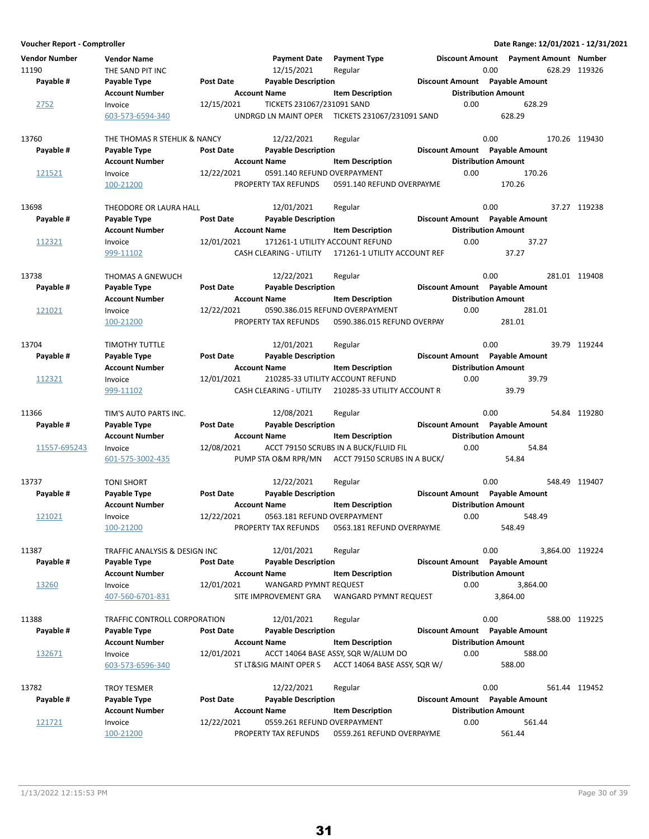**Voucher Report - Comptroller Date Range: 12/01/2021 - 12/31/2021 Vendor Number Vendor Name Payment Date Discount Amount Payment Type Payment Amount Number** 11190 THE SAND PIT INC 119326 Regular 12/15/2021 Regular 1190 0.00 628.29 119326 **Account Number Account Name Item Description Distribution Amount** Payable # Payable Type **Post Date Payable Description Payable Amount** Payable Amount 2752 Invoice 12/15/2021 TICKETS 231067/231091 SAND 0.00 628.29<br>603-573-6594-340 UNDRGD LN MAINT OPER TICKETS 231067/231091 SAND 628.29 UNDRGD LN MAINT OPER TICKETS 231067/231091 SAND 13760 THE THOMAS R STEHLIK & NANCY 12/22/2021 Regular 13760 0.00 170.26 119430 **Account Number 6 Account Name 12 Account Distribution Amount** Payable # Payable Type **Post Date Payable Description Payable Biscount Amount** Payable Amount 121521 Invoice 12/22/2021 0591.140 REFUND OVERPAYMENT 0.00 170.26 100-21200 PROPERTY TAX REFUNDS 170.26 0591.140 REFUND OVERPAYME 13698 THEODORE OR LAURA HALL 12/01/2021 Regular 13.00 0.00 37.27 119238 **Account Number 6 Account Name 19 Account Name Item Description 6 Account Number Amount** Payable # Payable Type **Payable Payable Description** Payable Description **Payable Amount** Payable Amount 112321 Invoice 12/01/2021 171261-1 UTILITY ACCOUNT REFUND 37.27 0.00 999-11102 CASH CLEARING - UTILITY 37.27 171261-1 UTILITY ACCOUNT REF 13738 THOMAS A GNEWUCH 12/22/2021 Regular 120 0.00 281.01 119408 **Account Number 19 Account Name 12 Account Distribution Amount** Payable # Payable Type Post Date Payable Description **Payable Description** Discount Amount Payable Amount 121021 Invoice 12/22/2021 0590.386.015 REFUND OVERPAYMENT 0.00 281.01 100-21200 PROPERTY TAX REFUNDS 281.01 0590.386.015 REFUND OVERPAY 13704 TIMOTHY TUTTLE 12/01/2021 Regular 12 Australian 13704 89.00 39.79 119244 **Account Number Account Name Item Description Construction Amount Amount Amount Amount** Payable # Payable Type **Post Date Payable Description Payable Amount** Payable Amount 112321 Invoice 12/01/2021 210285-33 UTILITY ACCOUNT REFUND 39.79 0.00 999-11102 CASH CLEARING - UTILITY 39.79 210285-33 UTILITY ACCOUNT R 11366 TIM'S AUTO PARTS INC. 12/08/2021 Regular 120 10:00 0.00 54.84 119280 **Account Number 6 Account Name 12 Account Name** Item Description 15 Distribution Amount Payable # Payable Type **Post Date Payable Description Payable Amount** Payable Amount 11557-695243 Invoice 12/08/2021 ACCT 79150 SCRUBS IN A BUCK/FLUID FIL 0.00 54.84<br>601-575-3002-435 PUMP STA O&M RPR/MN ACCT 79150 SCRUBS IN A BUCK/ 54.84 601-575-3002-435 **PUMP STA O&M RPR/MN ACCT 79150 SCRUBS IN A BUCK/** 54.84 13737 TONI SHORT 119407 TONI SHORT 12/22/2021 Regular 13737 0.00 548.49 119407 **Account Number 6 Account Name 12 Account Distribution Amount** Payable # Payable Type **Post Date Payable Description Payable Biscount Amount** Payable Amount 121021 Invoice 12/22/2021 0563.181 REFUND OVERPAYMENT 0.00 548.49 100-21200 **PROPERTY TAX REFUNDS** 0563.181 REFUND OVERPAYME 548.49 11387 TRAFFIC ANALYSIS & DESIGN INC 12/01/2021 Regular 120 1000 0.00 3,864.00 119224 **Account Number Account Name Item Description Distribution Amount** Payable # Payable Type **Post Date Payable Description Payable Amount** Payable Amount 13260 Invoice 12/01/2021 WANGARD PYMNT REQUEST 0.00 3.864.00 407-560-6701-831 SITE IMPROVEMENT GRA 3,864.00 WANGARD PYMNT REQUEST 3,864.00 11388 TRAFFIC CONTROLL CORPORATION 12/01/2021 Regular 1398 0.00 588.00 119225 **Account Number Account Name Item Description Construction Amount Account Number** Account Name Payable # Payable Type Post Date Payable Description **Payable Discount Amount** Payable Amount 132671 Invoice 12/01/2021 ACCT 14064 BASE ASSY, SQR W/ALUM DO 0.00 588.00 603-573-6596-340 ST LT&SIG MAINT OPER S ACCT 14064 BASE ASSY, SQR W/ 588.00 13782 TROY TESMER 19452 Regular Regular Regular 13782 0.00 561.44 119452 **Account Number**  Account Name **Item Description** Distribution Amount Payable # Payable Type **Post Date Payable Description Payable Amount** Payable Amount 121721 Invoice 12/22/2021 0559.261 REFUND OVERPAYMENT 0.00 561.44 100-21200 PROPERTY TAX REFUNDS 561.44 0559.261 REFUND OVERPAYME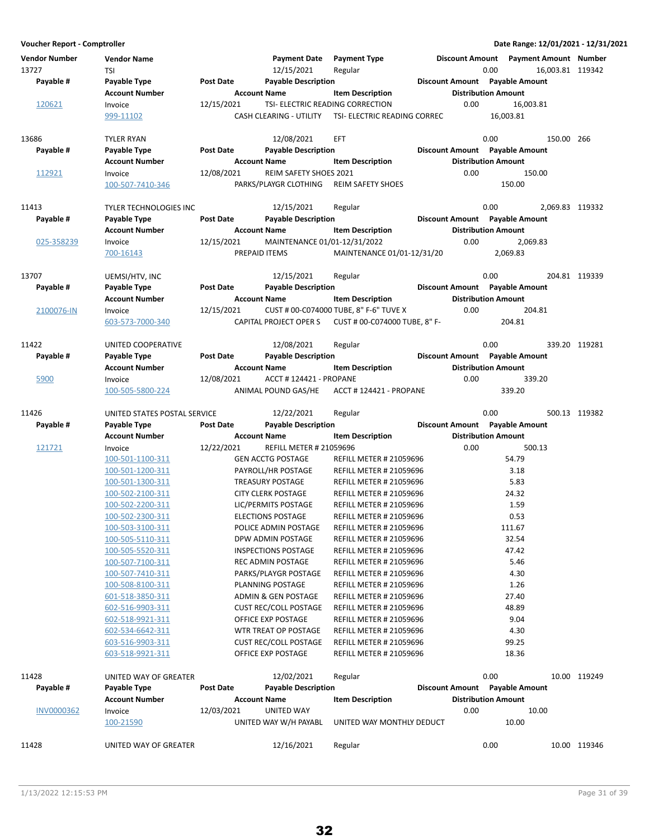| Vendor Number<br>13727<br>Payable # | <b>Vendor Name</b><br><b>TSI</b><br>Payable Type | <b>Post Date</b>    | <b>Payment Date</b><br>12/15/2021<br><b>Payable Description</b> | <b>Payment Type</b><br>Regular                                   | <b>Discount Amount</b>     | 0.00 | <b>Payment Amount Number</b><br>Discount Amount Payable Amount |            | 16.003.81 119342 |
|-------------------------------------|--------------------------------------------------|---------------------|-----------------------------------------------------------------|------------------------------------------------------------------|----------------------------|------|----------------------------------------------------------------|------------|------------------|
|                                     | <b>Account Number</b>                            | <b>Account Name</b> |                                                                 | <b>Item Description</b>                                          | <b>Distribution Amount</b> |      |                                                                |            |                  |
| 120621                              | Invoice                                          | 12/15/2021          | TSI- ELECTRIC READING CORRECTION                                |                                                                  | 0.00                       |      | 16.003.81                                                      |            |                  |
|                                     | 999-11102                                        |                     | CASH CLEARING - UTILITY                                         | TSI- ELECTRIC READING CORREC                                     |                            |      | 16,003.81                                                      |            |                  |
| 13686                               | <b>TYLER RYAN</b>                                |                     | 12/08/2021                                                      | <b>EFT</b>                                                       |                            | 0.00 |                                                                | 150.00 266 |                  |
| Payable #                           | Payable Type                                     | Post Date           | <b>Payable Description</b>                                      |                                                                  |                            |      | Discount Amount Payable Amount                                 |            |                  |
|                                     | <b>Account Number</b>                            | <b>Account Name</b> |                                                                 | <b>Item Description</b>                                          | <b>Distribution Amount</b> |      |                                                                |            |                  |
| 112921                              | Invoice                                          | 12/08/2021          | <b>REIM SAFETY SHOES 2021</b>                                   |                                                                  | 0.00                       |      | 150.00                                                         |            |                  |
|                                     | 100-507-7410-346                                 |                     | PARKS/PLAYGR CLOTHING                                           | <b>REIM SAFETY SHOES</b>                                         |                            |      | 150.00                                                         |            |                  |
| 11413                               | <b>TYLER TECHNOLOGIES INC</b>                    |                     | 12/15/2021                                                      | Regular                                                          |                            | 0.00 |                                                                |            | 2,069.83 119332  |
| Payable #                           | Payable Type                                     | <b>Post Date</b>    | <b>Payable Description</b>                                      |                                                                  |                            |      | Discount Amount Payable Amount                                 |            |                  |
|                                     | <b>Account Number</b>                            | <b>Account Name</b> |                                                                 | <b>Item Description</b>                                          | <b>Distribution Amount</b> |      |                                                                |            |                  |
| 025-358239                          | Invoice                                          | 12/15/2021          | MAINTENANCE 01/01-12/31/2022                                    |                                                                  | 0.00                       |      | 2,069.83                                                       |            |                  |
|                                     | 700-16143                                        |                     | PREPAID ITEMS                                                   | MAINTENANCE 01/01-12/31/20                                       |                            |      | 2,069.83                                                       |            |                  |
| 13707                               | UEMSI/HTV, INC                                   |                     | 12/15/2021                                                      | Regular                                                          |                            | 0.00 |                                                                |            | 204.81 119339    |
| Payable #                           | Payable Type                                     | <b>Post Date</b>    | <b>Payable Description</b>                                      |                                                                  |                            |      | Discount Amount Payable Amount                                 |            |                  |
|                                     | <b>Account Number</b>                            | <b>Account Name</b> |                                                                 | <b>Item Description</b>                                          | <b>Distribution Amount</b> |      |                                                                |            |                  |
| 2100076-IN                          | Invoice                                          | 12/15/2021          |                                                                 | CUST # 00-C074000 TUBE, 8" F-6" TUVE X                           | 0.00                       |      | 204.81                                                         |            |                  |
|                                     | 603-573-7000-340                                 |                     | CAPITAL PROJECT OPER S                                          | CUST # 00-C074000 TUBE, 8" F-                                    |                            |      | 204.81                                                         |            |                  |
| 11422                               | UNITED COOPERATIVE                               |                     | 12/08/2021                                                      | Regular                                                          |                            | 0.00 |                                                                |            | 339.20 119281    |
| Payable #                           | Payable Type                                     | Post Date           | <b>Payable Description</b>                                      |                                                                  |                            |      | Discount Amount Payable Amount                                 |            |                  |
|                                     | <b>Account Number</b>                            | <b>Account Name</b> |                                                                 | <b>Item Description</b>                                          | <b>Distribution Amount</b> |      |                                                                |            |                  |
| 5900                                | Invoice                                          | 12/08/2021          | <b>ACCT # 124421 - PROPANE</b>                                  |                                                                  | 0.00                       |      | 339.20                                                         |            |                  |
|                                     | 100-505-5800-224                                 |                     | ANIMAL POUND GAS/HE                                             | <b>ACCT #124421 - PROPANE</b>                                    |                            |      | 339.20                                                         |            |                  |
| 11426                               | UNITED STATES POSTAL SERVICE                     |                     | 12/22/2021                                                      | Regular                                                          |                            | 0.00 |                                                                |            | 500.13 119382    |
| Payable #                           | Payable Type                                     | <b>Post Date</b>    | <b>Payable Description</b>                                      |                                                                  |                            |      | Discount Amount Payable Amount                                 |            |                  |
|                                     | <b>Account Number</b>                            | <b>Account Name</b> |                                                                 | <b>Item Description</b>                                          | <b>Distribution Amount</b> |      |                                                                |            |                  |
| 121721                              | Invoice                                          | 12/22/2021          | <b>REFILL METER # 21059696</b>                                  |                                                                  | 0.00                       |      | 500.13                                                         |            |                  |
|                                     | 100-501-1100-311                                 |                     | <b>GEN ACCTG POSTAGE</b>                                        | <b>REFILL METER # 21059696</b>                                   |                            |      | 54.79                                                          |            |                  |
|                                     | 100-501-1200-311                                 |                     | PAYROLL/HR POSTAGE                                              | <b>REFILL METER # 21059696</b>                                   |                            |      | 3.18                                                           |            |                  |
|                                     | 100-501-1300-311                                 |                     | <b>TREASURY POSTAGE</b>                                         | <b>REFILL METER # 21059696</b>                                   |                            |      | 5.83                                                           |            |                  |
|                                     | 100-502-2100-311                                 |                     | <b>CITY CLERK POSTAGE</b>                                       | <b>REFILL METER # 21059696</b>                                   |                            |      | 24.32                                                          |            |                  |
|                                     | 100-502-2200-311                                 |                     | LIC/PERMITS POSTAGE<br><b>ELECTIONS POSTAGE</b>                 | <b>REFILL METER # 21059696</b><br><b>REFILL METER # 21059696</b> |                            |      | 1.59<br>0.53                                                   |            |                  |
|                                     | 100-502-2300-311<br>100-503-3100-311             |                     | POLICE ADMIN POSTAGE                                            | REFILL METER # 21059696                                          |                            |      | 111.67                                                         |            |                  |
|                                     | 100-505-5110-311                                 |                     | DPW ADMIN POSTAGE                                               | <b>REFILL METER # 21059696</b>                                   |                            |      | 32.54                                                          |            |                  |
|                                     | 100-505-5520-311                                 |                     | <b>INSPECTIONS POSTAGE</b>                                      | <b>REFILL METER # 21059696</b>                                   |                            |      | 47.42                                                          |            |                  |
|                                     | 100-507-7100-311                                 |                     | REC ADMIN POSTAGE                                               | <b>REFILL METER # 21059696</b>                                   |                            |      | 5.46                                                           |            |                  |
|                                     | 100-507-7410-311                                 |                     | PARKS/PLAYGR POSTAGE                                            | <b>REFILL METER # 21059696</b>                                   |                            |      | 4.30                                                           |            |                  |
|                                     | 100-508-8100-311                                 |                     | PLANNING POSTAGE                                                | <b>REFILL METER # 21059696</b>                                   |                            |      | 1.26                                                           |            |                  |
|                                     | 601-518-3850-311                                 |                     | ADMIN & GEN POSTAGE                                             | <b>REFILL METER # 21059696</b>                                   |                            |      | 27.40                                                          |            |                  |
|                                     | 602-516-9903-311                                 |                     | <b>CUST REC/COLL POSTAGE</b>                                    | <b>REFILL METER # 21059696</b>                                   |                            |      | 48.89                                                          |            |                  |
|                                     | 602-518-9921-311                                 |                     | OFFICE EXP POSTAGE                                              | <b>REFILL METER # 21059696</b>                                   |                            |      | 9.04                                                           |            |                  |
|                                     | 602-534-6642-311                                 |                     | WTR TREAT OP POSTAGE                                            | <b>REFILL METER # 21059696</b>                                   |                            |      | 4.30                                                           |            |                  |
|                                     | 603-516-9903-311                                 |                     | <b>CUST REC/COLL POSTAGE</b>                                    | <b>REFILL METER # 21059696</b>                                   |                            |      | 99.25                                                          |            |                  |
|                                     | 603-518-9921-311                                 |                     | OFFICE EXP POSTAGE                                              | <b>REFILL METER # 21059696</b>                                   |                            |      | 18.36                                                          |            |                  |
| 11428                               | UNITED WAY OF GREATER                            |                     | 12/02/2021                                                      | Regular                                                          |                            | 0.00 |                                                                |            | 10.00 119249     |
| Payable #                           | Payable Type                                     | <b>Post Date</b>    | <b>Payable Description</b>                                      |                                                                  |                            |      | Discount Amount Payable Amount                                 |            |                  |
|                                     | <b>Account Number</b>                            | <b>Account Name</b> |                                                                 | <b>Item Description</b>                                          | <b>Distribution Amount</b> |      |                                                                |            |                  |
| INV0000362                          | Invoice                                          | 12/03/2021          | <b>UNITED WAY</b>                                               |                                                                  | 0.00                       |      | 10.00                                                          |            |                  |
|                                     | 100-21590                                        |                     | UNITED WAY W/H PAYABL                                           | UNITED WAY MONTHLY DEDUCT                                        |                            |      | 10.00                                                          |            |                  |
| 11428                               | UNITED WAY OF GREATER                            |                     | 12/16/2021                                                      | Regular                                                          |                            | 0.00 |                                                                |            | 10.00 119346     |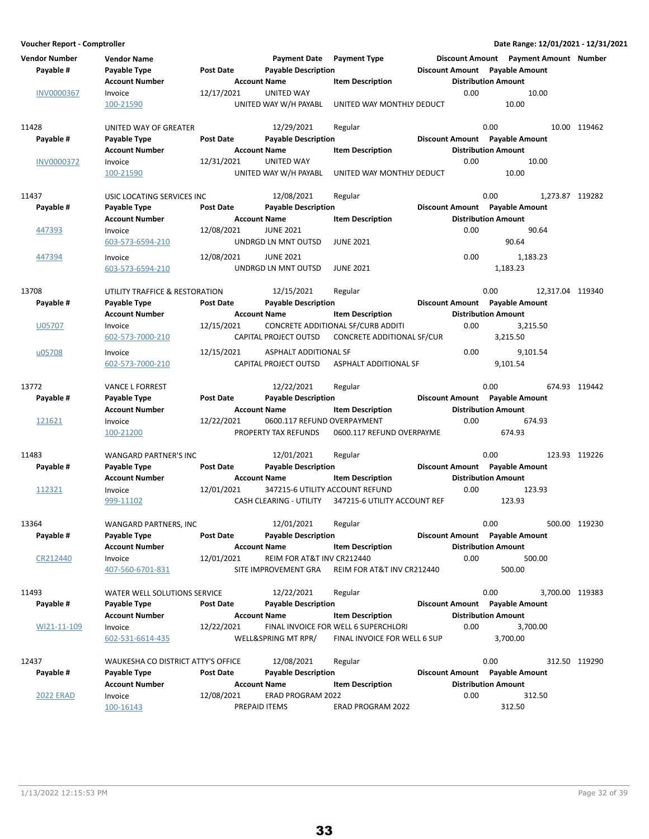**Voucher Report - Comptroller Date Range: 12/01/2021 - 12/31/2021 Vendor Number Vendor Name Payment Date Discount Amount Payment Type Payment Amount Number Account Number 6 Account Name 19 Account Distribution Amount** Payable # Payable Type **Post Date Payable Description Payable Amount** Payable Amount  $\frac{100000367}{0.00}$  Invoice 12/17/2021 UNITED WAY 10.00 0.00 10.00 100-21590 UNITED WAY W/H PAYABL 10.00 UNITED WAY MONTHLY DEDUCT 11428 UNITED WAY OF GREATER 12/29/2021 Regular 120 0.00 0.00 119462 **Account Number 6 Account Name 12 Account Name 12 Account Distribution Amount** Payable # Payable Type **Post Date** Payable Description **Payable Discount Amount** Payable Amount  $\frac{100000372}{100000372}$  Invoice  $\frac{12}{31/2021}$  UNITED WAY 10.00 0.00 10.00 100-21590 UNITED WAY W/H PAYABL 10.00 UNITED WAY MONTHLY DEDUCT 11437 USIC LOCATING SERVICES INC 12/08/2021 Regular 120 100 0.00 1,273.87 119282 **Account Number 19 Account Name 19 Account Name 11 Account Distribution Amount** Payable # Payable Type **Post Date Payable Description Payable Besount Amount** Payable Amount 447393 Invoice 12/08/2021 JUNE 2021 2012 100 0.00 90.64 603-573-6594-210 UNDRGD LN MNT OUTSD 90.64 JUNE 2021 447394 Invoice 12/08/2021 JUNE 2021 2012 1,183.23 603-573-6594-210 UNDRGD LN MNT OUTSD 1,183.23 JUNE 2021 13708 UTILITY TRAFFICE & RESTORATION 12/15/2021 Regular 13708 0.00 12,317.04 119340 **Account Number Account Name Item Description Distribution Amount** Payable # Payable Type **Post Date Payable Description Payable Amount** Payable Amount U05707 Invoice 12/15/2021 CONCRETE ADDITIONAL SF/CURB ADDITI 0.00 3.215.50 602-573-7000-210 CAPITAL PROJECT OUTSD 3,215.50 CONCRETE ADDITIONAL SF/CUR u05708 Invoice 12/15/2021 ASPHALT ADDITIONAL SF 0.00 9,101.54 602-573-7000-210 CAPITAL PROJECT OUTSD 9,101.54 ASPHALT ADDITIONAL SF 13772 VANCE L FORREST 12/22/2021 119442 Regular 0.00 674.93 **Account Number 1.0 Account Name 1.0 Account Distribution Amount** Amount Payable # Payable Type Post Date Payable Description **Payable Discount Amount** Payable Amount  $\frac{121621}{100-21200}$  Invoice  $\frac{12}{22/22}$   $\frac{12}{22}$   $\frac{12}{22}$   $\frac{12}{22}$   $\frac{12}{22}$   $\frac{12}{22}$   $\frac{12}{22}$   $\frac{12}{22}$   $\frac{12}{22}$   $\frac{12}{22}$   $\frac{12}{22}$   $\frac{12}{22}$   $\frac{12}{22}$   $\frac{12}{22}$   $\frac{12}{22}$   $\frac{12}{$ 100-21200 PROPERTY TAX REFUNDS 674.93 0600.117 REFUND OVERPAYME 11483 WANGARD PARTNER'S INC 12/01/2021 Regular 120 0.00 123.93 119226 **Account Number Account Name Item Description Distribution Amount** Payable # Payable Type **Post Date Payable Description Payable Amount** Payable Amount 112321 Invoice 12/01/2021 347215-6 UTILITY ACCOUNT REFUND 0.00 123.93 999-11102 CASH CLEARING - UTILITY 123.93 347215-6 UTILITY ACCOUNT REF 13364 WANGARD PARTNERS, INC 12/01/2021 Regular 1993 0.00 0.00 500.00 500.00 119230<br>Pavable # Pavable Type Post Date Pavable Description 1993 Discount Amount Pavable Amount Account Number **Account Name** Item Description **Distribution Amount** Payable # Payable Type **Post Date Payable Description Payable Amount** Payable Amount CR212440 Invoice 12/01/2021 REIM FOR AT&T INV CR212440 0.00 500.00 407-560-6701-831 SITE IMPROVEMENT GRA 500.00 REIM FOR AT&T INV CR212440 11493 WATER WELL SOLUTIONS SERVICE 12/22/2021 Regular 120 10303 8700.00 3,700.00 119383 **Account Number 6 Account Name 12 Account Distribution Amount** Payable # Payable Type **Post Date Payable Description Payable Amount** Payable Amount WI21-11-109 Invoice 12/22/2021 FINAL INVOICE FOR WELL 6 SUPERCHLORI 0.00 3,700.00 602-531-6614-435 WELL&SPRING MT RPR/ 3,700.00 FINAL INVOICE FOR WELL 6 SUP 12437 WAUKESHA CO DISTRICT ATTY'S OFFICE 12/08/2021 Regular 120 11 10200 0.00 312.50 119290 Account Number **Account Name Account Name Item Description Distribution Amount** Payable # Payable Type Post Date Payable Description **Payable Discount Amount** Payable Amount 2022 ERAD Invoice 12/08/2021 ERAD PROGRAM 2022 312.50 0.00 312.50 100-16143 PREPAID ITEMS 312.50 ERAD PROGRAM 2022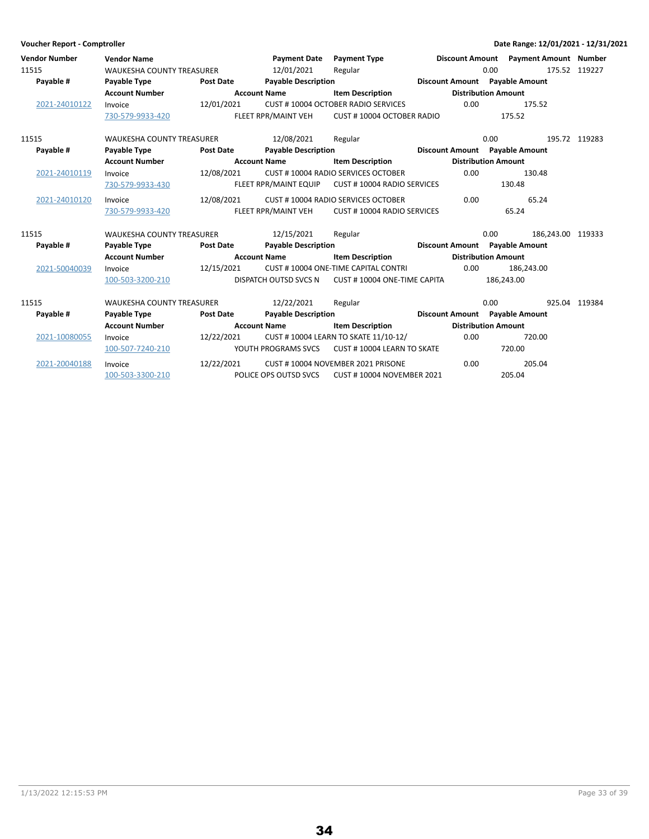|                       | Voucher Report - Comptroller |                                  |                         |                            |                                       |                            |            | Date Range: 12/01/2021 - 12/31/2021   |               |
|-----------------------|------------------------------|----------------------------------|-------------------------|----------------------------|---------------------------------------|----------------------------|------------|---------------------------------------|---------------|
|                       | <b>Vendor Number</b>         | <b>Vendor Name</b>               |                         | <b>Payment Date</b>        | <b>Payment Type</b>                   |                            |            | Discount Amount Payment Amount Number |               |
| 11515                 |                              | <b>WAUKESHA COUNTY TREASURER</b> |                         | 12/01/2021                 | Regular                               |                            | 0.00       |                                       | 175.52 119227 |
|                       | Payable #                    | Payable Type                     | <b>Post Date</b>        | <b>Payable Description</b> |                                       |                            |            | Discount Amount Payable Amount        |               |
|                       |                              | <b>Account Number</b>            |                         | <b>Account Name</b>        | <b>Item Description</b>               | <b>Distribution Amount</b> |            |                                       |               |
|                       | 2021-24010122                | Invoice                          | 12/01/2021              |                            | CUST #10004 OCTOBER RADIO SERVICES    | 0.00                       |            | 175.52                                |               |
|                       |                              | 730-579-9933-420                 |                         | FLEET RPR/MAINT VEH        | CUST #10004 OCTOBER RADIO             |                            |            | 175.52                                |               |
| 11515                 |                              | <b>WAUKESHA COUNTY TREASURER</b> |                         | 12/08/2021                 | Regular                               |                            | 0.00       |                                       | 195.72 119283 |
|                       | Payable #                    | Payable Type                     | Post Date               | <b>Payable Description</b> |                                       |                            |            | Discount Amount Payable Amount        |               |
|                       |                              | <b>Account Number</b>            |                         | <b>Account Name</b>        | <b>Item Description</b>               | <b>Distribution Amount</b> |            |                                       |               |
|                       | 2021-24010119                | Invoice                          | 12/08/2021              |                            | CUST #10004 RADIO SERVICES OCTOBER    | 0.00                       |            | 130.48                                |               |
|                       |                              | 730-579-9933-430                 |                         | FLEET RPR/MAINT EQUIP      | CUST # 10004 RADIO SERVICES           |                            |            | 130.48                                |               |
|                       | 2021-24010120                | Invoice                          | 12/08/2021              |                            | CUST #10004 RADIO SERVICES OCTOBER    | 0.00                       |            | 65.24                                 |               |
|                       |                              | 730-579-9933-420                 |                         | FLEET RPR/MAINT VEH        | CUST #10004 RADIO SERVICES            |                            |            | 65.24                                 |               |
| 11515                 |                              | <b>WAUKESHA COUNTY TREASURER</b> |                         | 12/15/2021                 | Regular                               |                            | 0.00       | 186.243.00 119333                     |               |
|                       | Payable #                    | Payable Type                     | <b>Post Date</b>        | <b>Payable Description</b> |                                       |                            |            | Discount Amount Payable Amount        |               |
|                       |                              | <b>Account Number</b>            |                         | <b>Account Name</b>        | <b>Item Description</b>               | <b>Distribution Amount</b> |            |                                       |               |
|                       | 2021-50040039                | Invoice                          | 12/15/2021              |                            | CUST #10004 ONE-TIME CAPITAL CONTRI   | 0.00                       |            | 186,243.00                            |               |
|                       |                              | 100-503-3200-210                 |                         | DISPATCH OUTSD SVCS N      | CUST #10004 ONE-TIME CAPITA           |                            | 186,243.00 |                                       |               |
| 11515                 |                              | <b>WAUKESHA COUNTY TREASURER</b> |                         | 12/22/2021                 | Regular                               |                            | 0.00       |                                       | 925.04 119384 |
|                       | Payable #                    | Payable Type                     | <b>Post Date</b>        | <b>Payable Description</b> |                                       |                            |            | Discount Amount Payable Amount        |               |
| <b>Account Number</b> |                              | <b>Account Name</b>              | <b>Item Description</b> | <b>Distribution Amount</b> |                                       |                            |            |                                       |               |
|                       | 2021-10080055                | Invoice                          | 12/22/2021              |                            | CUST # 10004 LEARN TO SKATE 11/10-12/ | 0.00                       |            | 720.00                                |               |
|                       |                              | 100-507-7240-210                 |                         | YOUTH PROGRAMS SVCS        | CUST #10004 LEARN TO SKATE            |                            |            | 720.00                                |               |
|                       | 2021-20040188                | Invoice                          | 12/22/2021              |                            | CUST #10004 NOVEMBER 2021 PRISONE     | 0.00                       |            | 205.04                                |               |
|                       |                              | 100-503-3300-210                 |                         | POLICE OPS OUTSD SVCS      | <b>CUST #10004 NOVEMBER 2021</b>      |                            |            | 205.04                                |               |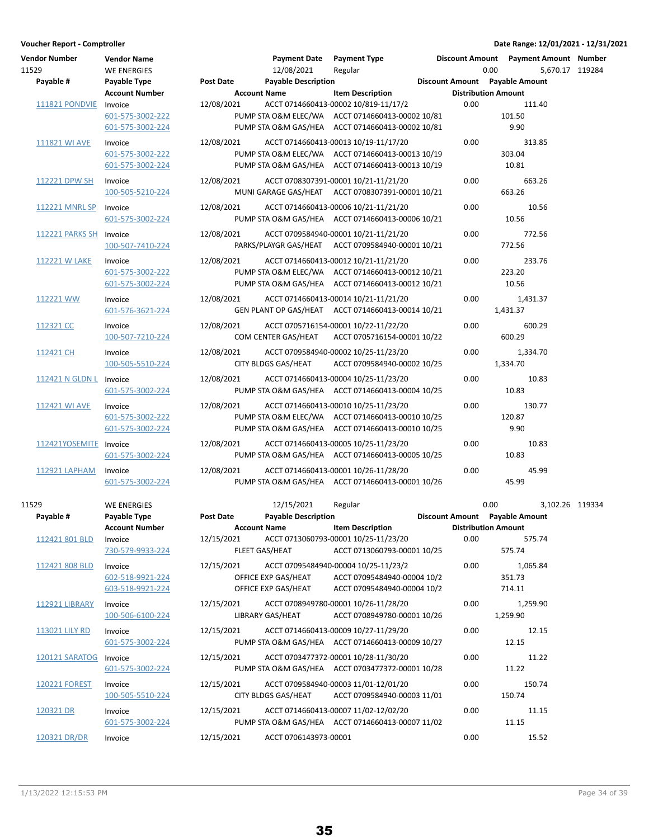| <b>Vendor Number</b><br>11529<br>Payable # | <b>Vendor Name</b><br><b>WE ENERGIES</b><br>Payable Type | Post Date                         | <b>Payment Date</b><br>12/08/2021<br><b>Payable Description</b> | <b>Payment Type</b><br>Regular                                                                                                               |      | Discount Amount Payment Amount Number<br>0.00<br>Discount Amount Payable Amount | 5.670.17 119284 |  |
|--------------------------------------------|----------------------------------------------------------|-----------------------------------|-----------------------------------------------------------------|----------------------------------------------------------------------------------------------------------------------------------------------|------|---------------------------------------------------------------------------------|-----------------|--|
|                                            | <b>Account Number</b>                                    | <b>Account Name</b>               |                                                                 | <b>Item Description</b>                                                                                                                      |      | <b>Distribution Amount</b>                                                      |                 |  |
| 111821 PONDVIE                             | Invoice<br>601-575-3002-222<br>601-575-3002-224          | 12/08/2021                        |                                                                 | ACCT 0714660413-00002 10/819-11/17/2<br>PUMP STA O&M ELEC/WA ACCT 0714660413-00002 10/81<br>PUMP STA O&M GAS/HEA ACCT 0714660413-00002 10/81 | 0.00 | 111.40<br>101.50<br>9.90                                                        |                 |  |
| 111821 WI AVE                              | Invoice<br>601-575-3002-222<br>601-575-3002-224          | 12/08/2021                        |                                                                 | ACCT 0714660413-00013 10/19-11/17/20<br>PUMP STA O&M ELEC/WA ACCT 0714660413-00013 10/19<br>PUMP STA O&M GAS/HEA ACCT 0714660413-00013 10/19 | 0.00 | 313.85<br>303.04<br>10.81                                                       |                 |  |
| 112221 DPW SH                              | Invoice<br>100-505-5210-224                              | 12/08/2021                        |                                                                 | ACCT 0708307391-00001 10/21-11/21/20<br>MUNI GARAGE GAS/HEAT ACCT 0708307391-00001 10/21                                                     | 0.00 | 663.26<br>663.26                                                                |                 |  |
| 112221 MNRL SP                             | Invoice<br>601-575-3002-224                              | 12/08/2021                        |                                                                 | ACCT 0714660413-00006 10/21-11/21/20<br>PUMP STA O&M GAS/HEA ACCT 0714660413-00006 10/21                                                     | 0.00 | 10.56<br>10.56                                                                  |                 |  |
| 112221 PARKS SH Invoice                    | 100-507-7410-224                                         | 12/08/2021                        |                                                                 | ACCT 0709584940-00001 10/21-11/21/20<br>PARKS/PLAYGR GAS/HEAT ACCT 0709584940-00001 10/21                                                    | 0.00 | 772.56<br>772.56                                                                |                 |  |
| 112221 W LAKE                              | Invoice<br>601-575-3002-222<br>601-575-3002-224          | 12/08/2021                        |                                                                 | ACCT 0714660413-00012 10/21-11/21/20<br>PUMP STA O&M ELEC/WA ACCT 0714660413-00012 10/21<br>PUMP STA O&M GAS/HEA ACCT 0714660413-00012 10/21 | 0.00 | 233.76<br>223.20<br>10.56                                                       |                 |  |
| 112221 WW                                  | Invoice<br>601-576-3621-224                              | 12/08/2021                        |                                                                 | ACCT 0714660413-00014 10/21-11/21/20<br>GEN PLANT OP GAS/HEAT ACCT 0714660413-00014 10/21                                                    | 0.00 | 1,431.37<br>1,431.37                                                            |                 |  |
| 112321 CC                                  | Invoice<br>100-507-7210-224                              | 12/08/2021                        | COM CENTER GAS/HEAT                                             | ACCT 0705716154-00001 10/22-11/22/20<br>ACCT 0705716154-00001 10/22                                                                          | 0.00 | 600.29<br>600.29                                                                |                 |  |
| 112421 CH                                  | Invoice<br>100-505-5510-224                              | 12/08/2021                        | CITY BLDGS GAS/HEAT                                             | ACCT 0709584940-00002 10/25-11/23/20<br>ACCT 0709584940-00002 10/25                                                                          | 0.00 | 1,334.70<br>1,334.70                                                            |                 |  |
| 112421 N GLDN L Invoice                    | 601-575-3002-224                                         | 12/08/2021                        |                                                                 | ACCT 0714660413-00004 10/25-11/23/20<br>PUMP STA O&M GAS/HEA ACCT 0714660413-00004 10/25                                                     | 0.00 | 10.83<br>10.83                                                                  |                 |  |
| 112421 WI AVE                              | Invoice<br>601-575-3002-222<br>601-575-3002-224          | 12/08/2021                        |                                                                 | ACCT 0714660413-00010 10/25-11/23/20<br>PUMP STA O&M ELEC/WA ACCT 0714660413-00010 10/25<br>PUMP STA O&M GAS/HEA ACCT 0714660413-00010 10/25 | 0.00 | 130.77<br>120.87<br>9.90                                                        |                 |  |
| 112421YOSEMITE Invoice                     | 601-575-3002-224                                         | 12/08/2021                        |                                                                 | ACCT 0714660413-00005 10/25-11/23/20<br>PUMP STA O&M GAS/HEA ACCT 0714660413-00005 10/25                                                     | 0.00 | 10.83<br>10.83                                                                  |                 |  |
| 112921 LAPHAM                              | Invoice<br>601-575-3002-224                              | 12/08/2021                        |                                                                 | ACCT 0714660413-00001 10/26-11/28/20<br>PUMP STA O&M GAS/HEA ACCT 0714660413-00001 10/26                                                     | 0.00 | 45.99<br>45.99                                                                  |                 |  |
| 11529<br>Payable #                         | <b>WE ENERGIES</b><br>Payable Type                       | Post Date                         | 12/15/2021<br><b>Payable Description</b>                        | Regular                                                                                                                                      |      | 0.00<br>Discount Amount Payable Amount                                          | 3,102.26 119334 |  |
| 112421 801 BLD                             | <b>Account Number</b><br>Invoice<br>730-579-9933-224     | <b>Account Name</b><br>12/15/2021 | FLEET GAS/HEAT                                                  | <b>Item Description</b><br>ACCT 0713060793-00001 10/25-11/23/20<br>ACCT 0713060793-00001 10/25                                               | 0.00 | <b>Distribution Amount</b><br>575.74<br>575.74                                  |                 |  |
| 112421 808 BLD                             | Invoice<br>602-518-9921-224<br>603-518-9921-224          | 12/15/2021                        | OFFICE EXP GAS/HEAT<br>OFFICE EXP GAS/HEAT                      | ACCT 07095484940-00004 10/25-11/23/2<br>ACCT 07095484940-00004 10/2<br>ACCT 07095484940-00004 10/2                                           | 0.00 | 1,065.84<br>351.73<br>714.11                                                    |                 |  |
| <b>112921 LIBRARY</b>                      | Invoice<br>100-506-6100-224                              | 12/15/2021                        | LIBRARY GAS/HEAT                                                | ACCT 0708949780-00001 10/26-11/28/20<br>ACCT 0708949780-00001 10/26                                                                          | 0.00 | 1,259.90<br>1,259.90                                                            |                 |  |
| 113021 LILY RD                             | Invoice<br>601-575-3002-224                              | 12/15/2021                        |                                                                 | ACCT 0714660413-00009 10/27-11/29/20<br>PUMP STA O&M GAS/HEA ACCT 0714660413-00009 10/27                                                     | 0.00 | 12.15<br>12.15                                                                  |                 |  |
| 120121 SARATOG                             | Invoice<br>601-575-3002-224                              | 12/15/2021                        |                                                                 | ACCT 0703477372-00001 10/28-11/30/20<br>PUMP STA O&M GAS/HEA ACCT 0703477372-00001 10/28                                                     | 0.00 | 11.22<br>11.22                                                                  |                 |  |
| <b>120221 FOREST</b>                       | Invoice<br>100-505-5510-224                              | 12/15/2021                        | CITY BLDGS GAS/HEAT                                             | ACCT 0709584940-00003 11/01-12/01/20<br>ACCT 0709584940-00003 11/01                                                                          | 0.00 | 150.74<br>150.74                                                                |                 |  |
| 120321 DR                                  | Invoice<br>601-575-3002-224                              | 12/15/2021                        |                                                                 | ACCT 0714660413-00007 11/02-12/02/20<br>PUMP STA O&M GAS/HEA ACCT 0714660413-00007 11/02                                                     | 0.00 | 11.15<br>11.15                                                                  |                 |  |
| 120321 DR/DR                               | Invoice                                                  | 12/15/2021                        | ACCT 0706143973-00001                                           |                                                                                                                                              | 0.00 | 15.52                                                                           |                 |  |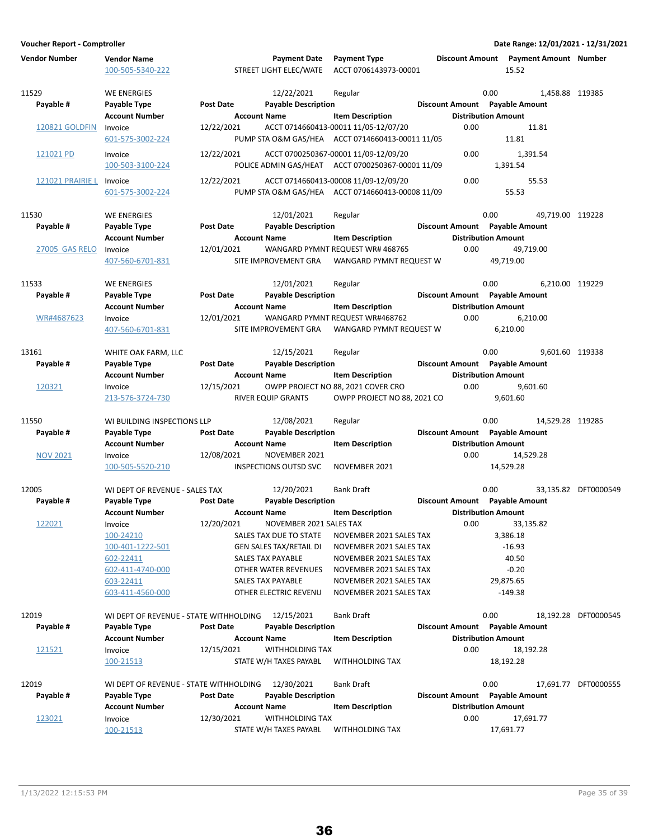| <b>Vendor Number</b>    | <b>Vendor Name</b><br>100-505-5340-222 |                  | <b>Payment Date</b><br>STREET LIGHT ELEC/WATE     | <b>Payment Type</b><br>ACCT 0706143973-00001      | <b>Discount Amount</b> | <b>Payment Amount Number</b><br>15.52                        |                      |
|-------------------------|----------------------------------------|------------------|---------------------------------------------------|---------------------------------------------------|------------------------|--------------------------------------------------------------|----------------------|
| 11529                   | WE ENERGIES                            |                  | 12/22/2021                                        | Regular                                           |                        | 0.00                                                         | 1,458.88 119385      |
| Payable #               | Payable Type                           | <b>Post Date</b> | <b>Payable Description</b>                        |                                                   |                        | Discount Amount Payable Amount                               |                      |
|                         | <b>Account Number</b>                  |                  | <b>Account Name</b>                               | <b>Item Description</b>                           |                        | <b>Distribution Amount</b>                                   |                      |
| <b>120821 GOLDFIN</b>   | Invoice                                | 12/22/2021       |                                                   | ACCT 0714660413-00011 11/05-12/07/20              | 0.00                   | 11.81                                                        |                      |
|                         | 601-575-3002-224                       |                  |                                                   | PUMP STA O&M GAS/HEA ACCT 0714660413-00011 11/05  |                        | 11.81                                                        |                      |
| 121021 PD               | Invoice                                | 12/22/2021       |                                                   | ACCT 0700250367-00001 11/09-12/09/20              | 0.00                   | 1,391.54                                                     |                      |
|                         | 100-503-3100-224                       |                  |                                                   | POLICE ADMIN GAS/HEAT ACCT 0700250367-00001 11/09 |                        | 1,391.54                                                     |                      |
| <b>121021 PRAIRIE L</b> |                                        |                  |                                                   | ACCT 0714660413-00008 11/09-12/09/20              | 0.00                   | 55.53                                                        |                      |
|                         | Invoice<br>601-575-3002-224            | 12/22/2021       |                                                   | PUMP STA O&M GAS/HEA ACCT 0714660413-00008 11/09  |                        | 55.53                                                        |                      |
|                         |                                        |                  |                                                   |                                                   |                        |                                                              |                      |
| 11530                   | WE ENERGIES                            |                  | 12/01/2021                                        | Regular                                           |                        | 0.00                                                         | 49,719.00 119228     |
| Payable #               | Payable Type                           | <b>Post Date</b> | <b>Payable Description</b>                        |                                                   |                        | Discount Amount Payable Amount                               |                      |
|                         | <b>Account Number</b>                  |                  | <b>Account Name</b>                               | <b>Item Description</b>                           |                        | <b>Distribution Amount</b>                                   |                      |
| <b>27005 GAS RELO</b>   | Invoice                                | 12/01/2021       |                                                   | WANGARD PYMNT REQUEST WR# 468765                  | 0.00                   | 49,719.00                                                    |                      |
|                         | 407-560-6701-831                       |                  | SITE IMPROVEMENT GRA                              | WANGARD PYMNT REQUEST W                           |                        | 49.719.00                                                    |                      |
|                         |                                        |                  |                                                   |                                                   |                        |                                                              |                      |
| 11533                   | WE ENERGIES                            |                  | 12/01/2021                                        | Regular                                           |                        | 0.00                                                         | 6,210.00 119229      |
| Payable #               | Payable Type                           | <b>Post Date</b> | <b>Payable Description</b>                        |                                                   |                        | Discount Amount Payable Amount                               |                      |
|                         | <b>Account Number</b>                  |                  | <b>Account Name</b>                               | <b>Item Description</b>                           |                        | <b>Distribution Amount</b>                                   |                      |
| WR#4687623              | Invoice                                | 12/01/2021       |                                                   | WANGARD PYMNT REQUEST WR#468762                   | 0.00                   | 6.210.00                                                     |                      |
|                         | 407-560-6701-831                       |                  | SITE IMPROVEMENT GRA                              | WANGARD PYMNT REQUEST W                           |                        | 6,210.00                                                     |                      |
| 13161                   | WHITE OAK FARM, LLC                    |                  | 12/15/2021                                        | Regular                                           |                        | 0.00                                                         | 9.601.60 119338      |
| Payable #               | Payable Type                           | <b>Post Date</b> | <b>Payable Description</b>                        |                                                   |                        | Discount Amount Payable Amount                               |                      |
|                         | <b>Account Number</b>                  |                  | <b>Account Name</b>                               | <b>Item Description</b>                           |                        | <b>Distribution Amount</b>                                   |                      |
| 120321                  | Invoice                                | 12/15/2021       |                                                   | OWPP PROJECT NO 88, 2021 COVER CRO                | 0.00                   | 9,601.60                                                     |                      |
|                         | 213-576-3724-730                       |                  | RIVER EQUIP GRANTS                                | OWPP PROJECT NO 88, 2021 CO                       |                        | 9,601.60                                                     |                      |
|                         |                                        |                  |                                                   |                                                   |                        |                                                              |                      |
| 11550                   | WI BUILDING INSPECTIONS LLP            |                  | 12/08/2021                                        | Regular                                           |                        | 0.00                                                         | 14,529.28 119285     |
| Payable #               | Payable Type                           | <b>Post Date</b> | <b>Payable Description</b>                        |                                                   |                        | Discount Amount Payable Amount                               |                      |
|                         | <b>Account Number</b>                  |                  | <b>Account Name</b>                               | <b>Item Description</b>                           |                        | <b>Distribution Amount</b>                                   |                      |
| <b>NOV 2021</b>         | Invoice                                | 12/08/2021       | NOVEMBER 2021                                     |                                                   | 0.00                   | 14,529.28                                                    |                      |
|                         | 100-505-5520-210                       |                  | <b>INSPECTIONS OUTSD SVC</b>                      | NOVEMBER 2021                                     |                        | 14,529.28                                                    |                      |
|                         |                                        |                  |                                                   |                                                   |                        |                                                              |                      |
| 12005                   | WI DEPT OF REVENUE - SALES TAX         | <b>Post Date</b> | 12/20/2021<br><b>Payable Description</b>          | <b>Bank Draft</b>                                 |                        | 0.00                                                         | 33.135.82 DFT0000549 |
| Payable #               | Payable Type                           |                  |                                                   |                                                   |                        | Discount Amount Payable Amount                               |                      |
|                         | <b>Account Number</b>                  | 12/20/2021       | <b>Account Name</b><br>NOVEMBER 2021 SALES TAX    | <b>Item Description</b>                           |                        | <b>Distribution Amount</b><br>33.135.82                      |                      |
| 122021                  | Invoice<br>100-24210                   |                  | SALES TAX DUE TO STATE                            | NOVEMBER 2021 SALES TAX                           | 0.00                   | 3,386.18                                                     |                      |
|                         | 100-401-1222-501                       |                  | <b>GEN SALES TAX/RETAIL DI</b>                    | NOVEMBER 2021 SALES TAX                           |                        | $-16.93$                                                     |                      |
|                         | 602-22411                              |                  | SALES TAX PAYABLE                                 | NOVEMBER 2021 SALES TAX                           |                        | 40.50                                                        |                      |
|                         | 602-411-4740-000                       |                  | OTHER WATER REVENUES                              | NOVEMBER 2021 SALES TAX                           |                        | $-0.20$                                                      |                      |
|                         | 603-22411                              |                  | <b>SALES TAX PAYABLE</b>                          | NOVEMBER 2021 SALES TAX                           |                        | 29,875.65                                                    |                      |
|                         | 603-411-4560-000                       |                  | OTHER ELECTRIC REVENU                             | NOVEMBER 2021 SALES TAX                           |                        | $-149.38$                                                    |                      |
|                         |                                        |                  |                                                   |                                                   |                        |                                                              |                      |
| 12019                   | WI DEPT OF REVENUE - STATE WITHHOLDING |                  | 12/15/2021                                        | <b>Bank Draft</b>                                 |                        | 0.00                                                         | 18,192.28 DFT0000545 |
| Payable #               | Payable Type                           | Post Date        | <b>Payable Description</b>                        |                                                   |                        | Discount Amount Payable Amount                               |                      |
|                         | <b>Account Number</b>                  |                  | <b>Account Name</b>                               | <b>Item Description</b>                           |                        | <b>Distribution Amount</b>                                   |                      |
| 121521                  | Invoice                                | 12/15/2021       | <b>WITHHOLDING TAX</b>                            |                                                   | 0.00                   | 18,192.28                                                    |                      |
|                         | 100-21513                              |                  | STATE W/H TAXES PAYABL                            | <b>WITHHOLDING TAX</b>                            |                        | 18,192.28                                                    |                      |
|                         |                                        |                  |                                                   |                                                   |                        |                                                              |                      |
| 12019                   | WI DEPT OF REVENUE - STATE WITHHOLDING |                  | 12/30/2021                                        | <b>Bank Draft</b>                                 |                        | 0.00                                                         | 17,691.77 DFT0000555 |
| Payable #               | Payable Type<br><b>Account Number</b>  | <b>Post Date</b> | <b>Payable Description</b><br><b>Account Name</b> | <b>Item Description</b>                           |                        | Discount Amount Payable Amount<br><b>Distribution Amount</b> |                      |
| 123021                  | Invoice                                | 12/30/2021       | WITHHOLDING TAX                                   |                                                   | 0.00                   | 17,691.77                                                    |                      |
|                         | 100-21513                              |                  | STATE W/H TAXES PAYABL                            | <b>WITHHOLDING TAX</b>                            |                        | 17,691.77                                                    |                      |

36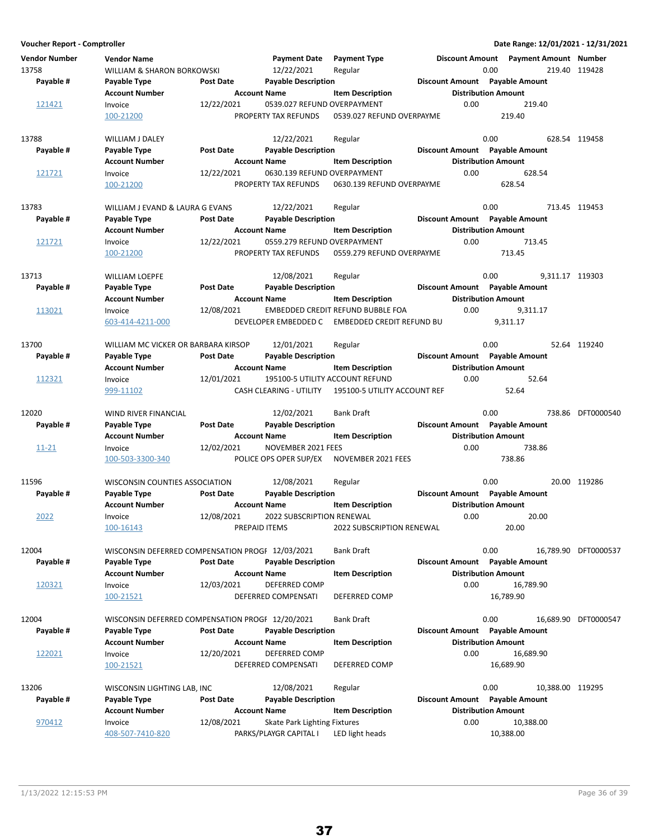| <b>Vendor Number</b><br>13758<br>Payable # | Vendor Name<br>WILLIAM & SHARON BORKOWSKI<br>Payable Type           | <b>Post Date</b>                                      | <b>Payment Date</b><br>12/22/2021<br><b>Payable Description</b>         | <b>Payment Type</b><br>Regular                       | Discount Amount | <b>Payment Amount Number</b><br>0.00<br>Discount Amount Payable Amount         | 219.40 119428        |
|--------------------------------------------|---------------------------------------------------------------------|-------------------------------------------------------|-------------------------------------------------------------------------|------------------------------------------------------|-----------------|--------------------------------------------------------------------------------|----------------------|
| 121421                                     | <b>Account Number</b><br>Invoice<br>100-21200                       | <b>Account Name</b><br>12/22/2021                     | 0539.027 REFUND OVERPAYMENT<br>PROPERTY TAX REFUNDS                     | <b>Item Description</b><br>0539.027 REFUND OVERPAYME | 0.00            | <b>Distribution Amount</b><br>219.40<br>219.40                                 |                      |
| 13788<br>Payable #<br>121721               | WILLIAM J DALEY<br>Payable Type<br><b>Account Number</b><br>Invoice | <b>Post Date</b><br><b>Account Name</b><br>12/22/2021 | 12/22/2021<br><b>Payable Description</b><br>0630.139 REFUND OVERPAYMENT | Regular<br><b>Item Description</b>                   | 0.00            | 0.00<br>Discount Amount Payable Amount<br><b>Distribution Amount</b><br>628.54 | 628.54 119458        |
|                                            | 100-21200                                                           |                                                       | PROPERTY TAX REFUNDS                                                    | 0630.139 REFUND OVERPAYME                            |                 | 628.54                                                                         |                      |
| 13783                                      | WILLIAM J EVAND & LAURA G EVANS                                     |                                                       | 12/22/2021                                                              | Regular                                              |                 | 0.00                                                                           | 713.45 119453        |
| Payable #                                  | Payable Type                                                        | <b>Post Date</b>                                      | <b>Payable Description</b>                                              |                                                      |                 | Discount Amount Payable Amount                                                 |                      |
|                                            | Account Number                                                      | <b>Account Name</b>                                   |                                                                         | <b>Item Description</b>                              |                 | <b>Distribution Amount</b>                                                     |                      |
| 121721                                     | Invoice<br>100-21200                                                | 12/22/2021                                            | 0559.279 REFUND OVERPAYMENT<br>PROPERTY TAX REFUNDS                     | 0559.279 REFUND OVERPAYME                            | 0.00            | 713.45<br>713.45                                                               |                      |
| 13713                                      | <b>WILLIAM LOEPFE</b>                                               |                                                       | 12/08/2021                                                              | Regular                                              |                 | 0.00                                                                           | 9,311.17 119303      |
| Payable #                                  | Payable Type                                                        | <b>Post Date</b>                                      | <b>Payable Description</b>                                              |                                                      |                 | Discount Amount Payable Amount                                                 |                      |
|                                            | <b>Account Number</b>                                               | <b>Account Name</b>                                   |                                                                         | <b>Item Description</b>                              |                 | <b>Distribution Amount</b>                                                     |                      |
| 113021                                     | Invoice                                                             | 12/08/2021                                            |                                                                         | <b>EMBEDDED CREDIT REFUND BUBBLE FOA</b>             | 0.00            | 9.311.17                                                                       |                      |
|                                            | 603-414-4211-000                                                    |                                                       | DEVELOPER EMBEDDED C                                                    | <b>EMBEDDED CREDIT REFUND BU</b>                     |                 | 9,311.17                                                                       |                      |
| 13700                                      | WILLIAM MC VICKER OR BARBARA KIRSOP                                 |                                                       | 12/01/2021                                                              | Regular                                              |                 | 0.00                                                                           | 52.64 119240         |
| Payable #                                  | Payable Type                                                        | <b>Post Date</b>                                      | <b>Payable Description</b>                                              |                                                      |                 | Discount Amount Payable Amount                                                 |                      |
|                                            | <b>Account Number</b>                                               | <b>Account Name</b>                                   |                                                                         | <b>Item Description</b>                              |                 | <b>Distribution Amount</b>                                                     |                      |
| 112321                                     | Invoice                                                             | 12/01/2021                                            |                                                                         | 195100-5 UTILITY ACCOUNT REFUND                      | 0.00            | 52.64                                                                          |                      |
|                                            | 999-11102                                                           |                                                       | CASH CLEARING - UTILITY                                                 | 195100-5 UTILITY ACCOUNT REF                         |                 | 52.64                                                                          |                      |
| 12020                                      | WIND RIVER FINANCIAL                                                |                                                       | 12/02/2021                                                              | <b>Bank Draft</b>                                    |                 | 0.00                                                                           | 738.86 DFT0000540    |
| Payable #                                  | Payable Type                                                        | <b>Post Date</b>                                      | <b>Payable Description</b>                                              |                                                      |                 | Discount Amount Payable Amount                                                 |                      |
|                                            | <b>Account Number</b>                                               | <b>Account Name</b>                                   |                                                                         | <b>Item Description</b>                              |                 | <b>Distribution Amount</b>                                                     |                      |
| $11 - 21$                                  | Invoice                                                             | 12/02/2021                                            | NOVEMBER 2021 FEES                                                      |                                                      | 0.00            | 738.86                                                                         |                      |
|                                            | 100-503-3300-340                                                    |                                                       | POLICE OPS OPER SUP/EX                                                  | NOVEMBER 2021 FEES                                   |                 | 738.86                                                                         |                      |
| 11596                                      | WISCONSIN COUNTIES ASSOCIATION                                      |                                                       | 12/08/2021                                                              | Regular                                              |                 | 0.00                                                                           | 20.00 119286         |
| Payable #                                  | Payable Type                                                        | <b>Post Date</b>                                      | <b>Payable Description</b>                                              |                                                      |                 | Discount Amount Payable Amount                                                 |                      |
|                                            | <b>Account Number</b>                                               | <b>Account Name</b>                                   |                                                                         | <b>Item Description</b>                              |                 | <b>Distribution Amount</b>                                                     |                      |
| 2022                                       | Invoice                                                             | 12/08/2021                                            | 2022 SUBSCRIPTION RENEWAL                                               |                                                      | 0.00            | 20.00                                                                          |                      |
|                                            | <u>100-16143</u>                                                    | PREPAID ITEMS                                         |                                                                         | 2022 SUBSCRIPTION RENEWAL                            |                 | 20.00                                                                          |                      |
| 12004                                      | WISCONSIN DEFERRED COMPENSATION PROGF 12/03/2021                    |                                                       |                                                                         | <b>Bank Draft</b>                                    |                 | 0.00                                                                           | 16,789.90 DFT0000537 |
| Payable #                                  | Payable Type                                                        | <b>Post Date</b>                                      | <b>Payable Description</b>                                              |                                                      |                 | Discount Amount Payable Amount                                                 |                      |
|                                            | Account Number                                                      | <b>Account Name</b>                                   |                                                                         | <b>Item Description</b>                              |                 | <b>Distribution Amount</b>                                                     |                      |
| 120321                                     | Invoice                                                             | 12/03/2021                                            | DEFERRED COMP                                                           |                                                      | 0.00            | 16,789.90                                                                      |                      |
|                                            | 100-21521                                                           |                                                       | DEFERRED COMPENSATI                                                     | DEFERRED COMP                                        |                 | 16,789.90                                                                      |                      |
| 12004                                      | WISCONSIN DEFERRED COMPENSATION PROGF 12/20/2021                    |                                                       |                                                                         | <b>Bank Draft</b>                                    |                 | 0.00                                                                           | 16.689.90 DFT0000547 |
| Payable #                                  | Payable Type                                                        | <b>Post Date</b>                                      | <b>Payable Description</b>                                              |                                                      |                 | Discount Amount Payable Amount                                                 |                      |
|                                            | <b>Account Number</b>                                               | <b>Account Name</b>                                   |                                                                         | <b>Item Description</b>                              |                 | <b>Distribution Amount</b>                                                     |                      |
| 122021                                     | Invoice                                                             | 12/20/2021                                            | DEFERRED COMP                                                           |                                                      | 0.00            | 16,689.90                                                                      |                      |
|                                            | 100-21521                                                           |                                                       | DEFERRED COMPENSATI                                                     | DEFERRED COMP                                        |                 | 16,689.90                                                                      |                      |
| 13206                                      |                                                                     |                                                       | 12/08/2021                                                              |                                                      |                 | 0.00                                                                           |                      |
| Payable #                                  | WISCONSIN LIGHTING LAB, INC<br>Payable Type                         | <b>Post Date</b>                                      | <b>Payable Description</b>                                              | Regular                                              |                 | Discount Amount Payable Amount                                                 | 10,388.00 119295     |
|                                            | <b>Account Number</b>                                               | <b>Account Name</b>                                   |                                                                         | <b>Item Description</b>                              |                 | <b>Distribution Amount</b>                                                     |                      |
| 970412                                     | Invoice                                                             | 12/08/2021                                            | Skate Park Lighting Fixtures                                            |                                                      | 0.00            | 10,388.00                                                                      |                      |
|                                            | 408-507-7410-820                                                    |                                                       | PARKS/PLAYGR CAPITAL I                                                  | LED light heads                                      |                 | 10,388.00                                                                      |                      |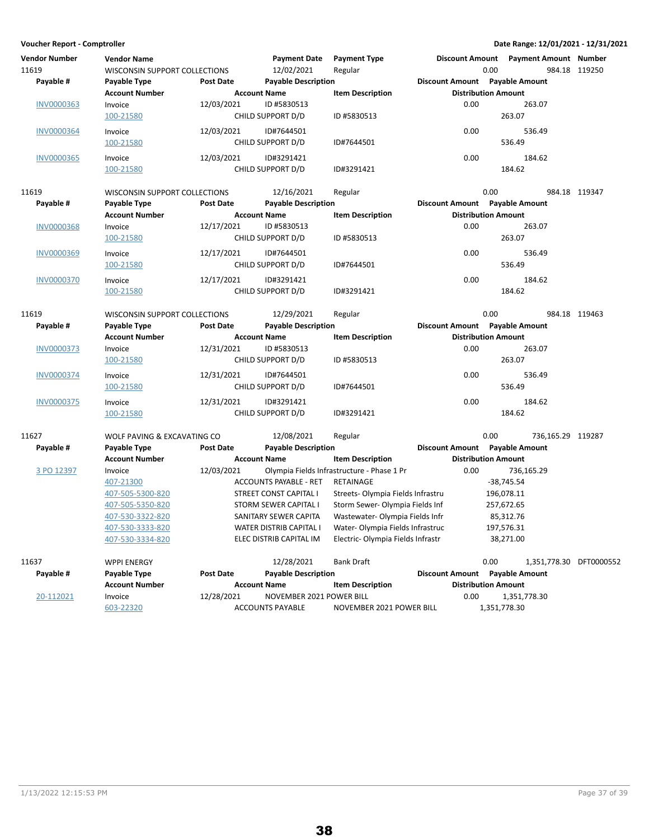| <b>Vendor Number</b><br>11619 | <b>Vendor Name</b><br><b>WISCONSIN SUPPORT COLLECTIONS</b> |                  | <b>Payment Date</b><br>12/02/2021 | <b>Payment Type</b><br>Regular             |                                | 0.00                       | Discount Amount  Payment Amount  Number | 984.18 119250 |
|-------------------------------|------------------------------------------------------------|------------------|-----------------------------------|--------------------------------------------|--------------------------------|----------------------------|-----------------------------------------|---------------|
| Payable #                     | Payable Type                                               | Post Date        | <b>Payable Description</b>        |                                            | Discount Amount Payable Amount |                            |                                         |               |
|                               | <b>Account Number</b>                                      |                  | <b>Account Name</b>               | <b>Item Description</b>                    |                                | <b>Distribution Amount</b> |                                         |               |
| <b>INV0000363</b>             | Invoice                                                    | 12/03/2021       | ID #5830513                       |                                            | 0.00                           |                            | 263.07                                  |               |
|                               | 100-21580                                                  |                  | CHILD SUPPORT D/D                 | ID #5830513                                |                                | 263.07                     |                                         |               |
| <b>INV0000364</b>             | Invoice                                                    | 12/03/2021       | ID#7644501                        |                                            | 0.00                           |                            | 536.49                                  |               |
|                               | 100-21580                                                  |                  | CHILD SUPPORT D/D                 | ID#7644501                                 |                                | 536.49                     |                                         |               |
| <b>INV0000365</b>             | Invoice                                                    | 12/03/2021       | ID#3291421                        |                                            | 0.00                           |                            | 184.62                                  |               |
|                               | 100-21580                                                  |                  | CHILD SUPPORT D/D                 | ID#3291421                                 |                                | 184.62                     |                                         |               |
|                               |                                                            |                  |                                   |                                            |                                |                            |                                         |               |
| 11619                         | WISCONSIN SUPPORT COLLECTIONS                              |                  | 12/16/2021                        | Regular                                    |                                | 0.00                       |                                         | 984.18 119347 |
| Payable #                     | Payable Type                                               | Post Date        | <b>Payable Description</b>        |                                            | Discount Amount Payable Amount |                            |                                         |               |
|                               | <b>Account Number</b>                                      |                  | <b>Account Name</b>               | <b>Item Description</b>                    |                                | <b>Distribution Amount</b> |                                         |               |
| <b>INV0000368</b>             | Invoice                                                    | 12/17/2021       | ID #5830513                       |                                            | 0.00                           |                            | 263.07                                  |               |
|                               | 100-21580                                                  |                  | CHILD SUPPORT D/D                 | ID #5830513                                |                                | 263.07                     |                                         |               |
| INV0000369                    | Invoice                                                    | 12/17/2021       | ID#7644501                        |                                            | 0.00                           |                            | 536.49                                  |               |
|                               | 100-21580                                                  |                  | CHILD SUPPORT D/D                 | ID#7644501                                 |                                | 536.49                     |                                         |               |
| <b>INV0000370</b>             | Invoice                                                    | 12/17/2021       | ID#3291421                        |                                            | 0.00                           |                            | 184.62                                  |               |
|                               | 100-21580                                                  |                  | CHILD SUPPORT D/D                 | ID#3291421                                 |                                | 184.62                     |                                         |               |
|                               |                                                            |                  |                                   |                                            |                                |                            |                                         |               |
| 11619                         | WISCONSIN SUPPORT COLLECTIONS                              |                  | 12/29/2021                        | Regular                                    |                                | 0.00                       |                                         | 984.18 119463 |
| Payable #                     | Payable Type                                               | Post Date        | <b>Payable Description</b>        |                                            | Discount Amount Payable Amount |                            |                                         |               |
|                               | <b>Account Number</b>                                      |                  | <b>Account Name</b>               | <b>Item Description</b>                    |                                | <b>Distribution Amount</b> |                                         |               |
| <b>INV0000373</b>             | Invoice                                                    | 12/31/2021       | ID #5830513                       |                                            | 0.00                           |                            | 263.07                                  |               |
|                               | 100-21580                                                  |                  | CHILD SUPPORT D/D                 | ID #5830513                                |                                | 263.07                     |                                         |               |
| <b>INV0000374</b>             | Invoice                                                    | 12/31/2021       | ID#7644501                        |                                            | 0.00                           |                            | 536.49                                  |               |
|                               | 100-21580                                                  |                  | CHILD SUPPORT D/D                 | ID#7644501                                 |                                | 536.49                     |                                         |               |
| INV0000375                    | Invoice                                                    | 12/31/2021       | ID#3291421                        |                                            | 0.00                           |                            | 184.62                                  |               |
|                               | 100-21580                                                  |                  | CHILD SUPPORT D/D                 | ID#3291421                                 |                                | 184.62                     |                                         |               |
|                               |                                                            |                  |                                   |                                            |                                |                            |                                         |               |
| 11627                         | WOLF PAVING & EXCAVATING CO                                |                  | 12/08/2021                        | Regular                                    |                                | 0.00                       | 736,165.29 119287                       |               |
| Payable #                     | Payable Type                                               | <b>Post Date</b> | <b>Payable Description</b>        |                                            | Discount Amount Payable Amount |                            |                                         |               |
|                               | <b>Account Number</b>                                      |                  | <b>Account Name</b>               | <b>Item Description</b>                    |                                | <b>Distribution Amount</b> |                                         |               |
| 3 PO 12397                    | Invoice                                                    | 12/03/2021       |                                   | Olympia Fields Infrastructure - Phase 1 Pr | 0.00                           |                            | 736,165.29                              |               |
|                               | 407-21300                                                  |                  | ACCOUNTS PAYABLE - RET            | RETAINAGE                                  |                                | $-38,745.54$               |                                         |               |
|                               | 407-505-5300-820                                           |                  | STREET CONST CAPITAL I            | Streets- Olympia Fields Infrastru          |                                | 196,078.11                 |                                         |               |
|                               | 407-505-5350-820                                           |                  | <b>STORM SEWER CAPITAL I</b>      | Storm Sewer- Olympia Fields Inf            |                                | 257,672.65                 |                                         |               |
|                               | 407-530-3322-820                                           |                  | SANITARY SEWER CAPITA             | Wastewater- Olympia Fields Infr            |                                | 85,312.76                  |                                         |               |
|                               | 407-530-3333-820                                           |                  | WATER DISTRIB CAPITAL I           | Water- Olympia Fields Infrastruc           |                                | 197,576.31                 |                                         |               |
|                               | 407-530-3334-820                                           |                  | ELEC DISTRIB CAPITAL IM           | Electric-Olympia Fields Infrastr           |                                | 38,271.00                  |                                         |               |
| 11637                         |                                                            |                  | 12/28/2021                        | <b>Bank Draft</b>                          |                                | 0.00                       |                                         |               |
| Payable #                     | <b>WPPI ENERGY</b><br>Payable Type                         | <b>Post Date</b> | <b>Payable Description</b>        |                                            | Discount Amount Payable Amount |                            | 1,351,778.30 DFT0000552                 |               |
|                               | <b>Account Number</b>                                      |                  | <b>Account Name</b>               | <b>Item Description</b>                    |                                | <b>Distribution Amount</b> |                                         |               |
| 20-112021                     | Invoice                                                    | 12/28/2021       | NOVEMBER 2021 POWER BILL          |                                            | 0.00                           |                            | 1,351,778.30                            |               |
|                               | 603-22320                                                  |                  | <b>ACCOUNTS PAYABLE</b>           | NOVEMBER 2021 POWER BILL                   |                                | 1,351,778.30               |                                         |               |
|                               |                                                            |                  |                                   |                                            |                                |                            |                                         |               |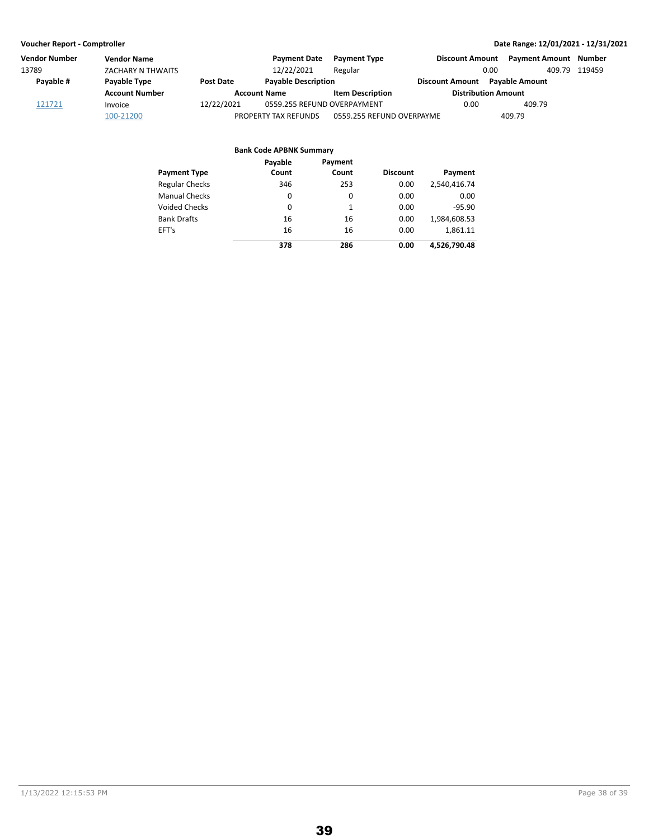| <b>Vendor Number</b> | <b>Vendor Name</b>    |                  | <b>Payment Date</b>         | <b>Payment Type</b>       | <b>Discount Amount</b>     | <b>Payment Amount</b> | Number |
|----------------------|-----------------------|------------------|-----------------------------|---------------------------|----------------------------|-----------------------|--------|
| 13789                | ZACHARY N THWAITS     |                  | 12/22/2021                  | Regular                   | 0.00                       | 409.79                | 119459 |
| Payable #            | Payable Type          | <b>Post Date</b> | <b>Payable Description</b>  |                           | Discount Amount            | <b>Payable Amount</b> |        |
|                      | <b>Account Number</b> |                  | <b>Account Name</b>         | <b>Item Description</b>   | <b>Distribution Amount</b> |                       |        |
| 121721               | Invoice               | 12/22/2021       | 0559.255 REFUND OVERPAYMENT |                           | 0.00                       | 409.79                |        |
|                      | 100-21200             |                  | PROPERTY TAX REFUNDS        | 0559.255 REFUND OVERPAYME |                            | 409.79                |        |

|                       | <b>Bank Code APBNK Summary</b> |                  |                 |              |
|-----------------------|--------------------------------|------------------|-----------------|--------------|
| <b>Payment Type</b>   | Payable<br>Count               | Payment<br>Count | <b>Discount</b> | Payment      |
| <b>Regular Checks</b> | 346                            | 253              | 0.00            | 2,540,416.74 |
| <b>Manual Checks</b>  | 0                              | 0                | 0.00            | 0.00         |
| Voided Checks         | 0                              | 1                | 0.00            | $-95.90$     |
| <b>Bank Drafts</b>    | 16                             | 16               | 0.00            | 1,984,608.53 |
| EFT's                 | 16                             | 16               | 0.00            | 1,861.11     |
|                       | 378                            | 286              | 0.00            | 4,526,790.48 |